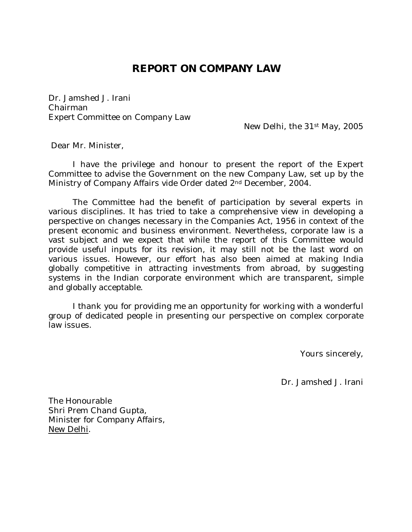# **REPORT ON COMPANY LAW**

Dr. Jamshed J. Irani Chairman Expert Committee on Company Law

New Delhi, the 31st May, 2005

Dear Mr. Minister,

I have the privilege and honour to present the report of the Expert Committee to advise the Government on the new Company Law, set up by the Ministry of Company Affairs vide Order dated 2nd December, 2004.

The Committee had the benefit of participation by several experts in various disciplines. It has tried to take a comprehensive view in developing a perspective on changes necessary in the Companies Act, 1956 in context of the present economic and business environment. Nevertheless, corporate law is a vast subject and we expect that while the report of this Committee would provide useful inputs for its revision, it may still not be the last word on various issues. However, our effort has also been aimed at making India globally competitive in attracting investments from abroad, by suggesting systems in the Indian corporate environment which are transparent, simple and globally acceptable.

I thank you for providing me an opportunity for working with a wonderful group of dedicated people in presenting our perspective on complex corporate law issues.

Yours sincerely,

Dr. Jamshed J. Irani

The Honourable Shri Prem Chand Gupta, Minister for Company Affairs, New Delhi.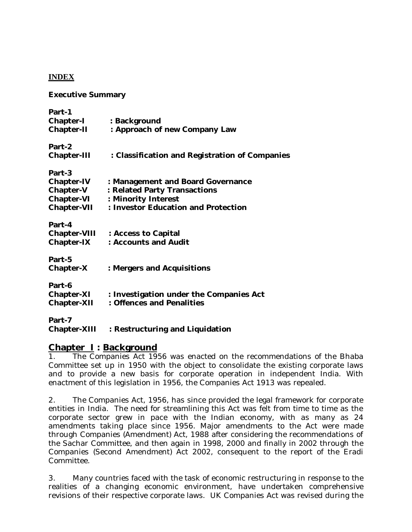#### **INDEX**

**Executive Summary**

| Part-1              |                                                |
|---------------------|------------------------------------------------|
| <b>Chapter-I</b>    | : Background                                   |
| <b>Chapter-II</b>   | : Approach of new Company Law                  |
| Part-2              |                                                |
| <b>Chapter-III</b>  | : Classification and Registration of Companies |
| Part-3              |                                                |
| <b>Chapter-IV</b>   | : Management and Board Governance              |
| <b>Chapter-V</b>    | : Related Party Transactions                   |
| <b>Chapter-VI</b>   | : Minority Interest                            |
| <b>Chapter-VII</b>  | : Investor Education and Protection            |
| Part-4              |                                                |
| <b>Chapter-VIII</b> | : Access to Capital                            |
| <b>Chapter-IX</b>   | : Accounts and Audit                           |
| Part-5              |                                                |
| <b>Chapter-X</b>    | : Mergers and Acquisitions                     |
| Part-6              |                                                |
| <b>Chapter-XI</b>   | : Investigation under the Companies Act        |
| <b>Chapter-XII</b>  | : Offences and Penalities                      |
| Part-7              |                                                |

**Chapter-XIII : Restructuring and Liquidation**

## **Chapter I : Background**

1. The Companies Act 1956 was enacted on the recommendations of the Bhaba Committee set up in 1950 with the object to consolidate the existing corporate laws and to provide a new basis for corporate operation in independent India. With enactment of this legislation in 1956, the Companies Act 1913 was repealed.

2. The Companies Act, 1956, has since provided the legal framework for corporate entities in India. The need for streamlining this Act was felt from time to time as the corporate sector grew in pace with the Indian economy, with as many as 24 amendments taking place since 1956. Major amendments to the Act were made through Companies (Amendment) Act, 1988 after considering the recommendations of the Sachar Committee, and then again in 1998, 2000 and finally in 2002 through the Companies (Second Amendment) Act 2002, consequent to the report of the Eradi Committee.

3. Many countries faced with the task of economic restructuring in response to the realities of a changing economic environment, have undertaken comprehensive revisions of their respective corporate laws. UK Companies Act was revised during the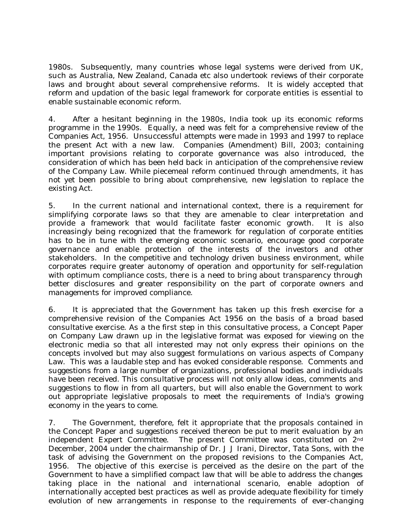1980s. Subsequently, many countries whose legal systems were derived from UK, such as Australia, New Zealand, Canada etc also undertook reviews of their corporate laws and brought about several comprehensive reforms. It is widely accepted that reform and updation of the basic legal framework for corporate entities is essential to enable sustainable economic reform.

4. After a hesitant beginning in the 1980s, India took up its economic reforms programme in the 1990s. Equally, a need was felt for a comprehensive review of the Companies Act, 1956. Unsuccessful attempts were made in 1993 and 1997 to replace the present Act with a new law. Companies (Amendment) Bill, 2003; containing important provisions relating to corporate governance was also introduced, the consideration of which has been held back in anticipation of the comprehensive review of the Company Law. While piecemeal reform continued through amendments, it has not yet been possible to bring about comprehensive, new legislation to replace the existing Act.

5. In the current national and international context, there is a requirement for simplifying corporate laws so that they are amenable to clear interpretation and provide a framework that would facilitate faster economic growth. It is also increasingly being recognized that the framework for regulation of corporate entities has to be in tune with the emerging economic scenario, encourage good corporate governance and enable protection of the interests of the investors and other stakeholders. In the competitive and technology driven business environment, while corporates require greater autonomy of operation and opportunity for self-regulation with optimum compliance costs, there is a need to bring about transparency through better disclosures and greater responsibility on the part of corporate owners and managements for improved compliance.

6. It is appreciated that the Government has taken up this fresh exercise for a comprehensive revision of the Companies Act 1956 on the basis of a broad based consultative exercise. As a the first step in this consultative process, a Concept Paper on Company Law drawn up in the legislative format was exposed for viewing on the electronic media so that all interested may not only express their opinions on the concepts involved but may also suggest formulations on various aspects of Company Law. This was a laudable step and has evoked considerable response. Comments and suggestions from a large number of organizations, professional bodies and individuals have been received. This consultative process will not only allow ideas, comments and suggestions to flow in from all quarters, but will also enable the Government to work out appropriate legislative proposals to meet the requirements of India's growing economy in the years to come.

7. The Government, therefore, felt it appropriate that the proposals contained in the Concept Paper and suggestions received thereon be put to merit evaluation by an independent Expert Committee. The present Committee was constituted on 2nd December, 2004 under the chairmanship of Dr. J J Irani, Director, Tata Sons, with the task of advising the Government on the proposed revisions to the Companies Act, 1956. The objective of this exercise is perceived as the desire on the part of the Government to have a simplified compact law that will be able to address the changes taking place in the national and international scenario, enable adoption of internationally accepted best practices as well as provide adequate flexibility for timely evolution of new arrangements in response to the requirements of ever-changing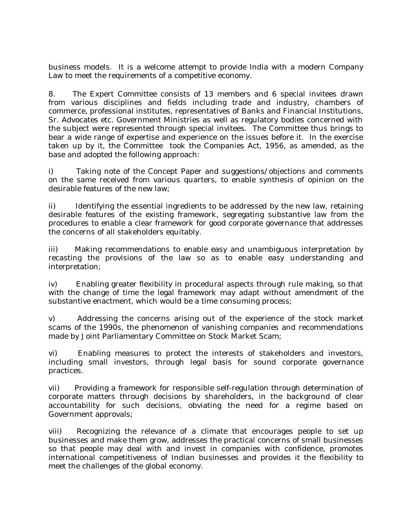business models. It is a welcome attempt to provide India with a modern Company Law to meet the requirements of a competitive economy.

8. The Expert Committee consists of 13 members and 6 special invitees drawn from various disciplines and fields including trade and industry, chambers of commerce, professional institutes, representatives of Banks and Financial Institutions, Sr. Advocates etc. Government Ministries as well as regulatory bodies concerned with the subject were represented through special invitees. The Committee thus brings to bear a wide range of expertise and experience on the issues before it. In the exercise taken up by it, the Committee took the Companies Act, 1956, as amended, as the base and adopted the following approach:

i) Taking note of the Concept Paper and suggestions/objections and comments on the same received from various quarters, to enable synthesis of opinion on the desirable features of the new law;

ii) Identifying the essential ingredients to be addressed by the new law, retaining desirable features of the existing framework, segregating substantive law from the procedures to enable a clear framework for good corporate governance that addresses the concerns of all stakeholders equitably.

iii) Making recommendations to enable easy and unambiguous interpretation by recasting the provisions of the law so as to enable easy understanding and interpretation;

iv) Enabling greater flexibility in procedural aspects through rule making, so that with the change of time the legal framework may adapt without amendment of the substantive enactment, which would be a time consuming process;

v) Addressing the concerns arising out of the experience of the stock market scams of the 1990s, the phenomenon of vanishing companies and recommendations made by Joint Parliamentary Committee on Stock Market Scam;

vi) Enabling measures to protect the interests of stakeholders and investors, including small investors, through legal basis for sound corporate governance practices.

vii) Providing a framework for responsible self-regulation through determination of corporate matters through decisions by shareholders, in the background of clear accountability for such decisions, obviating the need for a regime based on Government approvals;

viii) Recognizing the relevance of a climate that encourages people to set up businesses and make them grow, addresses the practical concerns of small businesses so that people may deal with and invest in companies with confidence, promotes international competitiveness of Indian businesses and provides it the flexibility to meet the challenges of the global economy.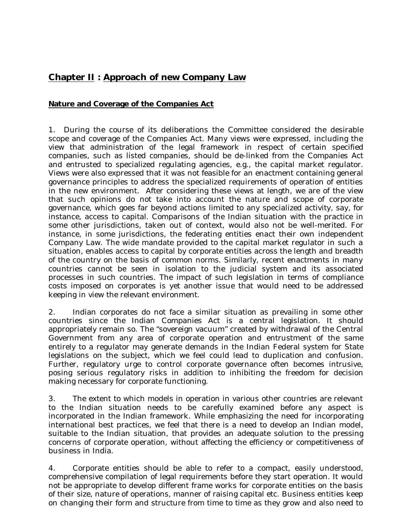# **Chapter II : Approach of new Company Law**

## **Nature and Coverage of the Companies Act**

1. During the course of its deliberations the Committee considered the desirable scope and coverage of the Companies Act. Many views were expressed, including the view that administration of the legal framework in respect of certain specified companies, such as listed companies, should be de-linked from the Companies Act and entrusted to specialized regulating agencies, e.g., the capital market regulator. Views were also expressed that it was not feasible for an enactment containing general governance principles to address the specialized requirements of operation of entities in the new environment. After considering these views at length, we are of the view that such opinions do not take into account the nature and scope of corporate governance, which goes far beyond actions limited to any specialized activity, say, for instance, access to capital. Comparisons of the Indian situation with the practice in some other jurisdictions, taken out of context, would also not be well-merited. For instance, in some jurisdictions, the federating entities enact their own independent Company Law. The wide mandate provided to the capital market regulator in such a situation, enables access to capital by corporate entities across the length and breadth of the country on the basis of common norms. Similarly, recent enactments in many countries cannot be seen in isolation to the judicial system and its associated processes in such countries. The impact of such legislation in terms of compliance costs imposed on corporates is yet another issue that would need to be addressed keeping in view the relevant environment.

2. Indian corporates do not face a similar situation as prevailing in some other countries since the Indian Companies Act is a central legislation. It should appropriately remain so. The "sovereign vacuum" created by withdrawal of the Central Government from any area of corporate operation and entrustment of the same entirely to a regulator may generate demands in the Indian Federal system for State legislations on the subject, which we feel could lead to duplication and confusion. Further, regulatory urge to control corporate governance often becomes intrusive, posing serious regulatory risks in addition to inhibiting the freedom for decision making necessary for corporate functioning.

3. The extent to which models in operation in various other countries are relevant to the Indian situation needs to be carefully examined before any aspect is incorporated in the Indian framework. While emphasizing the need for incorporating international best practices, we feel that there is a need to develop an Indian model, suitable to the Indian situation, that provides an adequate solution to the pressing concerns of corporate operation, without affecting the efficiency or competitiveness of business in India.

4. Corporate entities should be able to refer to a compact, easily understood, comprehensive compilation of legal requirements before they start operation. It would not be appropriate to develop different frame works for corporate entities on the basis of their size, nature of operations, manner of raising capital etc. Business entities keep on changing their form and structure from time to time as they grow and also need to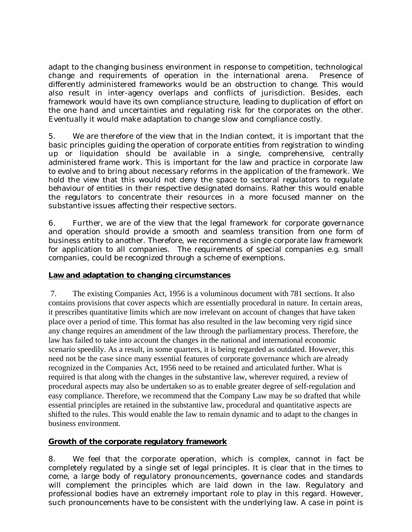adapt to the changing business environment in response to competition, technological change and requirements of operation in the international arena. Presence of differently administered frameworks would be an obstruction to change. This would also result in inter-agency overlaps and conflicts of jurisdiction. Besides, each framework would have its own compliance structure, leading to duplication of effort on the one hand and uncertainties and regulating risk for the corporates on the other. Eventually it would make adaptation to change slow and compliance costly.

5. We are therefore of the view that in the Indian context, it is important that the basic principles guiding the operation of corporate entities from registration to winding up or liquidation should be available in a single, comprehensive, centrally administered frame work. This is important for the law and practice in corporate law to evolve and to bring about necessary reforms in the application of the framework. We hold the view that this would not deny the space to sectoral regulators to regulate behaviour of entities in their respective designated domains. Rather this would enable the regulators to concentrate their resources in a more focused manner on the substantive issues affecting their respective sectors.

6. Further, we are of the view that the legal framework for corporate governance and operation should provide a smooth and seamless transition from one form of business entity to another. Therefore, we recommend a single corporate law framework for application to all companies. The requirements of special companies e.g. small companies, could be recognized through a scheme of exemptions.

## **Law and adaptation to changing circumstances**

7. The existing Companies Act, 1956 is a voluminous document with 781 sections. It also contains provisions that cover aspects which are essentially procedural in nature. In certain areas, it prescribes quantitative limits which are now irrelevant on account of changes that have taken place over a period of time. This format has also resulted in the law becoming very rigid since any change requires an amendment of the law through the parliamentary process. Therefore, the law has failed to take into account the changes in the national and international economic scenario speedily. As a result, in some quarters, it is being regarded as outdated. However, this need not be the case since many essential features of corporate governance which are already recognized in the Companies Act, 1956 need to be retained and articulated further. What is required is that along with the changes in the substantive law, wherever required, a review of procedural aspects may also be undertaken so as to enable greater degree of self-regulation and easy compliance. Therefore, we recommend that the Company Law may be so drafted that while essential principles are retained in the substantive law, procedural and quantitative aspects are shifted to the rules. This would enable the law to remain dynamic and to adapt to the changes in business environment.

## **Growth of the corporate regulatory framework**

8. We feel that the corporate operation, which is complex, cannot in fact be completely regulated by a single set of legal principles. It is clear that in the times to come, a large body of regulatory pronouncements, governance codes and standards will complement the principles which are laid down in the law. Regulatory and professional bodies have an extremely important role to play in this regard. However, such pronouncements have to be consistent with the underlying law. A case in point is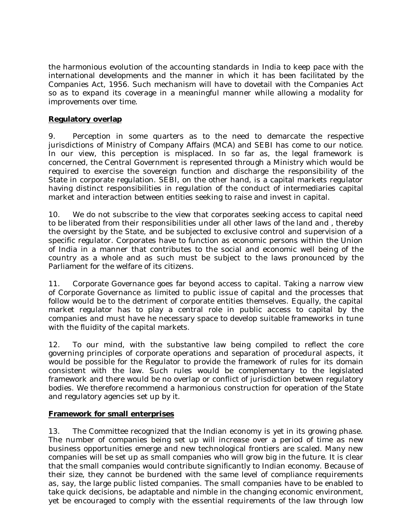the harmonious evolution of the accounting standards in India to keep pace with the international developments and the manner in which it has been facilitated by the Companies Act, 1956. Such mechanism will have to dovetail with the Companies Act so as to expand its coverage in a meaningful manner while allowing a modality for improvements over time.

## **Regulatory overlap**

9. Perception in some quarters as to the need to demarcate the respective jurisdictions of Ministry of Company Affairs (MCA) and SEBI has come to our notice. In our view, this perception is misplaced. In so far as, the legal framework is concerned, the Central Government is represented through a Ministry which would be required to exercise the sovereign function and discharge the responsibility of the State in corporate regulation. SEBI, on the other hand, is a capital markets regulator having distinct responsibilities in regulation of the conduct of intermediaries capital market and interaction between entities seeking to raise and invest in capital.

10. We do not subscribe to the view that corporates seeking access to capital need to be liberated from their responsibilities under all other laws of the land and , thereby the oversight by the State, and be subjected to exclusive control and supervision of a specific regulator. Corporates have to function as economic persons within the Union of India in a manner that contributes to the social and economic well being of the country as a whole and as such must be subject to the laws pronounced by the Parliament for the welfare of its citizens.

11. Corporate Governance goes far beyond access to capital. Taking a narrow view of Corporate Governance as limited to public issue of capital and the processes that follow would be to the detriment of corporate entities themselves. Equally, the capital market regulator has to play a central role in public access to capital by the companies and must have he necessary space to develop suitable frameworks in tune with the fluidity of the capital markets.

12. To our mind, with the substantive law being compiled to reflect the core governing principles of corporate operations and separation of procedural aspects, it would be possible for the Regulator to provide the framework of rules for its domain consistent with the law. Such rules would be complementary to the legislated framework and there would be no overlap or conflict of jurisdiction between regulatory bodies. We therefore recommend a harmonious construction for operation of the State and regulatory agencies set up by it.

## **Framework for small enterprises**

13. The Committee recognized that the Indian economy is yet in its growing phase. The number of companies being set up will increase over a period of time as new business opportunities emerge and new technological frontiers are scaled. Many new companies will be set up as small companies who will grow big in the future. It is clear that the small companies would contribute significantly to Indian economy. Because of their size, they cannot be burdened with the same level of compliance requirements as, say, the large public listed companies. The small companies have to be enabled to take quick decisions, be adaptable and nimble in the changing economic environment, yet be encouraged to comply with the essential requirements of the law through low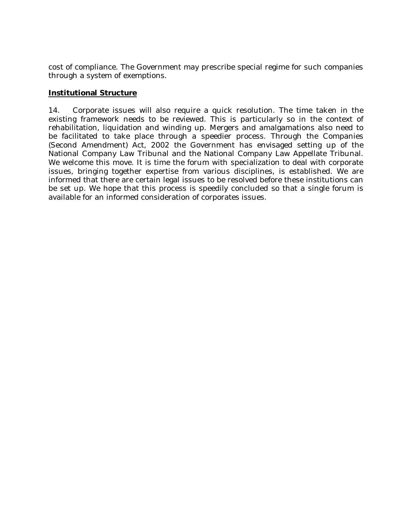cost of compliance. The Government may prescribe special regime for such companies through a system of exemptions.

## **Institutional Structure**

14. Corporate issues will also require a quick resolution. The time taken in the existing framework needs to be reviewed. This is particularly so in the context of rehabilitation, liquidation and winding up. Mergers and amalgamations also need to be facilitated to take place through a speedier process. Through the Companies (Second Amendment) Act, 2002 the Government has envisaged setting up of the National Company Law Tribunal and the National Company Law Appellate Tribunal. We welcome this move. It is time the forum with specialization to deal with corporate issues, bringing together expertise from various disciplines, is established. We are informed that there are certain legal issues to be resolved before these institutions can be set up. We hope that this process is speedily concluded so that a single forum is available for an informed consideration of corporates issues.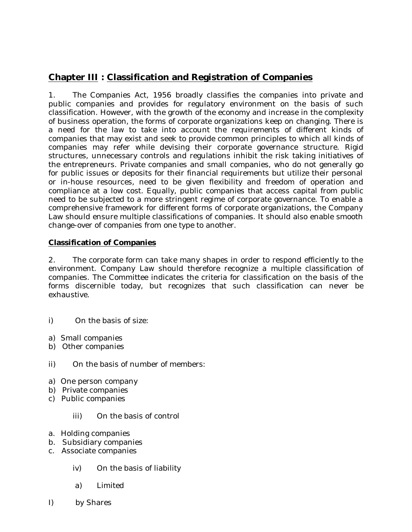# **Chapter III : Classification and Registration of Companies**

1. The Companies Act, 1956 broadly classifies the companies into private and public companies and provides for regulatory environment on the basis of such classification. However, with the growth of the economy and increase in the complexity of business operation, the forms of corporate organizations keep on changing. There is a need for the law to take into account the requirements of different kinds of companies that may exist and seek to provide common principles to which all kinds of companies may refer while devising their corporate governance structure. Rigid structures, unnecessary controls and regulations inhibit the risk taking initiatives of the entrepreneurs. Private companies and small companies, who do not generally go for public issues or deposits for their financial requirements but utilize their personal or in-house resources, need to be given flexibility and freedom of operation and compliance at a low cost. Equally, public companies that access capital from public need to be subjected to a more stringent regime of corporate governance. To enable a comprehensive framework for different forms of corporate organizations, the Company Law should ensure multiple classifications of companies. It should also enable smooth change-over of companies from one type to another.

## **Classification of Companies**

2. The corporate form can take many shapes in order to respond efficiently to the environment. Company Law should therefore recognize a multiple classification of companies. The Committee indicates the criteria for classification on the basis of the forms discernible today, but recognizes that such classification can never be exhaustive.

- i) On the basis of size:
- a) Small companies
- b) Other companies
- ii) On the basis of number of members:
- a) One person company
- b) Private companies
- c) Public companies
	- iii) On the basis of control
- a. Holding companies
- b. Subsidiary companies
- c. Associate companies
	- iv) On the basis of liability
	- a) Limited
- I) by Shares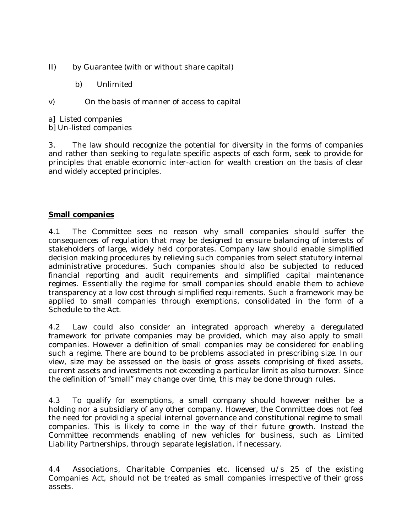- II) by Guarantee (with or without share capital)
	- b) Unlimited
- v) On the basis of manner of access to capital
- a] Listed companies

b] Un-listed companies

3. The law should recognize the potential for diversity in the forms of companies and rather than seeking to regulate specific aspects of each form, seek to provide for principles that enable economic inter-action for wealth creation on the basis of clear and widely accepted principles.

## **Small companies**

4.1 The Committee sees no reason why small companies should suffer the consequences of regulation that may be designed to ensure balancing of interests of stakeholders of large, widely held corporates. Company law should enable simplified decision making procedures by relieving such companies from select statutory internal administrative procedures. Such companies should also be subjected to reduced financial reporting and audit requirements and simplified capital maintenance regimes. Essentially the regime for small companies should enable them to achieve transparency at a low cost through simplified requirements. Such a framework may be applied to small companies through exemptions, consolidated in the form of a Schedule to the Act.

4.2 Law could also consider an integrated approach whereby a deregulated framework for private companies may be provided, which may also apply to small companies. However a definition of small companies may be considered for enabling such a regime. There are bound to be problems associated in prescribing size. In our view, size may be assessed on the basis of gross assets comprising of fixed assets, current assets and investments not exceeding a particular limit as also turnover. Since the definition of "small" may change over time, this may be done through rules.

4.3 To qualify for exemptions, a small company should however neither be a holding nor a subsidiary of any other company. However, the Committee does not feel the need for providing a special internal governance and constitutional regime to small companies. This is likely to come in the way of their future growth. Instead the Committee recommends enabling of new vehicles for business, such as Limited Liability Partnerships, through separate legislation, if necessary.

4.4 Associations, Charitable Companies etc. licensed u/s 25 of the existing Companies Act, should not be treated as small companies irrespective of their gross assets.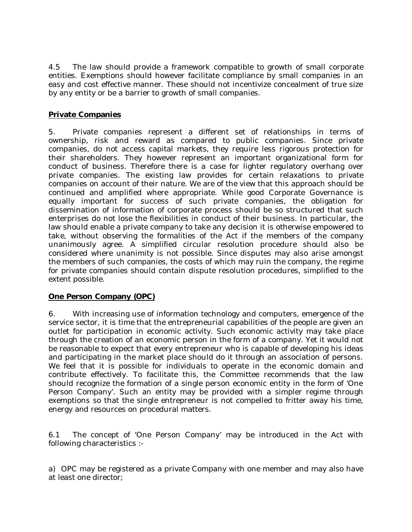4.5 The law should provide a framework compatible to growth of small corporate entities. Exemptions should however facilitate compliance by small companies in an easy and cost effective manner. These should not incentivize concealment of true size by any entity or be a barrier to growth of small companies.

## **Private Companies**

5. Private companies represent a different set of relationships in terms of ownership, risk and reward as compared to public companies. Since private companies, do not access capital markets, they require less rigorous protection for their shareholders. They however represent an important organizational form for conduct of business. Therefore there is a case for lighter regulatory overhang over private companies. The existing law provides for certain relaxations to private companies on account of their nature. We are of the view that this approach should be continued and amplified where appropriate. While good Corporate Governance is equally important for success of such private companies, the obligation for dissemination of information of corporate process should be so structured that such enterprises do not lose the flexibilities in conduct of their business. In particular, the law should enable a private company to take any decision it is otherwise empowered to take, without observing the formalities of the Act if the members of the company unanimously agree. A simplified circular resolution procedure should also be considered where unanimity is not possible. Since disputes may also arise amongst the members of such companies, the costs of which may ruin the company, the regime for private companies should contain dispute resolution procedures, simplified to the extent possible.

## **One Person Company (OPC)**

6. With increasing use of information technology and computers, emergence of the service sector, it is time that the entrepreneurial capabilities of the people are given an outlet for participation in economic activity. Such economic activity may take place through the creation of an economic person in the form of a company. Yet it would not be reasonable to expect that every entrepreneur who is capable of developing his ideas and participating in the market place should do it through an association of persons. We feel that it is possible for individuals to operate in the economic domain and contribute effectively. To facilitate this, the Committee recommends that the law should recognize the formation of a single person economic entity in the form of 'One Person Company'. Such an entity may be provided with a simpler regime through exemptions so that the single entrepreneur is not compelled to fritter away his time, energy and resources on procedural matters.

6.1 The concept of 'One Person Company' may be introduced in the Act with following characteristics :-

a) OPC may be registered as a private Company with one member and may also have at least one director;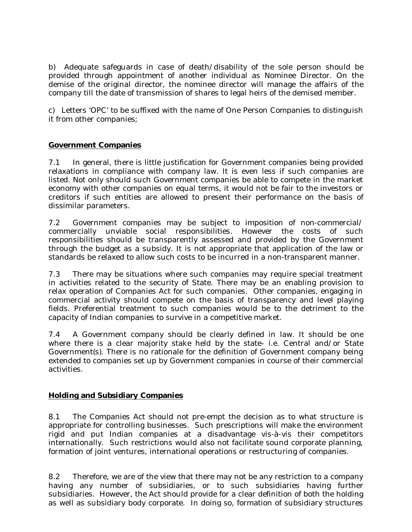b) Adequate safeguards in case of death/disability of the sole person should be provided through appointment of another individual as Nominee Director. On the demise of the original director, the nominee director will manage the affairs of the company till the date of transmission of shares to legal heirs of the demised member.

c) Letters 'OPC' to be suffixed with the name of One Person Companies to distinguish it from other companies;

## **Government Companies**

7.1 In general, there is little justification for Government companies being provided relaxations in compliance with company law. It is even less if such companies are listed. Not only should such Government companies be able to compete in the market economy with other companies on equal terms, it would not be fair to the investors or creditors if such entities are allowed to present their performance on the basis of dissimilar parameters.

7.2 Government companies may be subject to imposition of non-commercial/ commercially unviable social responsibilities. However the costs of such responsibilities should be transparently assessed and provided by the Government through the budget as a subsidy. It is not appropriate that application of the law or standards be relaxed to allow such costs to be incurred in a non-transparent manner.

7.3 There may be situations where such companies may require special treatment in activities related to the security of State. There may be an enabling provision to relax operation of Companies Act for such companies. Other companies, engaging in commercial activity should compete on the basis of transparency and level playing fields. Preferential treatment to such companies would be to the detriment to the capacity of Indian companies to survive in a competitive market.

7.4 A Government company should be clearly defined in law. It should be one where there is a clear majority stake held by the state- i.e. Central and/or State Government(s). There is no rationale for the definition of Government company being extended to companies set up by Government companies in course of their commercial activities.

#### **Holding and Subsidiary Companies**

8.1 The Companies Act should not pre-empt the decision as to what structure is appropriate for controlling businesses. Such prescriptions will make the environment rigid and put Indian companies at a disadvantage vis-à-vis their competitors internationally. Such restrictions would also not facilitate sound corporate planning, formation of joint ventures, international operations or restructuring of companies.

8.2 Therefore, we are of the view that there may not be any restriction to a company having any number of subsidiaries, or to such subsidiaries having further subsidiaries. However, the Act should provide for a clear definition of both the holding as well as subsidiary body corporate. In doing so, formation of subsidiary structures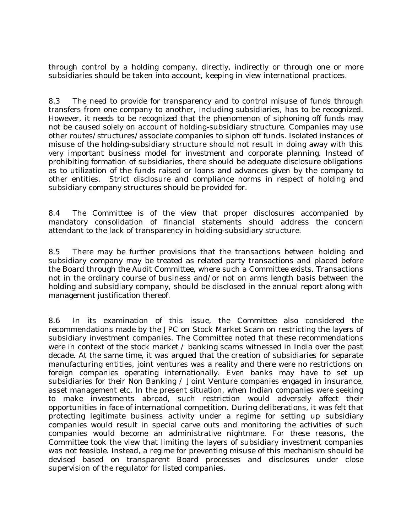through control by a holding company, directly, indirectly or through one or more subsidiaries should be taken into account, keeping in view international practices.

8.3 The need to provide for transparency and to control misuse of funds through transfers from one company to another, including subsidiaries, has to be recognized. However, it needs to be recognized that the phenomenon of siphoning off funds may not be caused solely on account of holding-subsidiary structure. Companies may use other routes/structures/associate companies to siphon off funds. Isolated instances of misuse of the holding-subsidiary structure should not result in doing away with this very important business model for investment and corporate planning. Instead of prohibiting formation of subsidiaries, there should be adequate disclosure obligations as to utilization of the funds raised or loans and advances given by the company to other entities. Strict disclosure and compliance norms in respect of holding and subsidiary company structures should be provided for.

8.4 The Committee is of the view that proper disclosures accompanied by mandatory consolidation of financial statements should address the concern attendant to the lack of transparency in holding-subsidiary structure.

8.5 There may be further provisions that the transactions between holding and subsidiary company may be treated as related party transactions and placed before the Board through the Audit Committee, where such a Committee exists. Transactions not in the ordinary course of business and/or not on arms length basis between the holding and subsidiary company, should be disclosed in the annual report along with management justification thereof.

8.6 In its examination of this issue, the Committee also considered the recommendations made by the JPC on Stock Market Scam on restricting the layers of subsidiary investment companies. The Committee noted that these recommendations were in context of the stock market / banking scams witnessed in India over the past decade. At the same time, it was argued that the creation of subsidiaries for separate manufacturing entities, joint ventures was a reality and there were no restrictions on foreign companies operating internationally. Even banks may have to set up subsidiaries for their Non Banking / Joint Venture companies engaged in insurance, asset management etc. In the present situation, when Indian companies were seeking to make investments abroad, such restriction would adversely affect their opportunities in face of international competition. During deliberations, it was felt that protecting legitimate business activity under a regime for setting up subsidiary companies would result in special carve outs and monitoring the activities of such companies would become an administrative nightmare. For these reasons, the Committee took the view that limiting the layers of subsidiary investment companies was not feasible. Instead, a regime for preventing misuse of this mechanism should be devised based on transparent Board processes and disclosures under close supervision of the regulator for listed companies.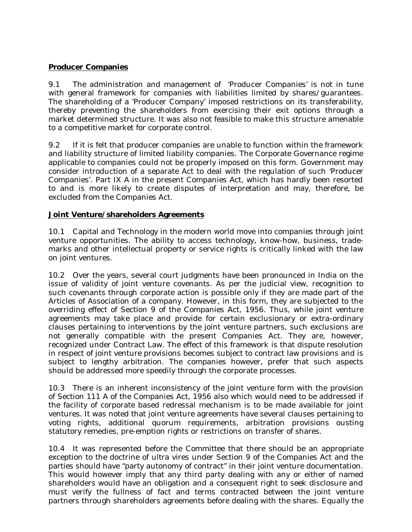## **Producer Companies**

9.1 The administration and management of 'Producer Companies' is not in tune with general framework for companies with liabilities limited by shares/guarantees. The shareholding of a 'Producer Company' imposed restrictions on its transferability, thereby preventing the shareholders from exercising their exit options through a market determined structure. It was also not feasible to make this structure amenable to a competitive market for corporate control.

9.2 If it is felt that producer companies are unable to function within the framework and liability structure of limited liability companies. The Corporate Governance regime applicable to companies could not be properly imposed on this form. Government may consider introduction of a separate Act to deal with the regulation of such 'Producer Companies'. Part IX A in the present Companies Act, which has hardly been resorted to and is more likely to create disputes of interpretation and may, therefore, be excluded from the Companies Act.

## **Joint Venture/shareholders Agreements**

10.1 Capital and Technology in the modern world move into companies through joint venture opportunities. The ability to access technology, know-how, business, trademarks and other intellectual property or service rights is critically linked with the law on joint ventures.

10.2 Over the years, several court judgments have been pronounced in India on the issue of validity of joint venture covenants. As per the judicial view, recognition to such covenants through corporate action is possible only if they are made part of the Articles of Association of a company. However, in this form, they are subjected to the overriding effect of Section 9 of the Companies Act, 1956. Thus, while joint venture agreements may take place and provide for certain exclusionary or extra-ordinary clauses pertaining to interventions by the joint venture partners, such exclusions are not generally compatible with the present Companies Act. They are, however, recognized under Contract Law. The effect of this framework is that dispute resolution in respect of joint venture provisions becomes subject to contract law provisions and is subject to lengthy arbitration. The companies however, prefer that such aspects should be addressed more speedily through the corporate processes.

10.3 There is an inherent inconsistency of the joint venture form with the provision of Section 111 A of the Companies Act, 1956 also which would need to be addressed if the facility of corporate based redressal mechanism is to be made available for joint ventures. It was noted that joint venture agreements have several clauses pertaining to voting rights, additional quorum requirements, arbitration provisions ousting statutory remedies, pre-emption rights or restrictions on transfer of shares.

10.4 It was represented before the Committee that there should be an appropriate exception to the doctrine of ultra vires under Section 9 of the Companies Act and the parties should have "party autonomy of contract" in their joint venture documentation. This would however imply that any third party dealing with any or either of named shareholders would have an obligation and a consequent right to seek disclosure and must verify the fullness of fact and terms contracted between the joint venture partners through shareholders agreements before dealing with the shares. Equally the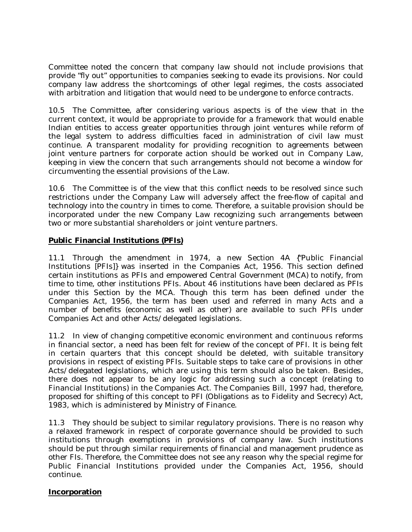Committee noted the concern that company law should not include provisions that provide "fly out" opportunities to companies seeking to evade its provisions. Nor could company law address the shortcomings of other legal regimes, the costs associated with arbitration and litigation that would need to be undergone to enforce contracts.

10.5 The Committee, after considering various aspects is of the view that in the current context, it would be appropriate to provide for a framework that would enable Indian entities to access greater opportunities through joint ventures while reform of the legal system to address difficulties faced in administration of civil law must continue. A transparent modality for providing recognition to agreements between joint venture partners for corporate action should be worked out in Company Law, keeping in view the concern that such arrangements should not become a window for circumventing the essential provisions of the Law.

10.6 The Committee is of the view that this conflict needs to be resolved since such restrictions under the Company Law will adversely affect the free-flow of capital and technology into the country in times to come. Therefore, a suitable provision should be incorporated under the new Company Law recognizing such arrangements between two or more substantial shareholders or joint venture partners.

## **Public Financial Institutions (PFIs)**

11.1 Through the amendment in 1974, a new Section 4A {"Public Financial Institutions [PFIs]} was inserted in the Companies Act, 1956. This section defined certain institutions as PFIs and empowered Central Government (MCA) to notify, from time to time, other institutions PFIs. About 46 institutions have been declared as PFIs under this Section by the MCA. Though this term has been defined under the Companies Act, 1956, the term has been used and referred in many Acts and a number of benefits (economic as well as other) are available to such PFIs under Companies Act and other Acts/delegated legislations.

11.2 In view of changing competitive economic environment and continuous reforms in financial sector, a need has been felt for review of the concept of PFI. It is being felt in certain quarters that this concept should be deleted, with suitable transitory provisions in respect of existing PFIs. Suitable steps to take care of provisions in other Acts/delegated legislations, which are using this term should also be taken. Besides, there does not appear to be any logic for addressing such a concept (relating to Financial Institutions) in the Companies Act. The Companies Bill, 1997 had, therefore, proposed for shifting of this concept to PFI (Obligations as to Fidelity and Secrecy) Act, 1983, which is administered by Ministry of Finance.

11.3 They should be subject to similar regulatory provisions. There is no reason why a relaxed framework in respect of corporate governance should be provided to such institutions through exemptions in provisions of company law. Such institutions should be put through similar requirements of financial and management prudence as other FIs. Therefore, the Committee does not see any reason why the special regime for Public Financial Institutions provided under the Companies Act, 1956, should continue.

#### **Incorporation**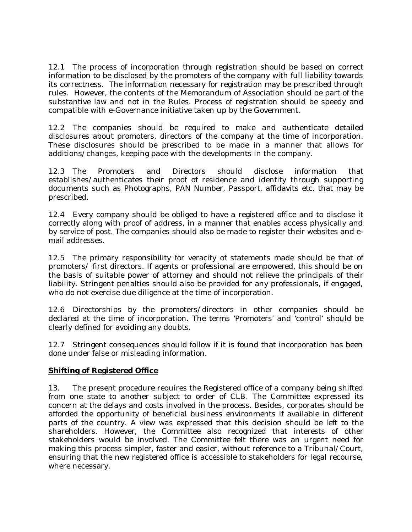12.1 The process of incorporation through registration should be based on correct information to be disclosed by the promoters of the company with full liability towards its correctness. The information necessary for registration may be prescribed through rules. However, the contents of the Memorandum of Association should be part of the substantive law and not in the Rules. Process of registration should be speedy and compatible with e-Governance initiative taken up by the Government.

12.2 The companies should be required to make and authenticate detailed disclosures about promoters, directors of the company at the time of incorporation. These disclosures should be prescribed to be made in a manner that allows for additions/changes, keeping pace with the developments in the company.

12.3 The Promoters and Directors should disclose information that establishes/authenticates their proof of residence and identity through supporting documents such as Photographs, PAN Number, Passport, affidavits etc. that may be prescribed.

12.4 Every company should be obliged to have a registered office and to disclose it correctly along with proof of address, in a manner that enables access physically and by service of post. The companies should also be made to register their websites and email addresses.

12.5 The primary responsibility for veracity of statements made should be that of promoters/ first directors. If agents or professional are empowered, this should be on the basis of suitable power of attorney and should not relieve the principals of their liability. Stringent penalties should also be provided for any professionals, if engaged, who do not exercise due diligence at the time of incorporation.

12.6 Directorships by the promoters/directors in other companies should be declared at the time of incorporation. The terms 'Promoters' and 'control' should be clearly defined for avoiding any doubts.

12.7 Stringent consequences should follow if it is found that incorporation has been done under false or misleading information.

## **Shifting of Registered Office**

13. The present procedure requires the Registered office of a company being shifted from one state to another subject to order of CLB. The Committee expressed its concern at the delays and costs involved in the process. Besides, corporates should be afforded the opportunity of beneficial business environments if available in different parts of the country. A view was expressed that this decision should be left to the shareholders. However, the Committee also recognized that interests of other stakeholders would be involved. The Committee felt there was an urgent need for making this process simpler, faster and easier, without reference to a Tribunal/Court, ensuring that the new registered office is accessible to stakeholders for legal recourse, where necessary.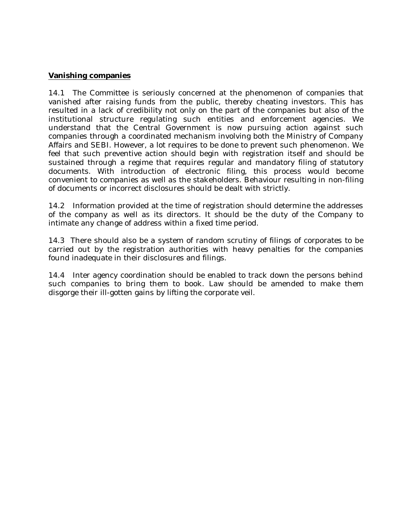#### **Vanishing companies**

14.1 The Committee is seriously concerned at the phenomenon of companies that vanished after raising funds from the public, thereby cheating investors. This has resulted in a lack of credibility not only on the part of the companies but also of the institutional structure regulating such entities and enforcement agencies. We understand that the Central Government is now pursuing action against such companies through a coordinated mechanism involving both the Ministry of Company Affairs and SEBI. However, a lot requires to be done to prevent such phenomenon. We feel that such preventive action should begin with registration itself and should be sustained through a regime that requires regular and mandatory filing of statutory documents. With introduction of electronic filing, this process would become convenient to companies as well as the stakeholders. Behaviour resulting in non-filing of documents or incorrect disclosures should be dealt with strictly.

14.2 Information provided at the time of registration should determine the addresses of the company as well as its directors. It should be the duty of the Company to intimate any change of address within a fixed time period.

14.3 There should also be a system of random scrutiny of filings of corporates to be carried out by the registration authorities with heavy penalties for the companies found inadequate in their disclosures and filings.

14.4 Inter agency coordination should be enabled to track down the persons behind such companies to bring them to book. Law should be amended to make them disgorge their ill-gotten gains by lifting the corporate veil.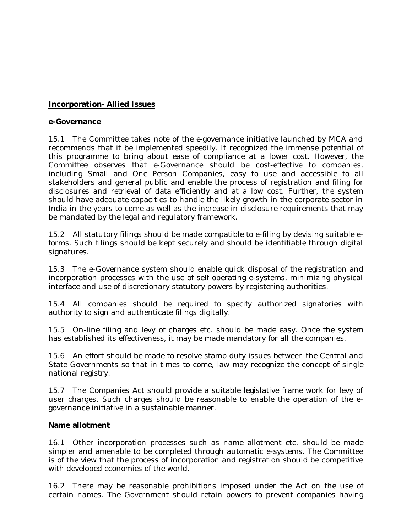## **Incorporation- Allied Issues**

#### **e-Governance**

15.1 The Committee takes note of the e-governance initiative launched by MCA and recommends that it be implemented speedily. It recognized the immense potential of this programme to bring about ease of compliance at a lower cost. However, the Committee observes that e-Governance should be cost-effective to companies, including Small and One Person Companies, easy to use and accessible to all stakeholders and general public and enable the process of registration and filing for disclosures and retrieval of data efficiently and at a low cost. Further, the system should have adequate capacities to handle the likely growth in the corporate sector in India in the years to come as well as the increase in disclosure requirements that may be mandated by the legal and regulatory framework.

15.2 All statutory filings should be made compatible to e-filing by devising suitable eforms. Such filings should be kept securely and should be identifiable through digital signatures.

15.3 The e-Governance system should enable quick disposal of the registration and incorporation processes with the use of self operating e-systems, minimizing physical interface and use of discretionary statutory powers by registering authorities.

15.4 All companies should be required to specify authorized signatories with authority to sign and authenticate filings digitally.

15.5 On-line filing and levy of charges etc. should be made easy. Once the system has established its effectiveness, it may be made mandatory for all the companies.

15.6 An effort should be made to resolve stamp duty issues between the Central and State Governments so that in times to come, law may recognize the concept of single national registry.

15.7 The Companies Act should provide a suitable legislative frame work for levy of user charges. Such charges should be reasonable to enable the operation of the egovernance initiative in a sustainable manner.

#### **Name allotment**

16.1 Other incorporation processes such as name allotment etc. should be made simpler and amenable to be completed through automatic e-systems. The Committee is of the view that the process of incorporation and registration should be competitive with developed economies of the world.

16.2 There may be reasonable prohibitions imposed under the Act on the use of certain names. The Government should retain powers to prevent companies having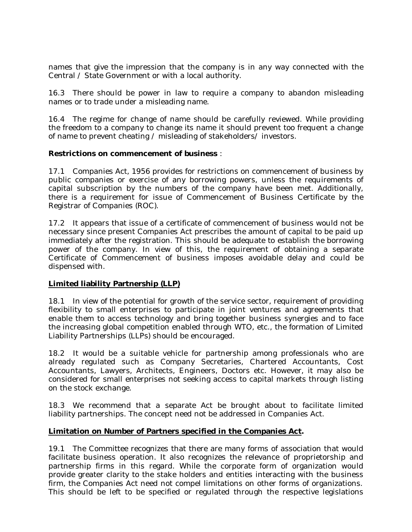names that give the impression that the company is in any way connected with the Central / State Government or with a local authority.

16.3 There should be power in law to require a company to abandon misleading names or to trade under a misleading name.

16.4 The regime for change of name should be carefully reviewed. While providing the freedom to a company to change its name it should prevent too frequent a change of name to prevent cheating / misleading of stakeholders/ investors.

#### **Restrictions on commencement of business** :

17.1 Companies Act, 1956 provides for restrictions on commencement of business by public companies or exercise of any borrowing powers, unless the requirements of capital subscription by the numbers of the company have been met. Additionally, there is a requirement for issue of Commencement of Business Certificate by the Registrar of Companies (ROC).

17.2 It appears that issue of a certificate of commencement of business would not be necessary since present Companies Act prescribes the amount of capital to be paid up immediately after the registration. This should be adequate to establish the borrowing power of the company. In view of this, the requirement of obtaining a separate Certificate of Commencement of business imposes avoidable delay and could be dispensed with.

#### **Limited liability Partnership (LLP)**

18.1 In view of the potential for growth of the service sector, requirement of providing flexibility to small enterprises to participate in joint ventures and agreements that enable them to access technology and bring together business synergies and to face the increasing global competition enabled through WTO, etc., the formation of Limited Liability Partnerships (LLPs) should be encouraged.

18.2 It would be a suitable vehicle for partnership among professionals who are already regulated such as Company Secretaries, Chartered Accountants, Cost Accountants, Lawyers, Architects, Engineers, Doctors etc. However, it may also be considered for small enterprises not seeking access to capital markets through listing on the stock exchange.

18.3 We recommend that a separate Act be brought about to facilitate limited liability partnerships. The concept need not be addressed in Companies Act.

#### **Limitation on Number of Partners specified in the Companies Act.**

19.1 The Committee recognizes that there are many forms of association that would facilitate business operation. It also recognizes the relevance of proprietorship and partnership firms in this regard. While the corporate form of organization would provide greater clarity to the stake holders and entities interacting with the business firm, the Companies Act need not compel limitations on other forms of organizations. This should be left to be specified or regulated through the respective legislations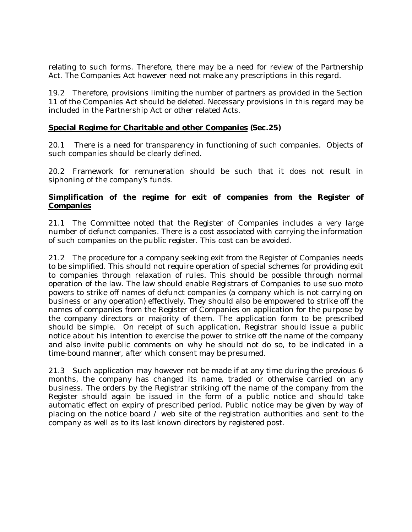relating to such forms. Therefore, there may be a need for review of the Partnership Act. The Companies Act however need not make any prescriptions in this regard.

19.2 Therefore, provisions limiting the number of partners as provided in the Section 11 of the Companies Act should be deleted. Necessary provisions in this regard may be included in the Partnership Act or other related Acts.

#### **Special Regime for Charitable and other Companies (Sec.25)**

20.1 There is a need for transparency in functioning of such companies. Objects of such companies should be clearly defined.

20.2 Framework for remuneration should be such that it does not result in siphoning of the company's funds.

#### **Simplification of the regime for exit of companies from the Register of Companies**

21.1 The Committee noted that the Register of Companies includes a very large number of defunct companies. There is a cost associated with carrying the information of such companies on the public register. This cost can be avoided.

21.2 The procedure for a company seeking exit from the Register of Companies needs to be simplified. This should not require operation of special schemes for providing exit to companies through relaxation of rules. This should be possible through normal operation of the law. The law should enable Registrars of Companies to use suo moto powers to strike off names of defunct companies (a company which is not carrying on business or any operation) effectively. They should also be empowered to strike off the names of companies from the Register of Companies on application for the purpose by the company directors or majority of them. The application form to be prescribed should be simple. On receipt of such application, Registrar should issue a public notice about his intention to exercise the power to strike off the name of the company and also invite public comments on why he should not do so, to be indicated in a time-bound manner, after which consent may be presumed.

21.3 Such application may however not be made if at any time during the previous 6 months, the company has changed its name, traded or otherwise carried on any business. The orders by the Registrar striking off the name of the company from the Register should again be issued in the form of a public notice and should take automatic effect on expiry of prescribed period. Public notice may be given by way of placing on the notice board / web site of the registration authorities and sent to the company as well as to its last known directors by registered post.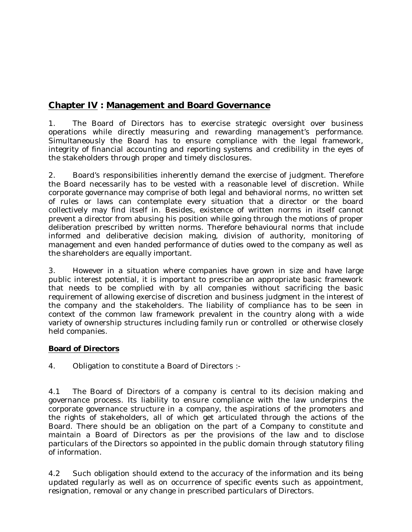# **Chapter IV : Management and Board Governance**

1. The Board of Directors has to exercise strategic oversight over business operations while directly measuring and rewarding management's performance. Simultaneously the Board has to ensure compliance with the legal framework, integrity of financial accounting and reporting systems and credibility in the eyes of the stakeholders through proper and timely disclosures.

2. Board's responsibilities inherently demand the exercise of judgment. Therefore the Board necessarily has to be vested with a reasonable level of discretion. While corporate governance may comprise of both legal and behavioral norms, no written set of rules or laws can contemplate every situation that a director or the board collectively may find itself in. Besides, existence of written norms in itself cannot prevent a director from abusing his position while going through the motions of proper deliberation prescribed by written norms. Therefore behavioural norms that include informed and deliberative decision making, division of authority, monitoring of management and even handed performance of duties owed to the company as well as the shareholders are equally important.

3. However in a situation where companies have grown in size and have large public interest potential, it is important to prescribe an appropriate basic framework that needs to be complied with by all companies without sacrificing the basic requirement of allowing exercise of discretion and business judgment in the interest of the company and the stakeholders. The liability of compliance has to be seen in context of the common law framework prevalent in the country along with a wide variety of ownership structures including family run or controlled or otherwise closely held companies.

## **Board of Directors**

4. Obligation to constitute a Board of Directors :-

4.1 The Board of Directors of a company is central to its decision making and governance process. Its liability to ensure compliance with the law underpins the corporate governance structure in a company, the aspirations of the promoters and the rights of stakeholders, all of which get articulated through the actions of the Board. There should be an obligation on the part of a Company to constitute and maintain a Board of Directors as per the provisions of the law and to disclose particulars of the Directors so appointed in the public domain through statutory filing of information.

4.2 Such obligation should extend to the accuracy of the information and its being updated regularly as well as on occurrence of specific events such as appointment, resignation, removal or any change in prescribed particulars of Directors.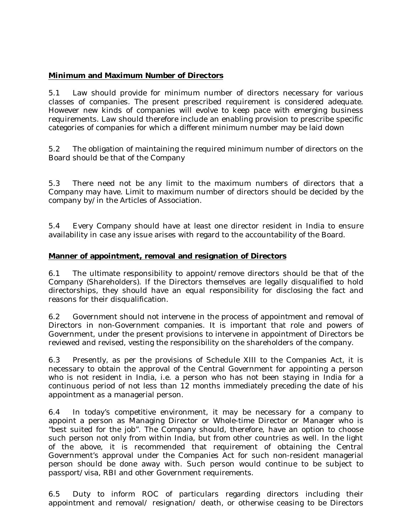## **Minimum and Maximum Number of Directors**

5.1 Law should provide for minimum number of directors necessary for various classes of companies. The present prescribed requirement is considered adequate. However new kinds of companies will evolve to keep pace with emerging business requirements. Law should therefore include an enabling provision to prescribe specific categories of companies for which a different minimum number may be laid down

5.2 The obligation of maintaining the required minimum number of directors on the Board should be that of the Company

5.3 There need not be any limit to the maximum numbers of directors that a Company may have. Limit to maximum number of directors should be decided by the company by/in the Articles of Association.

5.4 Every Company should have at least one director resident in India to ensure availability in case any issue arises with regard to the accountability of the Board.

## **Manner of appointment, removal and resignation of Directors**

6.1 The ultimate responsibility to appoint/remove directors should be that of the Company (Shareholders). If the Directors themselves are legally disqualified to hold directorships, they should have an equal responsibility for disclosing the fact and reasons for their disqualification.

6.2 Government should not intervene in the process of appointment and removal of Directors in non-Government companies. It is important that role and powers of Government, under the present provisions to intervene in appointment of Directors be reviewed and revised, vesting the responsibility on the shareholders of the company.

6.3 Presently, as per the provisions of Schedule XIII to the Companies Act, it is necessary to obtain the approval of the Central Government for appointing a person who is not resident in India, i.e. a person who has not been staying in India for a continuous period of not less than 12 months immediately preceding the date of his appointment as a managerial person.

6.4 In today's competitive environment, it may be necessary for a company to appoint a person as Managing Director or Whole-time Director or Manager who is "best suited for the job". The Company should, therefore, have an option to choose such person not only from within India, but from other countries as well. In the light of the above, it is recommended that requirement of obtaining the Central Government's approval under the Companies Act for such non-resident managerial person should be done away with. Such person would continue to be subject to passport/visa, RBI and other Government requirements.

6.5 Duty to inform ROC of particulars regarding directors including their appointment and removal/ resignation/ death, or otherwise ceasing to be Directors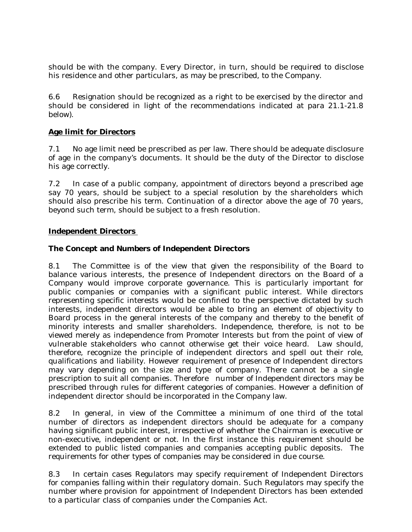should be with the company. Every Director, in turn, should be required to disclose his residence and other particulars, as may be prescribed, to the Company.

6.6 Resignation should be recognized as a right to be exercised by the director and should be considered in light of the recommendations indicated at para 21.1-21.8 below).

#### **Age limit for Directors**

7.1 No age limit need be prescribed as per law. There should be adequate disclosure of age in the company's documents. It should be the duty of the Director to disclose his age correctly.

7.2 In case of a public company, appointment of directors beyond a prescribed age say 70 years, should be subject to a special resolution by the shareholders which should also prescribe his term. Continuation of a director above the age of 70 years, beyond such term, should be subject to a fresh resolution.

## **Independent Directors**

## **The Concept and Numbers of Independent Directors**

8.1 The Committee is of the view that given the responsibility of the Board to balance various interests, the presence of Independent directors on the Board of a Company would improve corporate governance. This is particularly important for public companies or companies with a significant public interest. While directors representing specific interests would be confined to the perspective dictated by such interests, independent directors would be able to bring an element of objectivity to Board process in the general interests of the company and thereby to the benefit of minority interests and smaller shareholders. Independence, therefore, is not to be viewed merely as independence from Promoter Interests but from the point of view of vulnerable stakeholders who cannot otherwise get their voice heard. Law should, therefore, recognize the principle of independent directors and spell out their role, qualifications and liability. However requirement of presence of Independent directors may vary depending on the size and type of company. There cannot be a single prescription to suit all companies. Therefore number of Independent directors may be prescribed through rules for different categories of companies. However a definition of independent director should be incorporated in the Company law.

8.2 In general, in view of the Committee a minimum of one third of the total number of directors as independent directors should be adequate for a company having significant public interest, irrespective of whether the Chairman is executive or non-executive, independent or not. In the first instance this requirement should be extended to public listed companies and companies accepting public deposits. The requirements for other types of companies may be considered in due course.

8.3 In certain cases Regulators may specify requirement of Independent Directors for companies falling within their regulatory domain. Such Regulators may specify the number where provision for appointment of Independent Directors has been extended to a particular class of companies under the Companies Act.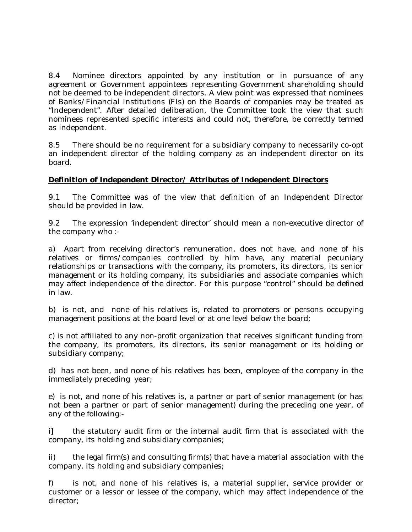8.4 Nominee directors appointed by any institution or in pursuance of any agreement or Government appointees representing Government shareholding should not be deemed to be independent directors. A view point was expressed that nominees of Banks/Financial Institutions (FIs) on the Boards of companies may be treated as "Independent". After detailed deliberation, the Committee took the view that such nominees represented specific interests and could not, therefore, be correctly termed as independent.

8.5 There should be no requirement for a subsidiary company to necessarily co-opt an independent director of the holding company as an independent director on its board.

## **Definition of Independent Director/ Attributes of Independent Directors**

9.1 The Committee was of the view that definition of an Independent Director should be provided in law.

9.2 The expression 'independent director' should mean a non-executive director of the company who :-

a) Apart from receiving director's remuneration, does not have, and none of his relatives or firms/companies controlled by him have, any material pecuniary relationships or transactions with the company, its promoters, its directors, its senior management or its holding company, its subsidiaries and associate companies which may affect independence of the director. For this purpose "control" should be defined in law.

b) is not, and none of his relatives is, related to promoters or persons occupying management positions at the board level or at one level below the board;

c) is not affiliated to any non-profit organization that receives significant funding from the company, its promoters, its directors, its senior management or its holding or subsidiary company;

d) has not been, and none of his relatives has been, employee of the company in the immediately preceding year;

e) is not, and none of his relatives is, a partner or part of senior management (or has not been a partner or part of senior management) during the preceding one year, of any of the following:-

i] the statutory audit firm or the internal audit firm that is associated with the company, its holding and subsidiary companies;

ii) the legal firm(s) and consulting firm(s) that have a material association with the company, its holding and subsidiary companies;

f) is not, and none of his relatives is, a material supplier, service provider or customer or a lessor or lessee of the company, which may affect independence of the director;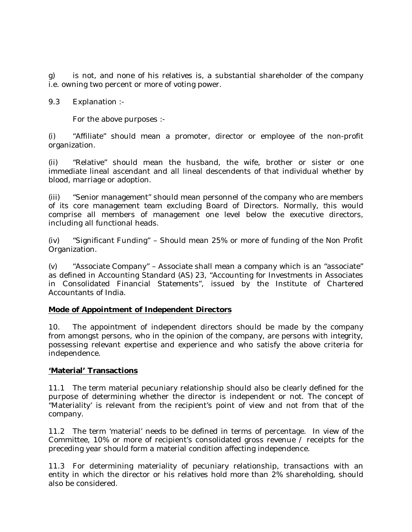g) is not, and none of his relatives is, a substantial shareholder of the company i.e. owning two percent or more of voting power.

9.3 Explanation :-

For the above purposes :-

(i) "Affiliate" should mean a promoter, director or employee of the non-profit organization.

(ii) "Relative" should mean the husband, the wife, brother or sister or one immediate lineal ascendant and all lineal descendents of that individual whether by blood, marriage or adoption.

(iii) "Senior management" should mean personnel of the company who are members of its core management team excluding Board of Directors. Normally, this would comprise all members of management one level below the executive directors, including all functional heads.

(iv) "Significant Funding" – Should mean 25% or more of funding of the Non Profit Organization.

(v) "Associate Company" – Associate shall mean a company which is an "associate" as defined in Accounting Standard (AS) 23, "Accounting for Investments in Associates in Consolidated Financial Statements", issued by the Institute of Chartered Accountants of India.

#### **Mode of Appointment of Independent Directors**

10. The appointment of independent directors should be made by the company from amongst persons, who in the opinion of the company, are persons with integrity, possessing relevant expertise and experience and who satisfy the above criteria for independence.

#### **'Material' Transactions**

11.1 The term material pecuniary relationship should also be clearly defined for the purpose of determining whether the director is independent or not. The concept of "Materiality' is relevant from the recipient's point of view and not from that of the company.

11.2 The term 'material' needs to be defined in terms of percentage. In view of the Committee, 10% or more of recipient's consolidated gross revenue / receipts for the preceding year should form a material condition affecting independence.

11.3 For determining materiality of pecuniary relationship, transactions with an entity in which the director or his relatives hold more than 2% shareholding, should also be considered.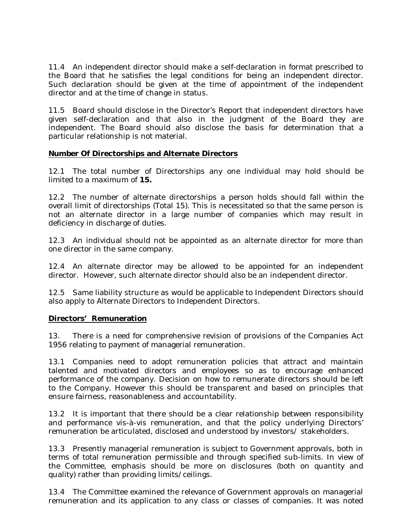11.4 An independent director should make a self-declaration in format prescribed to the Board that he satisfies the legal conditions for being an independent director. Such declaration should be given at the time of appointment of the independent director and at the time of change in status.

11.5 Board should disclose in the Director's Report that independent directors have given self-declaration and that also in the judgment of the Board they are independent. The Board should also disclose the basis for determination that a particular relationship is not material.

## **Number Of Directorships and Alternate Directors**

12.1 The total number of Directorships any one individual may hold should be limited to a maximum of **15.** 

12.2 The number of alternate directorships a person holds should fall within the overall limit of directorships (Total 15). This is necessitated so that the same person is not an alternate director in a large number of companies which may result in deficiency in discharge of duties.

12.3 An individual should not be appointed as an alternate director for more than one director in the same company.

12.4 An alternate director may be allowed to be appointed for an independent director. However, such alternate director should also be an independent director.

12.5 Same liability structure as would be applicable to Independent Directors should also apply to Alternate Directors to Independent Directors.

## **Directors' Remuneration**

13. There is a need for comprehensive revision of provisions of the Companies Act 1956 relating to payment of managerial remuneration.

13.1 Companies need to adopt remuneration policies that attract and maintain talented and motivated directors and employees so as to encourage enhanced performance of the company. Decision on how to remunerate directors should be left to the Company. However this should be transparent and based on principles that ensure fairness, reasonableness and accountability.

13.2 It is important that there should be a clear relationship between responsibility and performance vis-à-vis remuneration, and that the policy underlying Directors' remuneration be articulated, disclosed and understood by investors/ stakeholders.

13.3 Presently managerial remuneration is subject to Government approvals, both in terms of total remuneration permissible and through specified sub-limits. In view of the Committee, emphasis should be more on disclosures (both on quantity and quality) rather than providing limits/ceilings.

13.4 The Committee examined the relevance of Government approvals on managerial remuneration and its application to any class or classes of companies. It was noted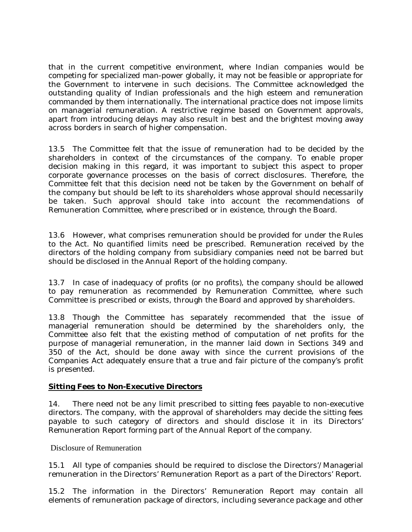that in the current competitive environment, where Indian companies would be competing for specialized man-power globally, it may not be feasible or appropriate for the Government to intervene in such decisions. The Committee acknowledged the outstanding quality of Indian professionals and the high esteem and remuneration commanded by them internationally. The international practice does not impose limits on managerial remuneration. A restrictive regime based on Government approvals, apart from introducing delays may also result in best and the brightest moving away across borders in search of higher compensation.

13.5 The Committee felt that the issue of remuneration had to be decided by the shareholders in context of the circumstances of the company. To enable proper decision making in this regard, it was important to subject this aspect to proper corporate governance processes on the basis of correct disclosures. Therefore, the Committee felt that this decision need not be taken by the Government on behalf of the company but should be left to its shareholders whose approval should necessarily be taken. Such approval should take into account the recommendations of Remuneration Committee, where prescribed or in existence, through the Board.

13.6 However, what comprises remuneration should be provided for under the Rules to the Act. No quantified limits need be prescribed. Remuneration received by the directors of the holding company from subsidiary companies need not be barred but should be disclosed in the Annual Report of the holding company.

13.7 In case of inadequacy of profits (or no profits), the company should be allowed to pay remuneration as recommended by Remuneration Committee, where such Committee is prescribed or exists, through the Board and approved by shareholders.

13.8 Though the Committee has separately recommended that the issue of managerial remuneration should be determined by the shareholders only, the Committee also felt that the existing method of computation of net profits for the purpose of managerial remuneration, in the manner laid down in Sections 349 and 350 of the Act, should be done away with since the current provisions of the Companies Act adequately ensure that a true and fair picture of the company's profit is presented.

## **Sitting Fees to Non-Executive Directors**

14. There need not be any limit prescribed to sitting fees payable to non-executive directors. The company, with the approval of shareholders may decide the sitting fees payable to such category of directors and should disclose it in its Directors' Remuneration Report forming part of the Annual Report of the company.

#### Disclosure of Remuneration

15.1 All type of companies should be required to disclose the Directors'/Managerial remuneration in the Directors' Remuneration Report as a part of the Directors' Report.

15.2 The information in the Directors' Remuneration Report may contain all elements of remuneration package of directors, including severance package and other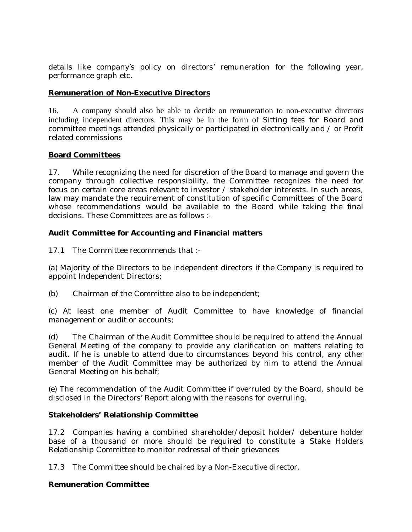details like company's policy on directors' remuneration for the following year, performance graph etc.

## **Remuneration of Non-Executive Directors**

16. A company should also be able to decide on remuneration to non-executive directors including independent directors. This may be in the form of Sitting fees for Board and committee meetings attended physically or participated in electronically and / or Profit related commissions

## **Board Committees**

17. While recognizing the need for discretion of the Board to manage and govern the company through collective responsibility, the Committee recognizes the need for focus on certain core areas relevant to investor / stakeholder interests. In such areas, law may mandate the requirement of constitution of specific Committees of the Board whose recommendations would be available to the Board while taking the final decisions. These Committees are as follows :-

## **Audit Committee for Accounting and Financial matters**

17.1 The Committee recommends that :-

(a) Majority of the Directors to be independent directors if the Company is required to appoint Independent Directors;

(b) Chairman of the Committee also to be independent;

(c) At least one member of Audit Committee to have knowledge of financial management or audit or accounts;

(d) The Chairman of the Audit Committee should be required to attend the Annual General Meeting of the company to provide any clarification on matters relating to audit. If he is unable to attend due to circumstances beyond his control, any other member of the Audit Committee may be authorized by him to attend the Annual General Meeting on his behalf;

(e) The recommendation of the Audit Committee if overruled by the Board, should be disclosed in the Directors' Report along with the reasons for overruling.

#### **Stakeholders' Relationship Committee**

17.2 Companies having a combined shareholder/deposit holder/ debenture holder base of a thousand or more should be required to constitute a Stake Holders Relationship Committee to monitor redressal of their grievances

17.3 The Committee should be chaired by a Non-Executive director.

#### **Remuneration Committee**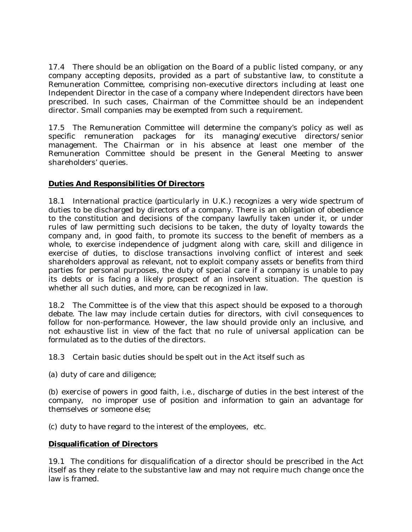17.4 There should be an obligation on the Board of a public listed company, or any company accepting deposits, provided as a part of substantive law, to constitute a Remuneration Committee, comprising non-executive directors including at least one Independent Director in the case of a company where Independent directors have been prescribed. In such cases, Chairman of the Committee should be an independent director. Small companies may be exempted from such a requirement.

17.5 The Remuneration Committee will determine the company's policy as well as specific remuneration packages for its managing/executive directors/senior management. The Chairman or in his absence at least one member of the Remuneration Committee should be present in the General Meeting to answer shareholders' queries.

## **Duties And Responsibilities Of Directors**

18.1 International practice (particularly in U.K.) recognizes a very wide spectrum of duties to be discharged by directors of a company. There is an obligation of obedience to the constitution and decisions of the company lawfully taken under it, or under rules of law permitting such decisions to be taken, the duty of loyalty towards the company and, in good faith, to promote its success to the benefit of members as a whole, to exercise independence of judgment along with care, skill and diligence in exercise of duties, to disclose transactions involving conflict of interest and seek shareholders approval as relevant, not to exploit company assets or benefits from third parties for personal purposes, the duty of special care if a company is unable to pay its debts or is facing a likely prospect of an insolvent situation. The question is whether all such duties, and more, can be recognized in law.

18.2 The Committee is of the view that this aspect should be exposed to a thorough debate. The law may include certain duties for directors, with civil consequences to follow for non-performance. However, the law should provide only an inclusive, and not exhaustive list in view of the fact that no rule of universal application can be formulated as to the duties of the directors.

18.3 Certain basic duties should be spelt out in the Act itself such as

(a) duty of care and diligence;

(b) exercise of powers in good faith, i.e., discharge of duties in the best interest of the company, no improper use of position and information to gain an advantage for themselves or someone else;

(c) duty to have regard to the interest of the employees, etc.

#### **Disqualification of Directors**

19.1 The conditions for disqualification of a director should be prescribed in the Act itself as they relate to the substantive law and may not require much change once the law is framed.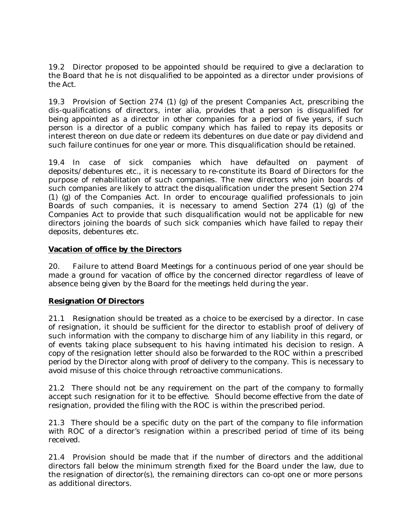19.2 Director proposed to be appointed should be required to give a declaration to the Board that he is not disqualified to be appointed as a director under provisions of the Act.

19.3 Provision of Section 274 (1) (g) of the present Companies Act, prescribing the dis-qualifications of directors, inter alia, provides that a person is disqualified for being appointed as a director in other companies for a period of five years, if such person is a director of a public company which has failed to repay its deposits or interest thereon on due date or redeem its debentures on due date or pay dividend and such failure continues for one year or more. This disqualification should be retained.

19.4 In case of sick companies which have defaulted on payment of deposits/debentures etc., it is necessary to re-constitute its Board of Directors for the purpose of rehabilitation of such companies. The new directors who join boards of such companies are likely to attract the disqualification under the present Section 274 (1) (g) of the Companies Act. In order to encourage qualified professionals to join Boards of such companies, it is necessary to amend Section 274 (1) (g) of the Companies Act to provide that such disqualification would not be applicable for new directors joining the boards of such sick companies which have failed to repay their deposits, debentures etc.

## **Vacation of office by the Directors**

20. Failure to attend Board Meetings for a continuous period of one year should be made a ground for vacation of office by the concerned director regardless of leave of absence being given by the Board for the meetings held during the year.

## **Resignation Of Directors**

21.1 Resignation should be treated as a choice to be exercised by a director. In case of resignation, it should be sufficient for the director to establish proof of delivery of such information with the company to discharge him of any liability in this regard, or of events taking place subsequent to his having intimated his decision to resign. A copy of the resignation letter should also be forwarded to the ROC within a prescribed period by the Director along with proof of delivery to the company. This is necessary to avoid misuse of this choice through retroactive communications.

21.2 There should not be any requirement on the part of the company to formally accept such resignation for it to be effective. Should become effective from the date of resignation, provided the filing with the ROC is within the prescribed period.

21.3 There should be a specific duty on the part of the company to file information with ROC of a director's resignation within a prescribed period of time of its being received.

21.4 Provision should be made that if the number of directors and the additional directors fall below the minimum strength fixed for the Board under the law, due to the resignation of director(s), the remaining directors can co-opt one or more persons as additional directors.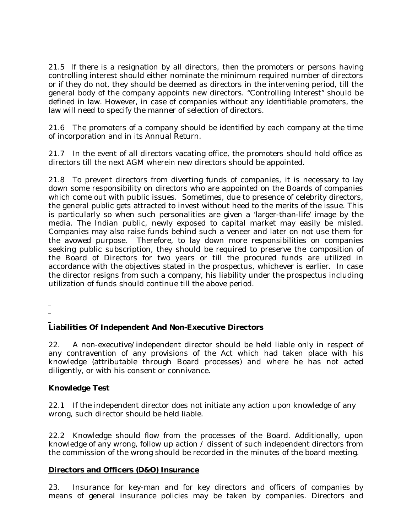21.5 If there is a resignation by all directors, then the promoters or persons having controlling interest should either nominate the minimum required number of directors or if they do not, they should be deemed as directors in the intervening period, till the general body of the company appoints new directors. "Controlling Interest" should be defined in law. However, in case of companies without any identifiable promoters, the law will need to specify the manner of selection of directors.

21.6 The promoters of a company should be identified by each company at the time of incorporation and in its Annual Return.

21.7 In the event of all directors vacating office, the promoters should hold office as directors till the next AGM wherein new directors should be appointed.

21.8 To prevent directors from diverting funds of companies, it is necessary to lay down some responsibility on directors who are appointed on the Boards of companies which come out with public issues. Sometimes, due to presence of celebrity directors, the general public gets attracted to invest without heed to the merits of the issue. This is particularly so when such personalities are given a 'larger-than-life' image by the media. The Indian public, newly exposed to capital market may easily be misled. Companies may also raise funds behind such a veneer and later on not use them for the avowed purpose. Therefore, to lay down more responsibilities on companies seeking public subscription, they should be required to preserve the composition of the Board of Directors for two years or till the procured funds are utilized in accordance with the objectives stated in the prospectus, whichever is earlier. In case the director resigns from such a company, his liability under the prospectus including utilization of funds should continue till the above period.

## **Liabilities Of Independent And Non-Executive Directors**

22. A non-executive/independent director should be held liable only in respect of any contravention of any provisions of the Act which had taken place with his knowledge (attributable through Board processes) and where he has not acted diligently, or with his consent or connivance.

#### **Knowledge Test**

22.1 If the independent director does not initiate any action upon knowledge of any wrong, such director should be held liable.

22.2 Knowledge should flow from the processes of the Board. Additionally, upon knowledge of any wrong, follow up action  $\ell$  dissent of such independent directors from the commission of the wrong should be recorded in the minutes of the board meeting.

#### **Directors and Officers (D&O) Insurance**

23. Insurance for key-man and for key directors and officers of companies by means of general insurance policies may be taken by companies. Directors and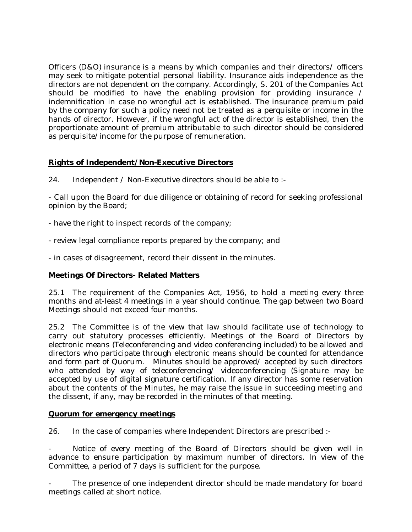Officers (D&O) insurance is a means by which companies and their directors/ officers may seek to mitigate potential personal liability. Insurance aids independence as the directors are not dependent on the company. Accordingly, S. 201 of the Companies Act should be modified to have the enabling provision for providing insurance / indemnification in case no wrongful act is established. The insurance premium paid by the company for such a policy need not be treated as a perquisite or income in the hands of director. However, if the wrongful act of the director is established, then the proportionate amount of premium attributable to such director should be considered as perquisite/income for the purpose of remuneration.

## **Rights of Independent/Non-Executive Directors**

24. Independent / Non-Executive directors should be able to :-

- Call upon the Board for due diligence or obtaining of record for seeking professional opinion by the Board;

- have the right to inspect records of the company;
- review legal compliance reports prepared by the company; and
- in cases of disagreement, record their dissent in the minutes.

## **Meetings Of Directors- Related Matters**

25.1 The requirement of the Companies Act, 1956, to hold a meeting every three months and at-least 4 meetings in a year should continue. The gap between two Board Meetings should not exceed four months.

25.2 The Committee is of the view that law should facilitate use of technology to carry out statutory processes efficiently. Meetings of the Board of Directors by electronic means (Teleconferencing and video conferencing included) to be allowed and directors who participate through electronic means should be counted for attendance and form part of Quorum. Minutes should be approved/ accepted by such directors who attended by way of teleconferencing/ videoconferencing (Signature may be accepted by use of digital signature certification. If any director has some reservation about the contents of the Minutes, he may raise the issue in succeeding meeting and the dissent, if any, may be recorded in the minutes of that meeting.

## **Quorum for emergency meetings**

26. In the case of companies where Independent Directors are prescribed :-

Notice of every meeting of the Board of Directors should be given well in advance to ensure participation by maximum number of directors. In view of the Committee, a period of 7 days is sufficient for the purpose.

The presence of one independent director should be made mandatory for board meetings called at short notice.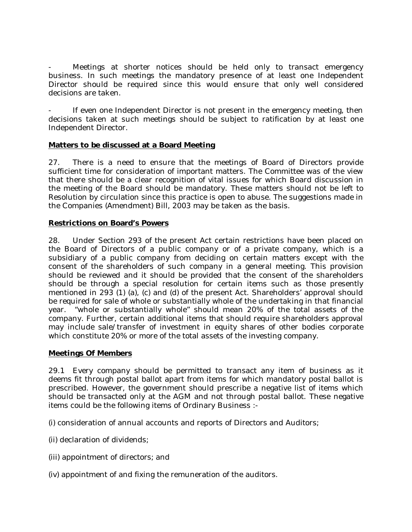Meetings at shorter notices should be held only to transact emergency business. In such meetings the mandatory presence of at least one Independent Director should be required since this would ensure that only well considered decisions are taken.

If even one Independent Director is not present in the emergency meeting, then decisions taken at such meetings should be subject to ratification by at least one Independent Director.

#### **Matters to be discussed at a Board Meeting**

27. There is a need to ensure that the meetings of Board of Directors provide sufficient time for consideration of important matters. The Committee was of the view that there should be a clear recognition of vital issues for which Board discussion in the meeting of the Board should be mandatory. These matters should not be left to Resolution by circulation since this practice is open to abuse. The suggestions made in the Companies (Amendment) Bill, 2003 may be taken as the basis.

#### **Restrictions on Board's Powers**

28. Under Section 293 of the present Act certain restrictions have been placed on the Board of Directors of a public company or of a private company, which is a subsidiary of a public company from deciding on certain matters except with the consent of the shareholders of such company in a general meeting. This provision should be reviewed and it should be provided that the consent of the shareholders should be through a special resolution for certain items such as those presently mentioned in 293 (1) (a), (c) and (d) of the present Act. Shareholders' approval should be required for sale of whole or substantially whole of the undertaking in that financial year. "whole or substantially whole" should mean 20% of the total assets of the company. Further, certain additional items that should require shareholders approval may include sale/transfer of investment in equity shares of other bodies corporate which constitute 20% or more of the total assets of the investing company.

#### **Meetings Of Members**

29.1 Every company should be permitted to transact any item of business as it deems fit through postal ballot apart from items for which mandatory postal ballot is prescribed. However, the government should prescribe a negative list of items which should be transacted only at the AGM and not through postal ballot. These negative items could be the following items of Ordinary Business :-

(i) consideration of annual accounts and reports of Directors and Auditors;

(ii) declaration of dividends;

- (iii) appointment of directors; and
- (iv) appointment of and fixing the remuneration of the auditors.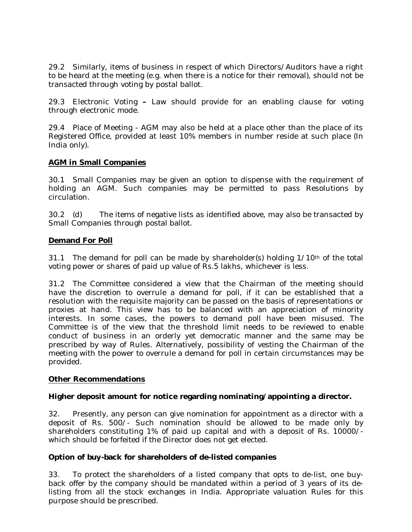29.2 Similarly, items of business in respect of which Directors/Auditors have a right to be heard at the meeting (e.g. when there is a notice for their removal), should not be transacted through voting by postal ballot.

29.3 Electronic Voting **–** Law should provide for an enabling clause for voting through electronic mode.

29.4 Place of Meeting - AGM may also be held at a place other than the place of its Registered Office, provided at least 10% members in number reside at such place (In India only).

## **AGM in Small Companies**

30.1 Small Companies may be given an option to dispense with the requirement of holding an AGM. Such companies may be permitted to pass Resolutions by circulation.

30.2 (d) The items of negative lists as identified above, may also be transacted by Small Companies through postal ballot.

#### **Demand For Poll**

31.1 The demand for poll can be made by shareholder(s) holding  $1/10<sup>th</sup>$  of the total voting power or shares of paid up value of Rs.5 lakhs, whichever is less.

31.2 The Committee considered a view that the Chairman of the meeting should have the discretion to overrule a demand for poll, if it can be established that a resolution with the requisite majority can be passed on the basis of representations or proxies at hand. This view has to be balanced with an appreciation of minority interests. In some cases, the powers to demand poll have been misused. The Committee is of the view that the threshold limit needs to be reviewed to enable conduct of business in an orderly yet democratic manner and the same may be prescribed by way of Rules. Alternatively, possibility of vesting the Chairman of the meeting with the power to overrule a demand for poll in certain circumstances may be provided.

#### **Other Recommendations**

#### **Higher deposit amount for notice regarding nominating/appointing a director.**

32. Presently, any person can give nomination for appointment as a director with a deposit of Rs. 500/- Such nomination should be allowed to be made only by shareholders constituting 1% of paid up capital and with a deposit of Rs. 10000/ which should be forfeited if the Director does not get elected.

#### **Option of buy-back for shareholders of de-listed companies**

33. To protect the shareholders of a listed company that opts to de-list, one buyback offer by the company should be mandated within a period of 3 years of its delisting from all the stock exchanges in India. Appropriate valuation Rules for this purpose should be prescribed.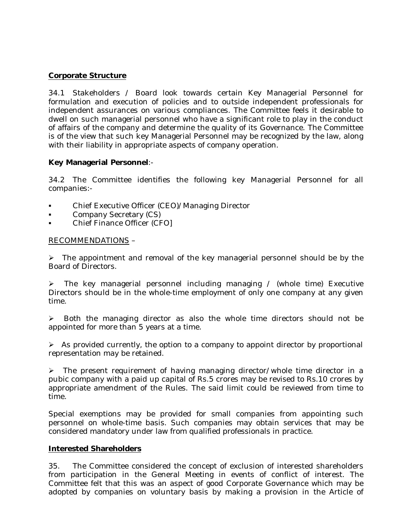## **Corporate Structure**

34.1 Stakeholders / Board look towards certain Key Managerial Personnel for formulation and execution of policies and to outside independent professionals for independent assurances on various compliances. The Committee feels it desirable to dwell on such managerial personnel who have a significant role to play in the conduct of affairs of the company and determine the quality of its Governance. The Committee is of the view that such key Managerial Personnel may be recognized by the law, along with their liability in appropriate aspects of company operation.

## **Key Managerial Personnel**:-

34.2 The Committee identifies the following key Managerial Personnel for all companies:-

- ß Chief Executive Officer (CEO)/Managing Director
- ß Company Secretary (CS)
- ß Chief Finance Officer (CFO]

#### RECOMMENDATIONS –

 $\triangleright$  The appointment and removal of the key managerial personnel should be by the Board of Directors.

 $\triangleright$  The key managerial personnel including managing / (whole time) Executive Directors should be in the whole-time employment of only one company at any given time.

 $\triangleright$  Both the managing director as also the whole time directors should not be appointed for more than 5 years at a time.

 $\triangleright$  As provided currently, the option to a company to appoint director by proportional representation may be retained.

 $\triangleright$  The present requirement of having managing director/whole time director in a pubic company with a paid up capital of Rs.5 crores may be revised to Rs.10 crores by appropriate amendment of the Rules. The said limit could be reviewed from time to time.

Special exemptions may be provided for small companies from appointing such personnel on whole-time basis. Such companies may obtain services that may be considered mandatory under law from qualified professionals in practice.

#### **Interested Shareholders**

35. The Committee considered the concept of exclusion of interested shareholders from participation in the General Meeting in events of conflict of interest. The Committee felt that this was an aspect of good Corporate Governance which may be adopted by companies on voluntary basis by making a provision in the Article of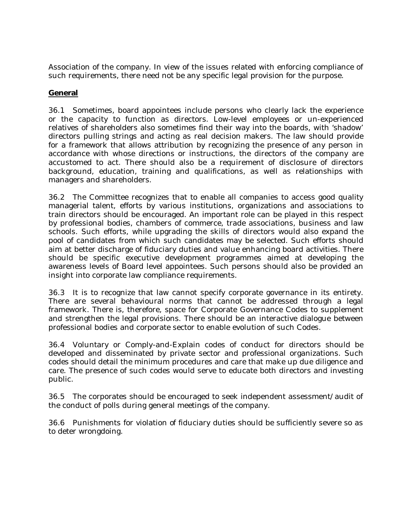Association of the company. In view of the issues related with enforcing compliance of such requirements, there need not be any specific legal provision for the purpose.

## **General**

36.1 Sometimes, board appointees include persons who clearly lack the experience or the capacity to function as directors. Low-level employees or un-experienced relatives of shareholders also sometimes find their way into the boards, with 'shadow' directors pulling strings and acting as real decision makers. The law should provide for a framework that allows attribution by recognizing the presence of any person in accordance with whose directions or instructions, the directors of the company are accustomed to act. There should also be a requirement of disclosure of directors background, education, training and qualifications, as well as relationships with managers and shareholders.

36.2 The Committee recognizes that to enable all companies to access good quality managerial talent, efforts by various institutions, organizations and associations to train directors should be encouraged. An important role can be played in this respect by professional bodies, chambers of commerce, trade associations, business and law schools. Such efforts, while upgrading the skills of directors would also expand the pool of candidates from which such candidates may be selected. Such efforts should aim at better discharge of fiduciary duties and value enhancing board activities. There should be specific executive development programmes aimed at developing the awareness levels of Board level appointees. Such persons should also be provided an insight into corporate law compliance requirements.

36.3 It is to recognize that law cannot specify corporate governance in its entirety. There are several behavioural norms that cannot be addressed through a legal framework. There is, therefore, space for Corporate Governance Codes to supplement and strengthen the legal provisions. There should be an interactive dialogue between professional bodies and corporate sector to enable evolution of such Codes.

36.4 Voluntary or Comply-and-Explain codes of conduct for directors should be developed and disseminated by private sector and professional organizations. Such codes should detail the minimum procedures and care that make up due diligence and care. The presence of such codes would serve to educate both directors and investing public.

36.5 The corporates should be encouraged to seek independent assessment/audit of the conduct of polls during general meetings of the company.

36.6 Punishments for violation of fiduciary duties should be sufficiently severe so as to deter wrongdoing.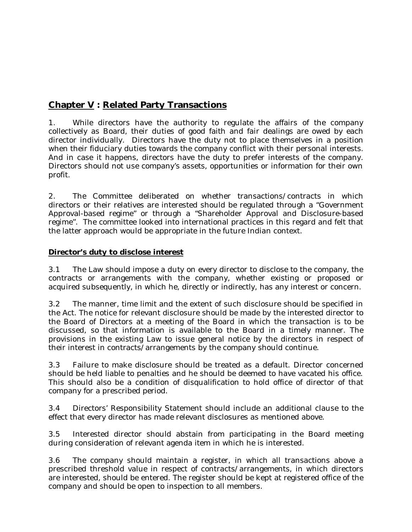# **Chapter V : Related Party Transactions**

1. While directors have the authority to regulate the affairs of the company collectively as Board, their duties of good faith and fair dealings are owed by each director individually. Directors have the duty not to place themselves in a position when their fiduciary duties towards the company conflict with their personal interests. And in case it happens, directors have the duty to prefer interests of the company. Directors should not use company's assets, opportunities or information for their own profit.

2. The Committee deliberated on whether transactions/contracts in which directors or their relatives are interested should be regulated through a "Government Approval-based regime" or through a "Shareholder Approval and Disclosure-based regime". The committee looked into international practices in this regard and felt that the latter approach would be appropriate in the future Indian context.

## **Director's duty to disclose interest**

3.1 The Law should impose a duty on every director to disclose to the company, the contracts or arrangements with the company, whether existing or proposed or acquired subsequently, in which he, directly or indirectly, has any interest or concern.

3.2 The manner, time limit and the extent of such disclosure should be specified in the Act. The notice for relevant disclosure should be made by the interested director to the Board of Directors at a meeting of the Board in which the transaction is to be discussed, so that information is available to the Board in a timely manner. The provisions in the existing Law to issue general notice by the directors in respect of their interest in contracts/arrangements by the company should continue.

3.3 Failure to make disclosure should be treated as a default. Director concerned should be held liable to penalties and he should be deemed to have vacated his office. This should also be a condition of disqualification to hold office of director of that company for a prescribed period.

3.4 Directors' Responsibility Statement should include an additional clause to the effect that every director has made relevant disclosures as mentioned above.

3.5 Interested director should abstain from participating in the Board meeting during consideration of relevant agenda item in which he is interested.

3.6 The company should maintain a register, in which all transactions above a prescribed threshold value in respect of contracts/arrangements, in which directors are interested, should be entered. The register should be kept at registered office of the company and should be open to inspection to all members.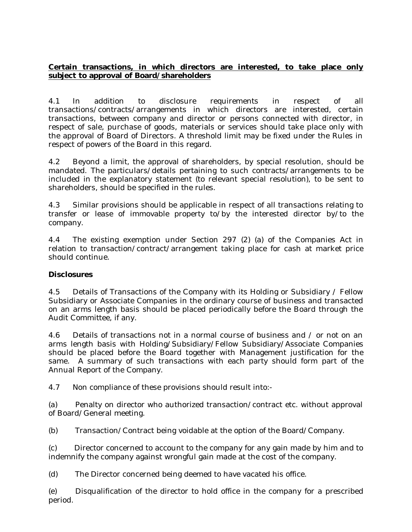# **Certain transactions, in which directors are interested, to take place only subject to approval of Board/shareholders**

4.1 In addition to disclosure requirements in respect of all transactions/contracts/arrangements in which directors are interested, certain transactions, between company and director or persons connected with director, in respect of sale, purchase of goods, materials or services should take place only with the approval of Board of Directors. A threshold limit may be fixed under the Rules in respect of powers of the Board in this regard.

4.2 Beyond a limit, the approval of shareholders, by special resolution, should be mandated. The particulars/details pertaining to such contracts/arrangements to be included in the explanatory statement (to relevant special resolution), to be sent to shareholders, should be specified in the rules.

4.3 Similar provisions should be applicable in respect of all transactions relating to transfer or lease of immovable property to/by the interested director by/to the company.

4.4 The existing exemption under Section 297 (2) (a) of the Companies Act in relation to transaction/contract/arrangement taking place for cash at market price should continue.

# **Disclosures**

4.5 Details of Transactions of the Company with its Holding or Subsidiary / Fellow Subsidiary or Associate Companies in the ordinary course of business and transacted on an arms length basis should be placed periodically before the Board through the Audit Committee, if any.

4.6 Details of transactions not in a normal course of business and / or not on an arms length basis with Holding/Subsidiary/Fellow Subsidiary/Associate Companies should be placed before the Board together with Management justification for the same. A summary of such transactions with each party should form part of the Annual Report of the Company.

4.7 Non compliance of these provisions should result into:-

(a) Penalty on director who authorized transaction/contract etc. without approval of Board/General meeting.

(b) Transaction/Contract being voidable at the option of the Board/Company.

(c) Director concerned to account to the company for any gain made by him and to indemnify the company against wrongful gain made at the cost of the company.

(d) The Director concerned being deemed to have vacated his office.

(e) Disqualification of the director to hold office in the company for a prescribed period.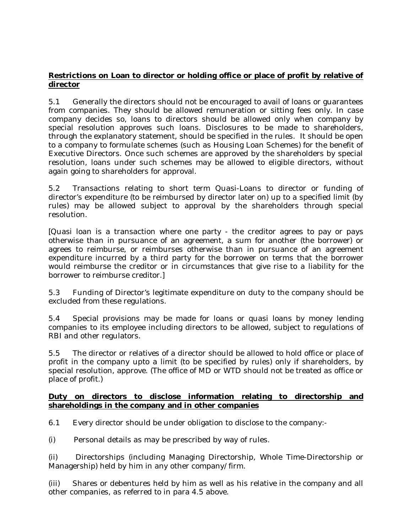# **Restrictions on Loan to director or holding office or place of profit by relative of director**

5.1 Generally the directors should not be encouraged to avail of loans or guarantees from companies. They should be allowed remuneration or sitting fees only. In case company decides so, loans to directors should be allowed only when company by special resolution approves such loans. Disclosures to be made to shareholders, through the explanatory statement, should be specified in the rules. It should be open to a company to formulate schemes (such as Housing Loan Schemes) for the benefit of Executive Directors. Once such schemes are approved by the shareholders by special resolution, loans under such schemes may be allowed to eligible directors, without again going to shareholders for approval.

5.2 Transactions relating to short term Quasi-Loans to director or funding of director's expenditure (to be reimbursed by director later on) up to a specified limit (by rules) may be allowed subject to approval by the shareholders through special resolution.

[Quasi loan is a transaction where one party - the creditor agrees to pay or pays otherwise than in pursuance of an agreement, a sum for another (the borrower) or agrees to reimburse, or reimburses otherwise than in pursuance of an agreement expenditure incurred by a third party for the borrower on terms that the borrower would reimburse the creditor or in circumstances that give rise to a liability for the borrower to reimburse creditor.]

5.3 Funding of Director's legitimate expenditure on duty to the company should be excluded from these regulations.

5.4 Special provisions may be made for loans or quasi loans by money lending companies to its employee including directors to be allowed, subject to regulations of RBI and other regulators.

5.5 The director or relatives of a director should be allowed to hold office or place of profit in the company upto a limit (to be specified by rules) only if shareholders, by special resolution, approve. (The office of MD or WTD should not be treated as office or place of profit.)

## **Duty on directors to disclose information relating to directorship and shareholdings in the company and in other companies**

6.1 Every director should be under obligation to disclose to the company:-

(i) Personal details as may be prescribed by way of rules.

(ii) Directorships (including Managing Directorship, Whole Time-Directorship or Managership) held by him in any other company/firm.

(iii) Shares or debentures held by him as well as his relative in the company and all other companies, as referred to in para 4.5 above.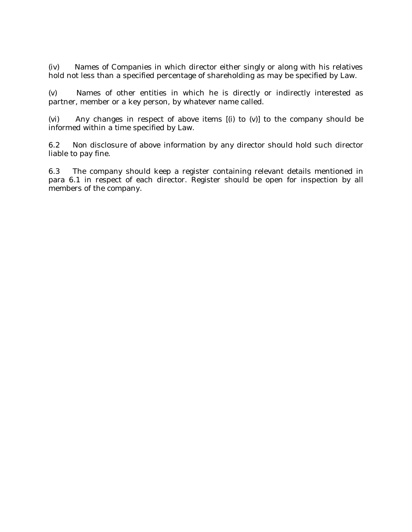(iv) Names of Companies in which director either singly or along with his relatives hold not less than a specified percentage of shareholding as may be specified by Law.

(v) Names of other entities in which he is directly or indirectly interested as partner, member or a key person, by whatever name called.

(vi) Any changes in respect of above items [(i) to (v)] to the company should be informed within a time specified by Law.

6.2 Non disclosure of above information by any director should hold such director liable to pay fine.

6.3 The company should keep a register containing relevant details mentioned in para 6.1 in respect of each director. Register should be open for inspection by all members of the company.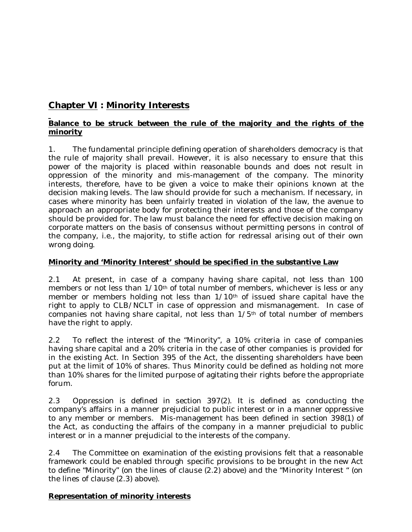# **Chapter VI : Minority Interests**

# **Balance to be struck between the rule of the majority and the rights of the minority**

1. The fundamental principle defining operation of shareholders democracy is that the rule of majority shall prevail. However, it is also necessary to ensure that this power of the majority is placed within reasonable bounds and does not result in oppression of the minority and mis-management of the company. The minority interests, therefore, have to be given a voice to make their opinions known at the decision making levels. The law should provide for such a mechanism. If necessary, in cases where minority has been unfairly treated in violation of the law, the avenue to approach an appropriate body for protecting their interests and those of the company should be provided for. The law must balance the need for effective decision making on corporate matters on the basis of consensus without permitting persons in control of the company, i.e., the majority, to stifle action for redressal arising out of their own wrong doing.

## **Minority and 'Minority Interest' should be specified in the substantive Law**

2.1 At present, in case of a company having share capital, not less than 100 members or not less than  $1/10$ <sup>th</sup> of total number of members, whichever is less or any member or members holding not less than  $1/10<sup>th</sup>$  of issued share capital have the right to apply to CLB/NCLT in case of oppression and mismanagement. In case of companies not having share capital, not less than  $1/5<sup>th</sup>$  of total number of members have the right to apply.

2.2 To reflect the interest of the "Minority", a 10% criteria in case of companies having share capital and a 20% criteria in the case of other companies is provided for in the existing Act. In Section 395 of the Act, the dissenting shareholders have been put at the limit of 10% of shares. Thus Minority could be defined as holding not more than 10% shares for the limited purpose of agitating their rights before the appropriate forum.

2.3 Oppression is defined in section 397(2). It is defined as conducting the company's affairs in a manner prejudicial to public interest or in a manner oppressive to any member or members. Mis-management has been defined in section 398(1) of the Act, as conducting the affairs of the company in a manner prejudicial to public interest or in a manner prejudicial to the interests of the company.

2.4 The Committee on examination of the existing provisions felt that a reasonable framework could be enabled through specific provisions to be brought in the new Act to define "Minority" (on the lines of clause (2.2) above) and the "Minority Interest " (on the lines of clause (2.3) above).

# **Representation of minority interests**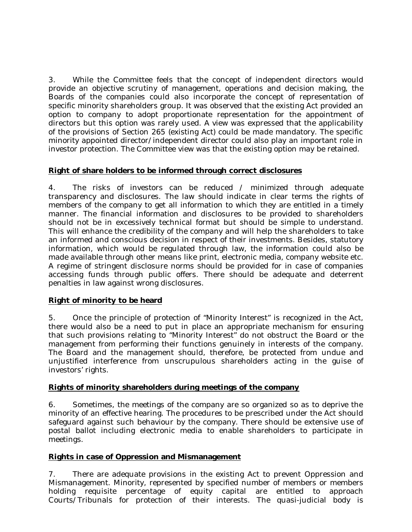3. While the Committee feels that the concept of independent directors would provide an objective scrutiny of management, operations and decision making, the Boards of the companies could also incorporate the concept of representation of specific minority shareholders group. It was observed that the existing Act provided an option to company to adopt proportionate representation for the appointment of directors but this option was rarely used. A view was expressed that the applicability of the provisions of Section 265 (existing Act) could be made mandatory. The specific minority appointed director/independent director could also play an important role in investor protection. The Committee view was that the existing option may be retained.

## **Right of share holders to be informed through correct disclosures**

4. The risks of investors can be reduced / minimized through adequate transparency and disclosures. The law should indicate in clear terms the rights of members of the company to get all information to which they are entitled in a timely manner. The financial information and disclosures to be provided to shareholders should not be in excessively technical format but should be simple to understand. This will enhance the credibility of the company and will help the shareholders to take an informed and conscious decision in respect of their investments. Besides, statutory information, which would be regulated through law, the information could also be made available through other means like print, electronic media, company website etc. A regime of stringent disclosure norms should be provided for in case of companies accessing funds through public offers. There should be adequate and deterrent penalties in law against wrong disclosures.

# **Right of minority to be heard**

5. Once the principle of protection of "Minority Interest" is recognized in the Act, there would also be a need to put in place an appropriate mechanism for ensuring that such provisions relating to "Minority Interest" do not obstruct the Board or the management from performing their functions genuinely in interests of the company. The Board and the management should, therefore, be protected from undue and unjustified interference from unscrupulous shareholders acting in the guise of investors' rights.

#### **Rights of minority shareholders during meetings of the company**

6. Sometimes, the meetings of the company are so organized so as to deprive the minority of an effective hearing. The procedures to be prescribed under the Act should safeguard against such behaviour by the company. There should be extensive use of postal ballot including electronic media to enable shareholders to participate in meetings.

#### **Rights in case of Oppression and Mismanagement**

7. There are adequate provisions in the existing Act to prevent Oppression and Mismanagement. Minority, represented by specified number of members or members holding requisite percentage of equity capital are entitled to approach Courts/Tribunals for protection of their interests. The quasi-judicial body is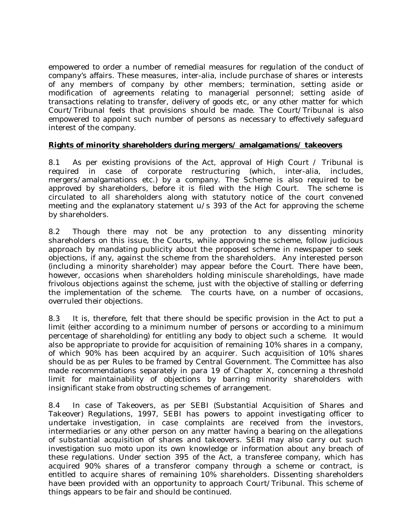empowered to order a number of remedial measures for regulation of the conduct of company's affairs. These measures, inter-alia, include purchase of shares or interests of any members of company by other members; termination, setting aside or modification of agreements relating to managerial personnel; setting aside of transactions relating to transfer, delivery of goods etc, or any other matter for which Court/Tribunal feels that provisions should be made. The Court/Tribunal is also empowered to appoint such number of persons as necessary to effectively safeguard interest of the company.

## **Rights of minority shareholders during mergers/ amalgamations/ takeovers**

8.1 As per existing provisions of the Act, approval of High Court / Tribunal is required in case of corporate restructuring (which, inter-alia, includes, mergers/amalgamations etc.) by a company. The Scheme is also required to be approved by shareholders, before it is filed with the High Court. The scheme is circulated to all shareholders along with statutory notice of the court convened meeting and the explanatory statement u/s 393 of the Act for approving the scheme by shareholders.

8.2 Though there may not be any protection to any dissenting minority shareholders on this issue, the Courts, while approving the scheme, follow judicious approach by mandating publicity about the proposed scheme in newspaper to seek objections, if any, against the scheme from the shareholders. Any interested person (including a minority shareholder) may appear before the Court. There have been, however, occasions when shareholders holding miniscule shareholdings, have made frivolous objections against the scheme, just with the objective of stalling or deferring the implementation of the scheme. The courts have, on a number of occasions, overruled their objections.

8.3 It is, therefore, felt that there should be specific provision in the Act to put a limit (either according to a minimum number of persons or according to a minimum percentage of shareholding) for entitling any body to object such a scheme. It would also be appropriate to provide for acquisition of remaining 10% shares in a company, of which 90% has been acquired by an acquirer. Such acquisition of 10% shares should be as per Rules to be framed by Central Government. The Committee has also made recommendations separately in para 19 of Chapter X, concerning a threshold limit for maintainability of objections by barring minority shareholders with insignificant stake from obstructing schemes of arrangement.

8.4 In case of Takeovers, as per SEBI (Substantial Acquisition of Shares and Takeover) Regulations, 1997, SEBI has powers to appoint investigating officer to undertake investigation, in case complaints are received from the investors, intermediaries or any other person on any matter having a bearing on the allegations of substantial acquisition of shares and takeovers. SEBI may also carry out such investigation suo moto upon its own knowledge or information about any breach of these regulations. Under section 395 of the Act, a transferee company, which has acquired 90% shares of a transferor company through a scheme or contract, is entitled to acquire shares of remaining 10% shareholders. Dissenting shareholders have been provided with an opportunity to approach Court/Tribunal. This scheme of things appears to be fair and should be continued.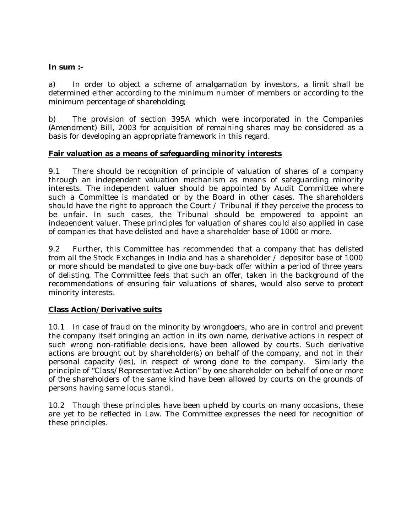#### **In sum :-**

a) In order to object a scheme of amalgamation by investors, a limit shall be determined either according to the minimum number of members or according to the minimum percentage of shareholding;

b) The provision of section 395A which were incorporated in the Companies (Amendment) Bill, 2003 for acquisition of remaining shares may be considered as a basis for developing an appropriate framework in this regard.

## **Fair valuation as a means of safeguarding minority interests**

9.1 There should be recognition of principle of valuation of shares of a company through an independent valuation mechanism as means of safeguarding minority interests. The independent valuer should be appointed by Audit Committee where such a Committee is mandated or by the Board in other cases. The shareholders should have the right to approach the Court  $\ell$  Tribunal if they perceive the process to be unfair. In such cases, the Tribunal should be empowered to appoint an independent valuer. These principles for valuation of shares could also applied in case of companies that have delisted and have a shareholder base of 1000 or more.

9.2 Further, this Committee has recommended that a company that has delisted from all the Stock Exchanges in India and has a shareholder / depositor base of 1000 or more should be mandated to give one buy-back offer within a period of three years of delisting. The Committee feels that such an offer, taken in the background of the recommendations of ensuring fair valuations of shares, would also serve to protect minority interests.

#### **Class Action/Derivative suits**

10.1 In case of fraud on the minority by wrongdoers, who are in control and prevent the company itself bringing an action in its own name, derivative actions in respect of such wrong non-ratifiable decisions, have been allowed by courts. Such derivative actions are brought out by shareholder(s) on behalf of the company, and not in their personal capacity (ies), in respect of wrong done to the company. Similarly the principle of "Class/Representative Action" by one shareholder on behalf of one or more of the shareholders of the same kind have been allowed by courts on the grounds of persons having same locus standi.

10.2 Though these principles have been upheld by courts on many occasions, these are yet to be reflected in Law. The Committee expresses the need for recognition of these principles.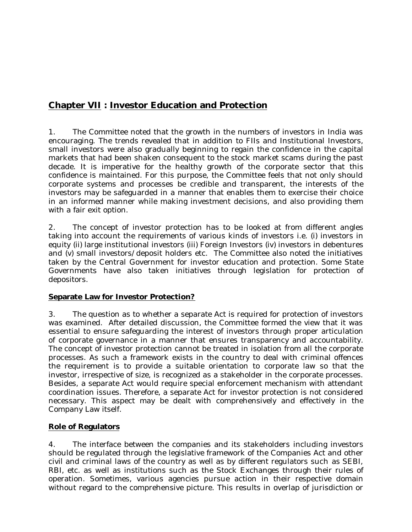# **Chapter VII : Investor Education and Protection**

1. The Committee noted that the growth in the numbers of investors in India was encouraging. The trends revealed that in addition to FIIs and Institutional Investors, small investors were also gradually beginning to regain the confidence in the capital markets that had been shaken consequent to the stock market scams during the past decade. It is imperative for the healthy growth of the corporate sector that this confidence is maintained. For this purpose, the Committee feels that not only should corporate systems and processes be credible and transparent, the interests of the investors may be safeguarded in a manner that enables them to exercise their choice in an informed manner while making investment decisions, and also providing them with a fair exit option.

2. The concept of investor protection has to be looked at from different angles taking into account the requirements of various kinds of investors i.e. (i) investors in equity (ii) large institutional investors (iii) Foreign Investors (iv) investors in debentures and (v) small investors/deposit holders etc. The Committee also noted the initiatives taken by the Central Government for investor education and protection. Some State Governments have also taken initiatives through legislation for protection of depositors.

# **Separate Law for Investor Protection?**

3. The question as to whether a separate Act is required for protection of investors was examined. After detailed discussion, the Committee formed the view that it was essential to ensure safeguarding the interest of investors through proper articulation of corporate governance in a manner that ensures transparency and accountability. The concept of investor protection cannot be treated in isolation from all the corporate processes. As such a framework exists in the country to deal with criminal offences the requirement is to provide a suitable orientation to corporate law so that the investor, irrespective of size, is recognized as a stakeholder in the corporate processes. Besides, a separate Act would require special enforcement mechanism with attendant coordination issues. Therefore, a separate Act for investor protection is not considered necessary. This aspect may be dealt with comprehensively and effectively in the Company Law itself.

# **Role of Regulators**

4. The interface between the companies and its stakeholders including investors should be regulated through the legislative framework of the Companies Act and other civil and criminal laws of the country as well as by different regulators such as SEBI, RBI, etc. as well as institutions such as the Stock Exchanges through their rules of operation. Sometimes, various agencies pursue action in their respective domain without regard to the comprehensive picture. This results in overlap of jurisdiction or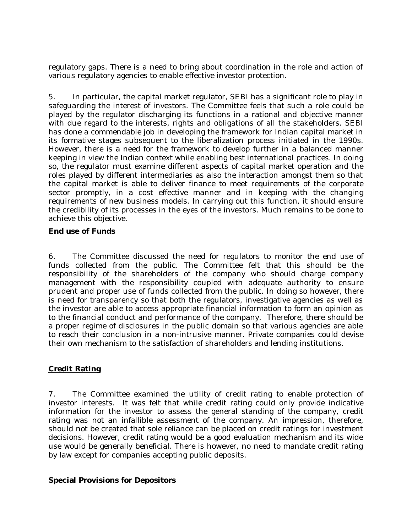regulatory gaps. There is a need to bring about coordination in the role and action of various regulatory agencies to enable effective investor protection.

5. In particular, the capital market regulator, SEBI has a significant role to play in safeguarding the interest of investors. The Committee feels that such a role could be played by the regulator discharging its functions in a rational and objective manner with due regard to the interests, rights and obligations of all the stakeholders. SEBI has done a commendable job in developing the framework for Indian capital market in its formative stages subsequent to the liberalization process initiated in the 1990s. However, there is a need for the framework to develop further in a balanced manner keeping in view the Indian context while enabling best international practices. In doing so, the regulator must examine different aspects of capital market operation and the roles played by different intermediaries as also the interaction amongst them so that the capital market is able to deliver finance to meet requirements of the corporate sector promptly, in a cost effective manner and in keeping with the changing requirements of new business models. In carrying out this function, it should ensure the credibility of its processes in the eyes of the investors. Much remains to be done to achieve this objective.

## **End use of Funds**

6. The Committee discussed the need for regulators to monitor the end use of funds collected from the public. The Committee felt that this should be the responsibility of the shareholders of the company who should charge company management with the responsibility coupled with adequate authority to ensure prudent and proper use of funds collected from the public. In doing so however, there is need for transparency so that both the regulators, investigative agencies as well as the investor are able to access appropriate financial information to form an opinion as to the financial conduct and performance of the company. Therefore, there should be a proper regime of disclosures in the public domain so that various agencies are able to reach their conclusion in a non-intrusive manner. Private companies could devise their own mechanism to the satisfaction of shareholders and lending institutions.

# **Credit Rating**

7. The Committee examined the utility of credit rating to enable protection of investor interests. It was felt that while credit rating could only provide indicative information for the investor to assess the general standing of the company, credit rating was not an infallible assessment of the company. An impression, therefore, should not be created that sole reliance can be placed on credit ratings for investment decisions. However, credit rating would be a good evaluation mechanism and its wide use would be generally beneficial. There is however, no need to mandate credit rating by law except for companies accepting public deposits.

#### **Special Provisions for Depositors**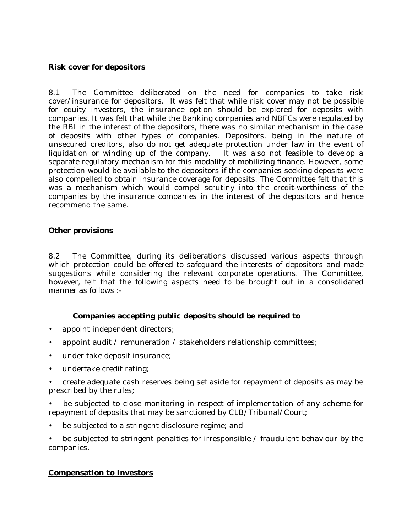#### **Risk cover for depositors**

8.1 The Committee deliberated on the need for companies to take risk cover/insurance for depositors. It was felt that while risk cover may not be possible for equity investors, the insurance option should be explored for deposits with companies. It was felt that while the Banking companies and NBFCs were regulated by the RBI in the interest of the depositors, there was no similar mechanism in the case of deposits with other types of companies. Depositors, being in the nature of unsecured creditors, also do not get adequate protection under law in the event of liquidation or winding up of the company. It was also not feasible to develop a separate regulatory mechanism for this modality of mobilizing finance. However, some protection would be available to the depositors if the companies seeking deposits were also compelled to obtain insurance coverage for deposits. The Committee felt that this was a mechanism which would compel scrutiny into the credit-worthiness of the companies by the insurance companies in the interest of the depositors and hence recommend the same.

#### **Other provisions**

8.2 The Committee, during its deliberations discussed various aspects through which protection could be offered to safeguard the interests of depositors and made suggestions while considering the relevant corporate operations. The Committee, however, felt that the following aspects need to be brought out in a consolidated manner as follows :-

#### **Companies accepting public deposits should be required to**

- appoint independent directors;
- appoint audit / remuneration / stakeholders relationship committees;
- under take deposit insurance;
- undertake credit rating;

• create adequate cash reserves being set aside for repayment of deposits as may be prescribed by the rules;

• be subjected to close monitoring in respect of implementation of any scheme for repayment of deposits that may be sanctioned by CLB/Tribunal/Court;

• be subjected to a stringent disclosure regime; and

• be subjected to stringent penalties for irresponsible / fraudulent behaviour by the companies.

#### **Compensation to Investors**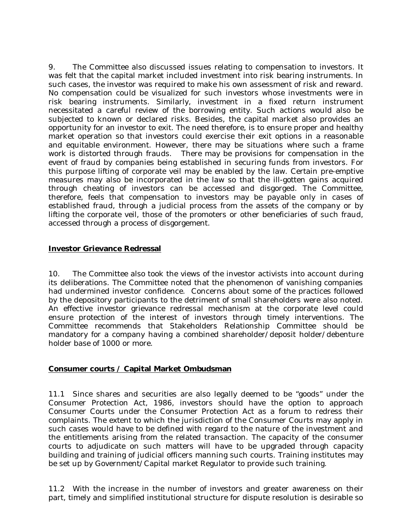9. The Committee also discussed issues relating to compensation to investors. It was felt that the capital market included investment into risk bearing instruments. In such cases, the investor was required to make his own assessment of risk and reward. No compensation could be visualized for such investors whose investments were in risk bearing instruments. Similarly, investment in a fixed return instrument necessitated a careful review of the borrowing entity. Such actions would also be subjected to known or declared risks. Besides, the capital market also provides an opportunity for an investor to exit. The need therefore, is to ensure proper and healthy market operation so that investors could exercise their exit options in a reasonable and equitable environment. However, there may be situations where such a frame work is distorted through frauds. There may be provisions for compensation in the event of fraud by companies being established in securing funds from investors. For this purpose lifting of corporate veil may be enabled by the law. Certain pre-emptive measures may also be incorporated in the law so that the ill-gotten gains acquired through cheating of investors can be accessed and disgorged. The Committee, therefore, feels that compensation to investors may be payable only in cases of established fraud, through a judicial process from the assets of the company or by lifting the corporate veil, those of the promoters or other beneficiaries of such fraud, accessed through a process of disgorgement.

#### **Investor Grievance Redressal**

10. The Committee also took the views of the investor activists into account during its deliberations. The Committee noted that the phenomenon of vanishing companies had undermined investor confidence. Concerns about some of the practices followed by the depository participants to the detriment of small shareholders were also noted. An effective investor grievance redressal mechanism at the corporate level could ensure protection of the interest of investors through timely interventions. The Committee recommends that Stakeholders Relationship Committee should be mandatory for a company having a combined shareholder/deposit holder/debenture holder base of 1000 or more.

#### **Consumer courts / Capital Market Ombudsman**

11.1 Since shares and securities are also legally deemed to be "goods" under the Consumer Protection Act, 1986, investors should have the option to approach Consumer Courts under the Consumer Protection Act as a forum to redress their complaints. The extent to which the jurisdiction of the Consumer Courts may apply in such cases would have to be defined with regard to the nature of the investment and the entitlements arising from the related transaction. The capacity of the consumer courts to adjudicate on such matters will have to be upgraded through capacity building and training of judicial officers manning such courts. Training institutes may be set up by Government/Capital market Regulator to provide such training.

11.2 With the increase in the number of investors and greater awareness on their part, timely and simplified institutional structure for dispute resolution is desirable so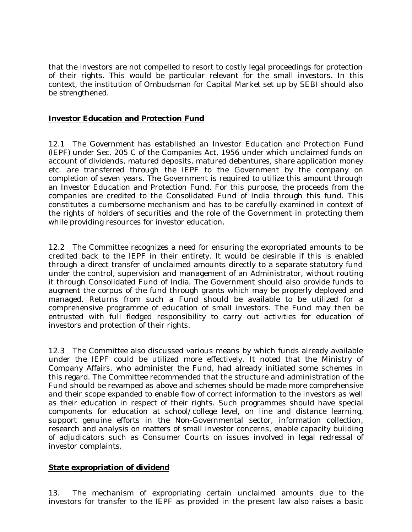that the investors are not compelled to resort to costly legal proceedings for protection of their rights. This would be particular relevant for the small investors. In this context, the institution of Ombudsman for Capital Market set up by SEBI should also be strengthened.

#### **Investor Education and Protection Fund**

12.1 The Government has established an Investor Education and Protection Fund (IEPF) under Sec. 205 C of the Companies Act, 1956 under which unclaimed funds on account of dividends, matured deposits, matured debentures, share application money etc. are transferred through the IEPF to the Government by the company on completion of seven years. The Government is required to utilize this amount through an Investor Education and Protection Fund. For this purpose, the proceeds from the companies are credited to the Consolidated Fund of India through this fund. This constitutes a cumbersome mechanism and has to be carefully examined in context of the rights of holders of securities and the role of the Government in protecting them while providing resources for investor education.

12.2 The Committee recognizes a need for ensuring the expropriated amounts to be credited back to the IEPF in their entirety. It would be desirable if this is enabled through a direct transfer of unclaimed amounts directly to a separate statutory fund under the control, supervision and management of an Administrator, without routing it through Consolidated Fund of India. The Government should also provide funds to augment the corpus of the fund through grants which may be properly deployed and managed. Returns from such a Fund should be available to be utilized for a comprehensive programme of education of small investors. The Fund may then be entrusted with full fledged responsibility to carry out activities for education of investors and protection of their rights.

12.3 The Committee also discussed various means by which funds already available under the IEPF could be utilized more effectively. It noted that the Ministry of Company Affairs, who administer the Fund, had already initiated some schemes in this regard. The Committee recommended that the structure and administration of the Fund should be revamped as above and schemes should be made more comprehensive and their scope expanded to enable flow of correct information to the investors as well as their education in respect of their rights. Such programmes should have special components for education at school/college level, on line and distance learning, support genuine efforts in the Non-Governmental sector, information collection, research and analysis on matters of small investor concerns, enable capacity building of adjudicators such as Consumer Courts on issues involved in legal redressal of investor complaints.

#### **State expropriation of dividend**

13. The mechanism of expropriating certain unclaimed amounts due to the investors for transfer to the IEPF as provided in the present law also raises a basic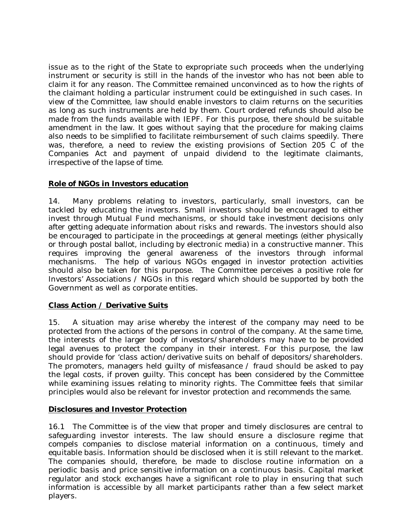issue as to the right of the State to expropriate such proceeds when the underlying instrument or security is still in the hands of the investor who has not been able to claim it for any reason. The Committee remained unconvinced as to how the rights of the claimant holding a particular instrument could be extinguished in such cases. In view of the Committee, law should enable investors to claim returns on the securities as long as such instruments are held by them. Court ordered refunds should also be made from the funds available with IEPF. For this purpose, there should be suitable amendment in the law. It goes without saying that the procedure for making claims also needs to be simplified to facilitate reimbursement of such claims speedily. There was, therefore, a need to review the existing provisions of Section 205 C of the Companies Act and payment of unpaid dividend to the legitimate claimants, irrespective of the lapse of time.

## **Role of NGOs in Investors education**

14. Many problems relating to investors, particularly, small investors, can be tackled by educating the investors. Small investors should be encouraged to either invest through Mutual Fund mechanisms, or should take investment decisions only after getting adequate information about risks and rewards. The investors should also be encouraged to participate in the proceedings at general meetings (either physically or through postal ballot, including by electronic media) in a constructive manner. This requires improving the general awareness of the investors through informal mechanisms. The help of various NGOs engaged in investor protection activities should also be taken for this purpose. The Committee perceives a positive role for Investors' Associations / NGOs in this regard which should be supported by both the Government as well as corporate entities.

# **Class Action / Derivative Suits**

15. A situation may arise whereby the interest of the company may need to be protected from the actions of the persons in control of the company. At the same time, the interests of the larger body of investors/shareholders may have to be provided legal avenues to protect the company in their interest. For this purpose, the law should provide for 'class action/derivative suits on behalf of depositors/shareholders. The promoters, managers held guilty of misfeasance / fraud should be asked to pay the legal costs, if proven guilty. This concept has been considered by the Committee while examining issues relating to minority rights. The Committee feels that similar principles would also be relevant for investor protection and recommends the same.

#### **Disclosures and Investor Protection**

16.1 The Committee is of the view that proper and timely disclosures are central to safeguarding investor interests. The law should ensure a disclosure regime that compels companies to disclose material information on a continuous, timely and equitable basis. Information should be disclosed when it is still relevant to the market. The companies should, therefore, be made to disclose routine information on a periodic basis and price sensitive information on a continuous basis. Capital market regulator and stock exchanges have a significant role to play in ensuring that such information is accessible by all market participants rather than a few select market players.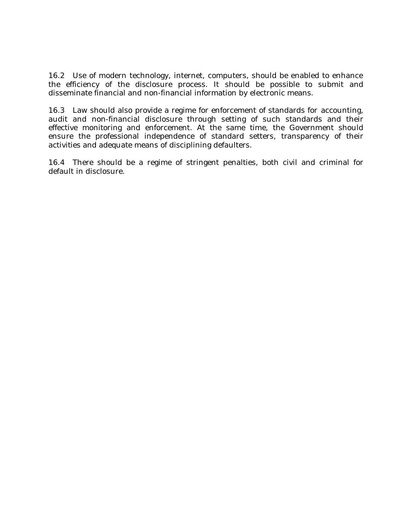16.2 Use of modern technology, internet, computers, should be enabled to enhance the efficiency of the disclosure process. It should be possible to submit and disseminate financial and non-financial information by electronic means.

16.3 Law should also provide a regime for enforcement of standards for accounting, audit and non-financial disclosure through setting of such standards and their effective monitoring and enforcement. At the same time, the Government should ensure the professional independence of standard setters, transparency of their activities and adequate means of disciplining defaulters.

16.4 There should be a regime of stringent penalties, both civil and criminal for default in disclosure.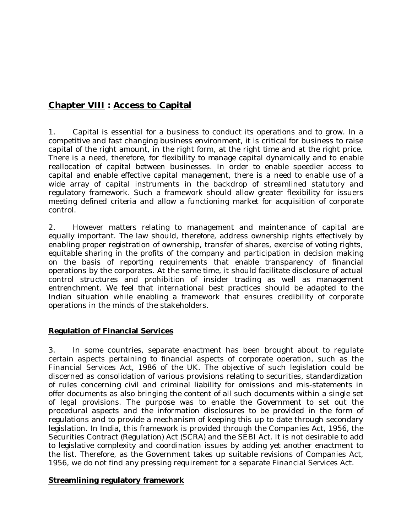# **Chapter VIII : Access to Capital**

1. Capital is essential for a business to conduct its operations and to grow. In a competitive and fast changing business environment, it is critical for business to raise capital of the right amount, in the right form, at the right time and at the right price. There is a need, therefore, for flexibility to manage capital dynamically and to enable reallocation of capital between businesses. In order to enable speedier access to capital and enable effective capital management, there is a need to enable use of a wide array of capital instruments in the backdrop of streamlined statutory and regulatory framework. Such a framework should allow greater flexibility for issuers meeting defined criteria and allow a functioning market for acquisition of corporate control.

2. However matters relating to management and maintenance of capital are equally important. The law should, therefore, address ownership rights effectively by enabling proper registration of ownership, transfer of shares, exercise of voting rights, equitable sharing in the profits of the company and participation in decision making on the basis of reporting requirements that enable transparency of financial operations by the corporates. At the same time, it should facilitate disclosure of actual control structures and prohibition of insider trading as well as management entrenchment. We feel that international best practices should be adapted to the Indian situation while enabling a framework that ensures credibility of corporate operations in the minds of the stakeholders.

# **Regulation of Financial Services**

3. In some countries, separate enactment has been brought about to regulate certain aspects pertaining to financial aspects of corporate operation, such as the Financial Services Act, 1986 of the UK. The objective of such legislation could be discerned as consolidation of various provisions relating to securities, standardization of rules concerning civil and criminal liability for omissions and mis-statements in offer documents as also bringing the content of all such documents within a single set of legal provisions. The purpose was to enable the Government to set out the procedural aspects and the information disclosures to be provided in the form of regulations and to provide a mechanism of keeping this up to date through secondary legislation. In India, this framework is provided through the Companies Act, 1956, the Securities Contract (Regulation) Act (SCRA) and the SEBI Act. It is not desirable to add to legislative complexity and coordination issues by adding yet another enactment to the list. Therefore, as the Government takes up suitable revisions of Companies Act, 1956, we do not find any pressing requirement for a separate Financial Services Act.

# **Streamlining regulatory framework**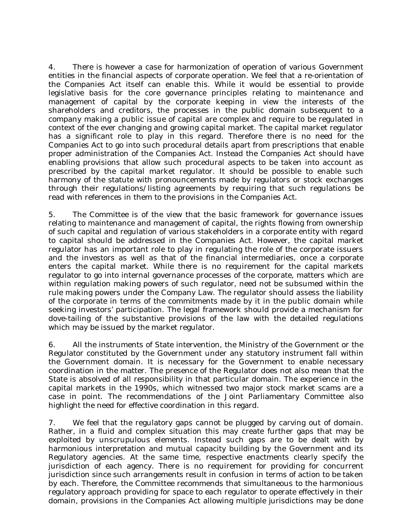4. There is however a case for harmonization of operation of various Government entities in the financial aspects of corporate operation. We feel that a re-orientation of the Companies Act itself can enable this. While it would be essential to provide legislative basis for the core governance principles relating to maintenance and management of capital by the corporate keeping in view the interests of the shareholders and creditors, the processes in the public domain subsequent to a company making a public issue of capital are complex and require to be regulated in context of the ever changing and growing capital market. The capital market regulator has a significant role to play in this regard. Therefore there is no need for the Companies Act to go into such procedural details apart from prescriptions that enable proper administration of the Companies Act. Instead the Companies Act should have enabling provisions that allow such procedural aspects to be taken into account as prescribed by the capital market regulator. It should be possible to enable such harmony of the statute with pronouncements made by regulators or stock exchanges through their regulations/listing agreements by requiring that such regulations be read with references in them to the provisions in the Companies Act.

5. The Committee is of the view that the basic framework for governance issues relating to maintenance and management of capital, the rights flowing from ownership of such capital and regulation of various stakeholders in a corporate entity with regard to capital should be addressed in the Companies Act. However, the capital market regulator has an important role to play in regulating the role of the corporate issuers and the investors as well as that of the financial intermediaries, once a corporate enters the capital market. While there is no requirement for the capital markets regulator to go into internal governance processes of the corporate, matters which are within regulation making powers of such regulator, need not be subsumed within the rule making powers under the Company Law. The regulator should assess the liability of the corporate in terms of the commitments made by it in the public domain while seeking investors' participation. The legal framework should provide a mechanism for dove-tailing of the substantive provisions of the law with the detailed regulations which may be issued by the market regulator.

6. All the instruments of State intervention, the Ministry of the Government or the Regulator constituted by the Government under any statutory instrument fall within the Government domain. It is necessary for the Government to enable necessary coordination in the matter. The presence of the Regulator does not also mean that the State is absolved of all responsibility in that particular domain. The experience in the capital markets in the 1990s, which witnessed two major stock market scams are a case in point. The recommendations of the Joint Parliamentary Committee also highlight the need for effective coordination in this regard.

7. We feel that the regulatory gaps cannot be plugged by carving out of domain. Rather, in a fluid and complex situation this may create further gaps that may be exploited by unscrupulous elements. Instead such gaps are to be dealt with by harmonious interpretation and mutual capacity building by the Government and its Regulatory agencies. At the same time, respective enactments clearly specify the jurisdiction of each agency. There is no requirement for providing for concurrent jurisdiction since such arrangements result in confusion in terms of action to be taken by each. Therefore, the Committee recommends that simultaneous to the harmonious regulatory approach providing for space to each regulator to operate effectively in their domain, provisions in the Companies Act allowing multiple jurisdictions may be done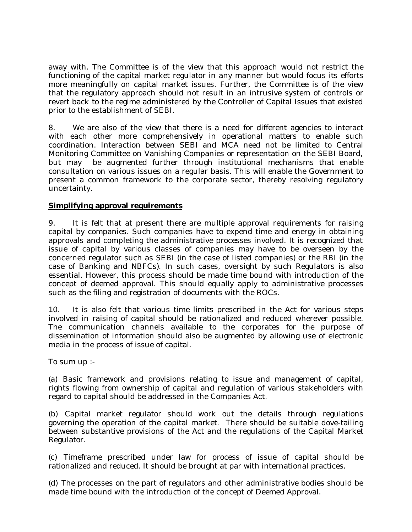away with. The Committee is of the view that this approach would not restrict the functioning of the capital market regulator in any manner but would focus its efforts more meaningfully on capital market issues. Further, the Committee is of the view that the regulatory approach should not result in an intrusive system of controls or revert back to the regime administered by the Controller of Capital Issues that existed prior to the establishment of SEBI.

8. We are also of the view that there is a need for different agencies to interact with each other more comprehensively in operational matters to enable such coordination. Interaction between SEBI and MCA need not be limited to Central Monitoring Committee on Vanishing Companies or representation on the SEBI Board, but may be augmented further through institutional mechanisms that enable consultation on various issues on a regular basis. This will enable the Government to present a common framework to the corporate sector, thereby resolving regulatory uncertainty.

# **Simplifying approval requirements**

9. It is felt that at present there are multiple approval requirements for raising capital by companies. Such companies have to expend time and energy in obtaining approvals and completing the administrative processes involved. It is recognized that issue of capital by various classes of companies may have to be overseen by the concerned regulator such as SEBI (in the case of listed companies) or the RBI (in the case of Banking and NBFCs). In such cases, oversight by such Regulators is also essential. However, this process should be made time bound with introduction of the concept of deemed approval. This should equally apply to administrative processes such as the filing and registration of documents with the ROCs.

10. It is also felt that various time limits prescribed in the Act for various steps involved in raising of capital should be rationalized and reduced wherever possible. The communication channels available to the corporates for the purpose of dissemination of information should also be augmented by allowing use of electronic media in the process of issue of capital.

To sum up :-

(a) Basic framework and provisions relating to issue and management of capital, rights flowing from ownership of capital and regulation of various stakeholders with regard to capital should be addressed in the Companies Act.

(b) Capital market regulator should work out the details through regulations governing the operation of the capital market. There should be suitable dove-tailing between substantive provisions of the Act and the regulations of the Capital Market Regulator.

(c) Timeframe prescribed under law for process of issue of capital should be rationalized and reduced. It should be brought at par with international practices.

(d) The processes on the part of regulators and other administrative bodies should be made time bound with the introduction of the concept of Deemed Approval.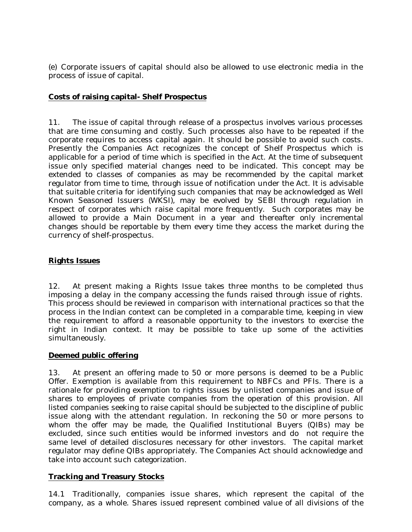(e) Corporate issuers of capital should also be allowed to use electronic media in the process of issue of capital.

## **Costs of raising capital- Shelf Prospectus**

11. The issue of capital through release of a prospectus involves various processes that are time consuming and costly. Such processes also have to be repeated if the corporate requires to access capital again. It should be possible to avoid such costs. Presently the Companies Act recognizes the concept of Shelf Prospectus which is applicable for a period of time which is specified in the Act. At the time of subsequent issue only specified material changes need to be indicated. This concept may be extended to classes of companies as may be recommended by the capital market regulator from time to time, through issue of notification under the Act. It is advisable that suitable criteria for identifying such companies that may be acknowledged as Well Known Seasoned Issuers (WKSI), may be evolved by SEBI through regulation in respect of corporates which raise capital more frequently. Such corporates may be allowed to provide a Main Document in a year and thereafter only incremental changes should be reportable by them every time they access the market during the currency of shelf-prospectus.

## **Rights Issues**

12. At present making a Rights Issue takes three months to be completed thus imposing a delay in the company accessing the funds raised through issue of rights. This process should be reviewed in comparison with international practices so that the process in the Indian context can be completed in a comparable time, keeping in view the requirement to afford a reasonable opportunity to the investors to exercise the right in Indian context. It may be possible to take up some of the activities simultaneously.

#### **Deemed public offering**

13. At present an offering made to 50 or more persons is deemed to be a Public Offer. Exemption is available from this requirement to NBFCs and PFIs. There is a rationale for providing exemption to rights issues by unlisted companies and issue of shares to employees of private companies from the operation of this provision. All listed companies seeking to raise capital should be subjected to the discipline of public issue along with the attendant regulation. In reckoning the 50 or more persons to whom the offer may be made, the Qualified Institutional Buyers (QIBs) may be excluded, since such entities would be informed investors and do not require the same level of detailed disclosures necessary for other investors. The capital market regulator may define QIBs appropriately. The Companies Act should acknowledge and take into account such categorization.

#### **Tracking and Treasury Stocks**

14.1 Traditionally, companies issue shares, which represent the capital of the company, as a whole. Shares issued represent combined value of all divisions of the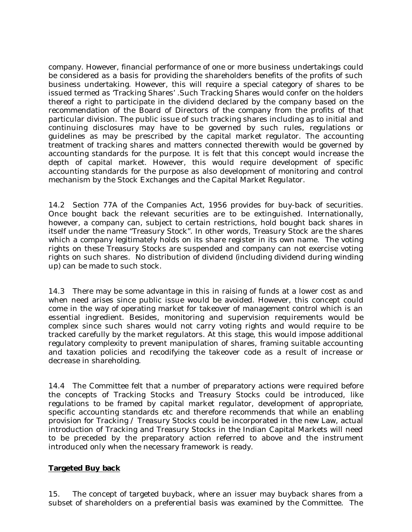company. However, financial performance of one or more business undertakings could be considered as a basis for providing the shareholders benefits of the profits of such business undertaking. However, this will require a special category of shares to be issued termed as 'Tracking Shares' .Such Tracking Shares would confer on the holders thereof a right to participate in the dividend declared by the company based on the recommendation of the Board of Directors of the company from the profits of that particular division. The public issue of such tracking shares including as to initial and continuing disclosures may have to be governed by such rules, regulations or guidelines as may be prescribed by the capital market regulator. The accounting treatment of tracking shares and matters connected therewith would be governed by accounting standards for the purpose. It is felt that this concept would increase the depth of capital market. However, this would require development of specific accounting standards for the purpose as also development of monitoring and control mechanism by the Stock Exchanges and the Capital Market Regulator.

14.2 Section 77A of the Companies Act, 1956 provides for buy-back of securities. Once bought back the relevant securities are to be extinguished. Internationally, however, a company can, subject to certain restrictions, hold bought back shares in itself under the name "Treasury Stock". In other words, Treasury Stock are the shares which a company legitimately holds on its share register in its own name. The voting rights on these Treasury Stocks are suspended and company can not exercise voting rights on such shares. No distribution of dividend (including dividend during winding up) can be made to such stock.

14.3 There may be some advantage in this in raising of funds at a lower cost as and when need arises since public issue would be avoided. However, this concept could come in the way of operating market for takeover of management control which is an essential ingredient. Besides, monitoring and supervision requirements would be complex since such shares would not carry voting rights and would require to be tracked carefully by the market regulators. At this stage, this would impose additional regulatory complexity to prevent manipulation of shares, framing suitable accounting and taxation policies and recodifying the takeover code as a result of increase or decrease in shareholding.

14.4 The Committee felt that a number of preparatory actions were required before the concepts of Tracking Stocks and Treasury Stocks could be introduced, like regulations to be framed by capital market regulator, development of appropriate, specific accounting standards etc and therefore recommends that while an enabling provision for Tracking / Treasury Stocks could be incorporated in the new Law, actual introduction of Tracking and Treasury Stocks in the Indian Capital Markets will need to be preceded by the preparatory action referred to above and the instrument introduced only when the necessary framework is ready.

# **Targeted Buy back**

15. The concept of targeted buyback, where an issuer may buyback shares from a subset of shareholders on a preferential basis was examined by the Committee. The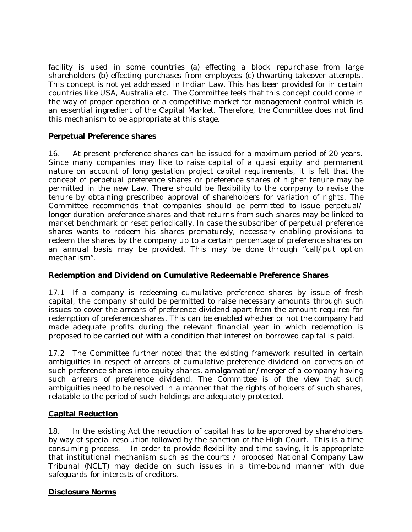facility is used in some countries (a) effecting a block repurchase from large shareholders (b) effecting purchases from employees (c) thwarting takeover attempts. This concept is not yet addressed in Indian Law. This has been provided for in certain countries like USA, Australia etc. The Committee feels that this concept could come in the way of proper operation of a competitive market for management control which is an essential ingredient of the Capital Market. Therefore, the Committee does not find this mechanism to be appropriate at this stage.

# **Perpetual Preference shares**

16. At present preference shares can be issued for a maximum period of 20 years. Since many companies may like to raise capital of a quasi equity and permanent nature on account of long gestation project capital requirements, it is felt that the concept of perpetual preference shares or preference shares of higher tenure may be permitted in the new Law. There should be flexibility to the company to revise the tenure by obtaining prescribed approval of shareholders for variation of rights. The Committee recommends that companies should be permitted to issue perpetual/ longer duration preference shares and that returns from such shares may be linked to market benchmark or reset periodically. In case the subscriber of perpetual preference shares wants to redeem his shares prematurely, necessary enabling provisions to redeem the shares by the company up to a certain percentage of preference shares on an annual basis may be provided. This may be done through "call/put option mechanism".

# **Redemption and Dividend on Cumulative Redeemable Preference Shares**

17.1 If a company is redeeming cumulative preference shares by issue of fresh capital, the company should be permitted to raise necessary amounts through such issues to cover the arrears of preference dividend apart from the amount required for redemption of preference shares. This can be enabled whether or not the company had made adequate profits during the relevant financial year in which redemption is proposed to be carried out with a condition that interest on borrowed capital is paid.

17.2 The Committee further noted that the existing framework resulted in certain ambiguities in respect of arrears of cumulative preference dividend on conversion of such preference shares into equity shares, amalgamation/merger of a company having such arrears of preference dividend. The Committee is of the view that such ambiguities need to be resolved in a manner that the rights of holders of such shares, relatable to the period of such holdings are adequately protected.

# **Capital Reduction**

18. In the existing Act the reduction of capital has to be approved by shareholders by way of special resolution followed by the sanction of the High Court. This is a time consuming process. In order to provide flexibility and time saving, it is appropriate that institutional mechanism such as the courts / proposed National Company Law Tribunal (NCLT) may decide on such issues in a time-bound manner with due safeguards for interests of creditors.

# **Disclosure Norms**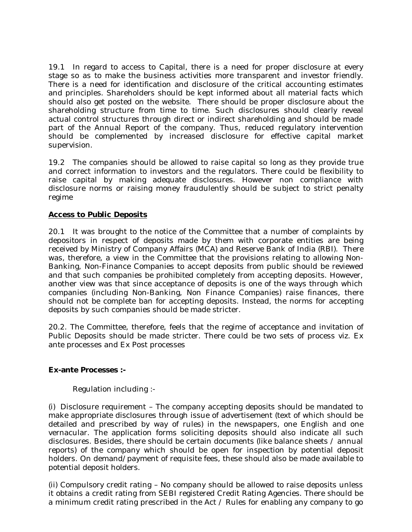19.1 In regard to access to Capital, there is a need for proper disclosure at every stage so as to make the business activities more transparent and investor friendly. There is a need for identification and disclosure of the critical accounting estimates and principles. Shareholders should be kept informed about all material facts which should also get posted on the website. There should be proper disclosure about the shareholding structure from time to time. Such disclosures should clearly reveal actual control structures through direct or indirect shareholding and should be made part of the Annual Report of the company. Thus, reduced regulatory intervention should be complemented by increased disclosure for effective capital market supervision.

19.2 The companies should be allowed to raise capital so long as they provide true and correct information to investors and the regulators. There could be flexibility to raise capital by making adequate disclosures. However non compliance with disclosure norms or raising money fraudulently should be subject to strict penalty regime

## **Access to Public Deposits**

20.1 It was brought to the notice of the Committee that a number of complaints by depositors in respect of deposits made by them with corporate entities are being received by Ministry of Company Affairs (MCA) and Reserve Bank of India (RBI). There was, therefore, a view in the Committee that the provisions relating to allowing Non-Banking, Non-Finance Companies to accept deposits from public should be reviewed and that such companies be prohibited completely from accepting deposits. However, another view was that since acceptance of deposits is one of the ways through which companies (including Non-Banking, Non Finance Companies) raise finances, there should not be complete ban for accepting deposits. Instead, the norms for accepting deposits by such companies should be made stricter.

20.2. The Committee, therefore, feels that the regime of acceptance and invitation of Public Deposits should be made stricter. There could be two sets of process viz. Ex ante processes and Ex Post processes

#### **Ex-ante Processes :-**

Regulation including :-

(i) Disclosure requirement – The company accepting deposits should be mandated to make appropriate disclosures through issue of advertisement (text of which should be detailed and prescribed by way of rules) in the newspapers, one English and one vernacular. The application forms soliciting deposits should also indicate all such disclosures. Besides, there should be certain documents (like balance sheets / annual reports) of the company which should be open for inspection by potential deposit holders. On demand/payment of requisite fees, these should also be made available to potential deposit holders.

(ii) Compulsory credit rating – No company should be allowed to raise deposits unless it obtains a credit rating from SEBI registered Credit Rating Agencies. There should be a minimum credit rating prescribed in the Act / Rules for enabling any company to go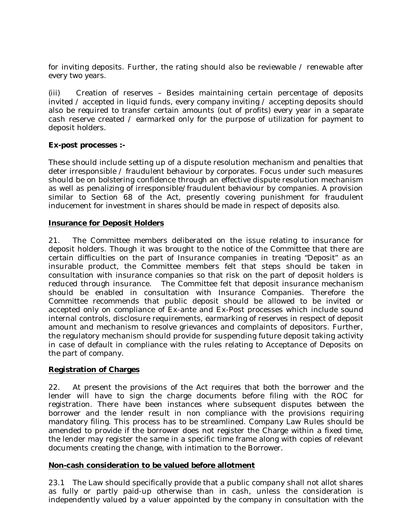for inviting deposits. Further, the rating should also be reviewable  $\ell$  renewable after every two years.

(iii) Creation of reserves – Besides maintaining certain percentage of deposits invited / accepted in liquid funds, every company inviting / accepting deposits should also be required to transfer certain amounts (out of profits) every year in a separate cash reserve created / earmarked only for the purpose of utilization for payment to deposit holders.

## **Ex-post processes :-**

These should include setting up of a dispute resolution mechanism and penalties that deter irresponsible / fraudulent behaviour by corporates. Focus under such measures should be on bolstering confidence through an effective dispute resolution mechanism as well as penalizing of irresponsible/fraudulent behaviour by companies. A provision similar to Section 68 of the Act, presently covering punishment for fraudulent inducement for investment in shares should be made in respect of deposits also.

## **Insurance for Deposit Holders**

21. The Committee members deliberated on the issue relating to insurance for deposit holders. Though it was brought to the notice of the Committee that there are certain difficulties on the part of Insurance companies in treating "Deposit" as an insurable product, the Committee members felt that steps should be taken in consultation with insurance companies so that risk on the part of deposit holders is reduced through insurance. The Committee felt that deposit insurance mechanism should be enabled in consultation with Insurance Companies. Therefore the Committee recommends that public deposit should be allowed to be invited or accepted only on compliance of Ex-ante and Ex-Post processes which include sound internal controls, disclosure requirements, earmarking of reserves in respect of deposit amount and mechanism to resolve grievances and complaints of depositors. Further, the regulatory mechanism should provide for suspending future deposit taking activity in case of default in compliance with the rules relating to Acceptance of Deposits on the part of company.

#### **Registration of Charges**

22. At present the provisions of the Act requires that both the borrower and the lender will have to sign the charge documents before filing with the ROC for registration. There have been instances where subsequent disputes between the borrower and the lender result in non compliance with the provisions requiring mandatory filing. This process has to be streamlined. Company Law Rules should be amended to provide if the borrower does not register the Charge within a fixed time, the lender may register the same in a specific time frame along with copies of relevant documents creating the change, with intimation to the Borrower.

# **Non-cash consideration to be valued before allotment**

23.1 The Law should specifically provide that a public company shall not allot shares as fully or partly paid-up otherwise than in cash, unless the consideration is independently valued by a valuer appointed by the company in consultation with the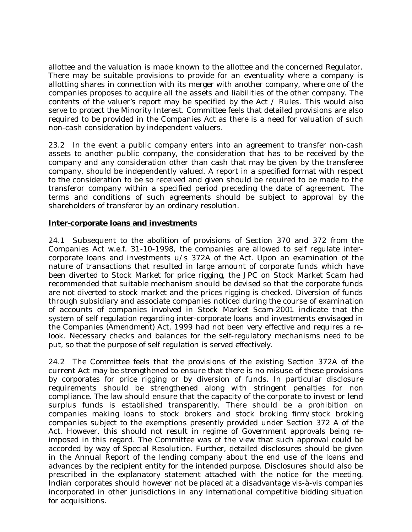allottee and the valuation is made known to the allottee and the concerned Regulator. There may be suitable provisions to provide for an eventuality where a company is allotting shares in connection with its merger with another company, where one of the companies proposes to acquire all the assets and liabilities of the other company. The contents of the valuer's report may be specified by the Act / Rules. This would also serve to protect the Minority Interest. Committee feels that detailed provisions are also required to be provided in the Companies Act as there is a need for valuation of such non-cash consideration by independent valuers.

23.2 In the event a public company enters into an agreement to transfer non-cash assets to another public company, the consideration that has to be received by the company and any consideration other than cash that may be given by the transferee company, should be independently valued. A report in a specified format with respect to the consideration to be so received and given should be required to be made to the transferor company within a specified period preceding the date of agreement. The terms and conditions of such agreements should be subject to approval by the shareholders of transferor by an ordinary resolution.

## **Inter-corporate loans and investments**

24.1 Subsequent to the abolition of provisions of Section 370 and 372 from the Companies Act w.e.f. 31-10-1998, the companies are allowed to self regulate intercorporate loans and investments  $u/s$  372A of the Act. Upon an examination of the nature of transactions that resulted in large amount of corporate funds which have been diverted to Stock Market for price rigging, the JPC on Stock Market Scam had recommended that suitable mechanism should be devised so that the corporate funds are not diverted to stock market and the prices rigging is checked. Diversion of funds through subsidiary and associate companies noticed during the course of examination of accounts of companies involved in Stock Market Scam-2001 indicate that the system of self regulation regarding inter-corporate loans and investments envisaged in the Companies (Amendment) Act, 1999 had not been very effective and requires a relook. Necessary checks and balances for the self-regulatory mechanisms need to be put, so that the purpose of self regulation is served effectively.

24.2 The Committee feels that the provisions of the existing Section 372A of the current Act may be strengthened to ensure that there is no misuse of these provisions by corporates for price rigging or by diversion of funds. In particular disclosure requirements should be strengthened along with stringent penalties for non compliance. The law should ensure that the capacity of the corporate to invest or lend surplus funds is established transparently. There should be a prohibition on companies making loans to stock brokers and stock broking firm/stock broking companies subject to the exemptions presently provided under Section 372 A of the Act. However, this should not result in regime of Government approvals being reimposed in this regard. The Committee was of the view that such approval could be accorded by way of Special Resolution. Further, detailed disclosures should be given in the Annual Report of the lending company about the end use of the loans and advances by the recipient entity for the intended purpose. Disclosures should also be prescribed in the explanatory statement attached with the notice for the meeting. Indian corporates should however not be placed at a disadvantage vis-à-vis companies incorporated in other jurisdictions in any international competitive bidding situation for acquisitions.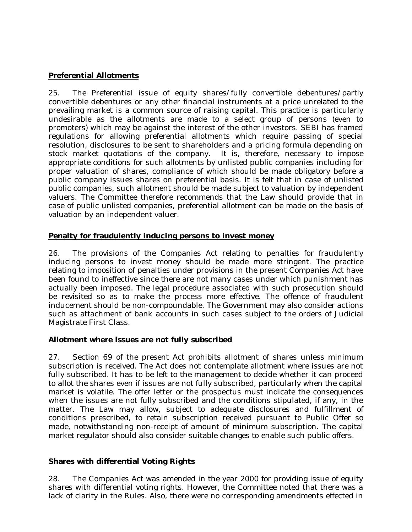## **Preferential Allotments**

25. The Preferential issue of equity shares/fully convertible debentures/partly convertible debentures or any other financial instruments at a price unrelated to the prevailing market is a common source of raising capital. This practice is particularly undesirable as the allotments are made to a select group of persons (even to promoters) which may be against the interest of the other investors. SEBI has framed regulations for allowing preferential allotments which require passing of special resolution, disclosures to be sent to shareholders and a pricing formula depending on stock market quotations of the company. It is, therefore, necessary to impose appropriate conditions for such allotments by unlisted public companies including for proper valuation of shares, compliance of which should be made obligatory before a public company issues shares on preferential basis. It is felt that in case of unlisted public companies, such allotment should be made subject to valuation by independent valuers. The Committee therefore recommends that the Law should provide that in case of public unlisted companies, preferential allotment can be made on the basis of valuation by an independent valuer.

## **Penalty for fraudulently inducing persons to invest money**

26. The provisions of the Companies Act relating to penalties for fraudulently inducing persons to invest money should be made more stringent. The practice relating to imposition of penalties under provisions in the present Companies Act have been found to ineffective since there are not many cases under which punishment has actually been imposed. The legal procedure associated with such prosecution should be revisited so as to make the process more effective. The offence of fraudulent inducement should be non-compoundable. The Government may also consider actions such as attachment of bank accounts in such cases subject to the orders of Judicial Magistrate First Class.

#### **Allotment where issues are not fully subscribed**

27. Section 69 of the present Act prohibits allotment of shares unless minimum subscription is received. The Act does not contemplate allotment where issues are not fully subscribed. It has to be left to the management to decide whether it can proceed to allot the shares even if issues are not fully subscribed, particularly when the capital market is volatile. The offer letter or the prospectus must indicate the consequences when the issues are not fully subscribed and the conditions stipulated, if any, in the matter. The Law may allow, subject to adequate disclosures and fulfillment of conditions prescribed, to retain subscription received pursuant to Public Offer so made, notwithstanding non-receipt of amount of minimum subscription. The capital market regulator should also consider suitable changes to enable such public offers.

# **Shares with differential Voting Rights**

28. The Companies Act was amended in the year 2000 for providing issue of equity shares with differential voting rights. However, the Committee noted that there was a lack of clarity in the Rules. Also, there were no corresponding amendments effected in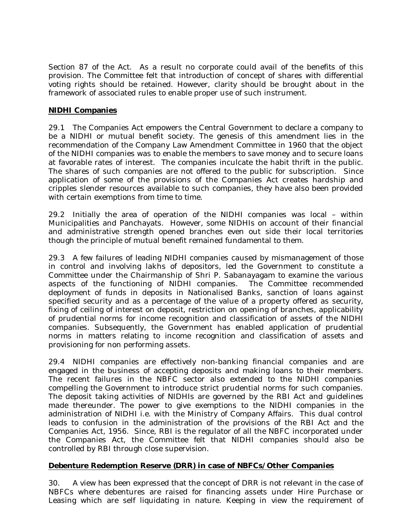Section 87 of the Act. As a result no corporate could avail of the benefits of this provision. The Committee felt that introduction of concept of shares with differential voting rights should be retained. However, clarity should be brought about in the framework of associated rules to enable proper use of such instrument.

## **NIDHI Companies**

29.1 The Companies Act empowers the Central Government to declare a company to be a NIDHI or mutual benefit society. The genesis of this amendment lies in the recommendation of the Company Law Amendment Committee in 1960 that the object of the NIDHI companies was to enable the members to save money and to secure loans at favorable rates of interest. The companies inculcate the habit thrift in the public. The shares of such companies are not offered to the public for subscription. Since application of some of the provisions of the Companies Act creates hardship and cripples slender resources available to such companies, they have also been provided with certain exemptions from time to time.

29.2 Initially the area of operation of the NIDHI companies was local – within Municipalities and Panchayats. However, some NIDHIs on account of their financial and administrative strength opened branches even out side their local territories though the principle of mutual benefit remained fundamental to them.

29.3 A few failures of leading NIDHI companies caused by mismanagement of those in control and involving lakhs of depositors, led the Government to constitute a Committee under the Chairmanship of Shri P. Sabanayagam to examine the various aspects of the functioning of NIDHI companies. The Committee recommended deployment of funds in deposits in Nationalised Banks, sanction of loans against specified security and as a percentage of the value of a property offered as security, fixing of ceiling of interest on deposit, restriction on opening of branches, applicability of prudential norms for income recognition and classification of assets of the NIDHI companies. Subsequently, the Government has enabled application of prudential norms in matters relating to income recognition and classification of assets and provisioning for non performing assets.

29.4 NIDHI companies are effectively non-banking financial companies and are engaged in the business of accepting deposits and making loans to their members. The recent failures in the NBFC sector also extended to the NIDHI companies compelling the Government to introduce strict prudential norms for such companies. The deposit taking activities of NIDHIs are governed by the RBI Act and guidelines made thereunder. The power to give exemptions to the NIDHI companies in the administration of NIDHI i.e. with the Ministry of Company Affairs. This dual control leads to confusion in the administration of the provisions of the RBI Act and the Companies Act, 1956. Since, RBI is the regulator of all the NBFC incorporated under the Companies Act, the Committee felt that NIDHI companies should also be controlled by RBI through close supervision.

#### **Debenture Redemption Reserve (DRR) in case of NBFCs/Other Companies**

30. A view has been expressed that the concept of DRR is not relevant in the case of NBFCs where debentures are raised for financing assets under Hire Purchase or Leasing which are self liquidating in nature. Keeping in view the requirement of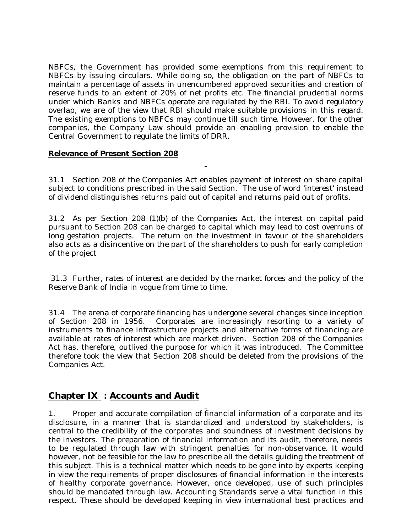NBFCs, the Government has provided some exemptions from this requirement to NBFCs by issuing circulars. While doing so, the obligation on the part of NBFCs to maintain a percentage of assets in unencumbered approved securities and creation of reserve funds to an extent of 20% of net profits etc. The financial prudential norms under which Banks and NBFCs operate are regulated by the RBI. To avoid regulatory overlap, we are of the view that RBI should make suitable provisions in this regard. The existing exemptions to NBFCs may continue till such time. However, for the other companies, the Company Law should provide an enabling provision to enable the Central Government to regulate the limits of DRR.

# **Relevance of Present Section 208**

31.1 Section 208 of the Companies Act enables payment of interest on share capital subject to conditions prescribed in the said Section. The use of word 'interest' instead of dividend distinguishes returns paid out of capital and returns paid out of profits.

31.2 As per Section 208 (1)(b) of the Companies Act, the interest on capital paid pursuant to Section 208 can be charged to capital which may lead to cost overruns of long gestation projects. The return on the investment in favour of the shareholders also acts as a disincentive on the part of the shareholders to push for early completion of the project

 31.3 Further, rates of interest are decided by the market forces and the policy of the Reserve Bank of India in vogue from time to time.

31.4 The arena of corporate financing has undergone several changes since inception of Section 208 in 1956. Corporates are increasingly resorting to a variety of instruments to finance infrastructure projects and alternative forms of financing are available at rates of interest which are market driven. Section 208 of the Companies Act has, therefore, outlived the purpose for which it was introduced. The Committee therefore took the view that Section 208 should be deleted from the provisions of the Companies Act.

# **Chapter IX : Accounts and Audit**

1. Proper and accurate compilation of financial information of a corporate and its disclosure, in a manner that is standardized and understood by stakeholders, is central to the credibility of the corporates and soundness of investment decisions by the investors. The preparation of financial information and its audit, therefore, needs to be regulated through law with stringent penalties for non-observance. It would however, not be feasible for the law to prescribe all the details guiding the treatment of this subject. This is a technical matter which needs to be gone into by experts keeping in view the requirements of proper disclosures of financial information in the interests of healthy corporate governance. However, once developed, use of such principles should be mandated through law. Accounting Standards serve a vital function in this respect. These should be developed keeping in view international best practices and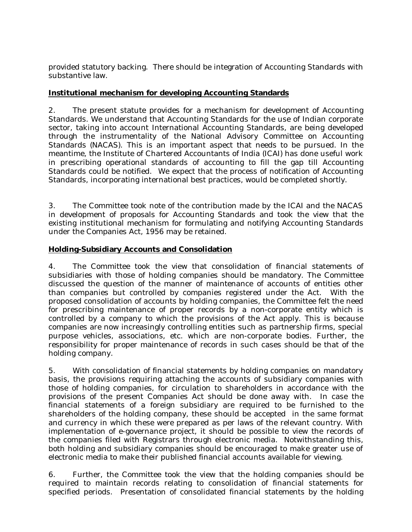provided statutory backing. There should be integration of Accounting Standards with substantive law.

## **Institutional mechanism for developing Accounting Standards**

2. The present statute provides for a mechanism for development of Accounting Standards. We understand that Accounting Standards for the use of Indian corporate sector, taking into account International Accounting Standards, are being developed through the instrumentality of the National Advisory Committee on Accounting Standards (NACAS). This is an important aspect that needs to be pursued. In the meantime, the Institute of Chartered Accountants of India (ICAI) has done useful work in prescribing operational standards of accounting to fill the gap till Accounting Standards could be notified. We expect that the process of notification of Accounting Standards, incorporating international best practices, would be completed shortly.

3. The Committee took note of the contribution made by the ICAI and the NACAS in development of proposals for Accounting Standards and took the view that the existing institutional mechanism for formulating and notifying Accounting Standards under the Companies Act, 1956 may be retained.

## **Holding-Subsidiary Accounts and Consolidation**

4. The Committee took the view that consolidation of financial statements of subsidiaries with those of holding companies should be mandatory. The Committee discussed the question of the manner of maintenance of accounts of entities other than companies but controlled by companies registered under the Act. With the proposed consolidation of accounts by holding companies, the Committee felt the need for prescribing maintenance of proper records by a non-corporate entity which is controlled by a company to which the provisions of the Act apply. This is because companies are now increasingly controlling entities such as partnership firms, special purpose vehicles, associations, etc. which are non-corporate bodies. Further, the responsibility for proper maintenance of records in such cases should be that of the holding company.

5. With consolidation of financial statements by holding companies on mandatory basis, the provisions requiring attaching the accounts of subsidiary companies with those of holding companies, for circulation to shareholders in accordance with the provisions of the present Companies Act should be done away with. In case the financial statements of a foreign subsidiary are required to be furnished to the shareholders of the holding company, these should be accepted in the same format and currency in which these were prepared as per laws of the relevant country. With implementation of e-governance project, it should be possible to view the records of the companies filed with Registrars through electronic media. Notwithstanding this, both holding and subsidiary companies should be encouraged to make greater use of electronic media to make their published financial accounts available for viewing.

6. Further, the Committee took the view that the holding companies should be required to maintain records relating to consolidation of financial statements for specified periods. Presentation of consolidated financial statements by the holding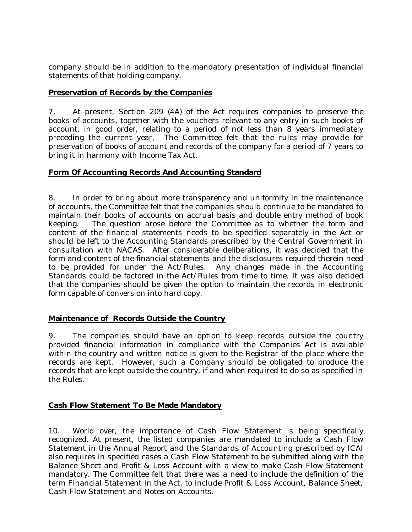company should be in addition to the mandatory presentation of individual financial statements of that holding company.

## **Preservation of Records by the Companies**

7. At present, Section 209 (4A) of the Act requires companies to preserve the books of accounts, together with the vouchers relevant to any entry in such books of account, in good order, relating to a period of not less than 8 years immediately preceding the current year. The Committee felt that the rules may provide for preservation of books of account and records of the company for a period of 7 years to bring it in harmony with Income Tax Act.

## **Form Of Accounting Records And Accounting Standard**

8. In order to bring about more transparency and uniformity in the maintenance of accounts, the Committee felt that the companies should continue to be mandated to maintain their books of accounts on accrual basis and double entry method of book keeping. The question arose before the Committee as to whether the form and content of the financial statements needs to be specified separately in the Act or should be left to the Accounting Standards prescribed by the Central Government in consultation with NACAS. After considerable deliberations, it was decided that the form and content of the financial statements and the disclosures required therein need to be provided for under the Act/Rules. Any changes made in the Accounting Standards could be factored in the Act/Rules from time to time. It was also decided that the companies should be given the option to maintain the records in electronic form capable of conversion into hard copy.

#### **Maintenance of Records Outside the Country**

9. The companies should have an option to keep records outside the country provided financial information in compliance with the Companies Act is available within the country and written notice is given to the Registrar of the place where the records are kept. However, such a Company should be obligated to produce the records that are kept outside the country, if and when required to do so as specified in the Rules.

#### **Cash Flow Statement To Be Made Mandatory**

10. World over, the importance of Cash Flow Statement is being specifically recognized. At present, the listed companies are mandated to include a Cash Flow Statement in the Annual Report and the Standards of Accounting prescribed by ICAI also requires in specified cases a Cash Flow Statement to be submitted along with the Balance Sheet and Profit & Loss Account with a view to make Cash Flow Statement mandatory. The Committee felt that there was a need to include the definition of the term Financial Statement in the Act, to include Profit & Loss Account, Balance Sheet, Cash Flow Statement and Notes on Accounts.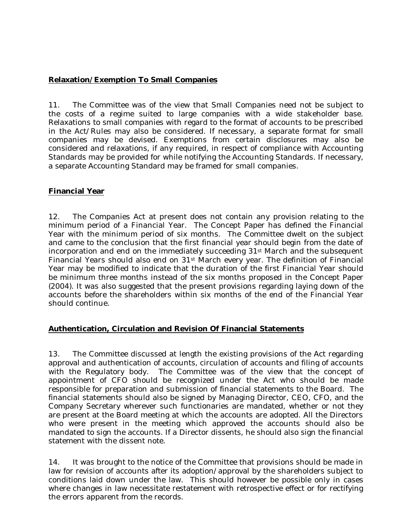#### **Relaxation/Exemption To Small Companies**

11. The Committee was of the view that Small Companies need not be subject to the costs of a regime suited to large companies with a wide stakeholder base. Relaxations to small companies with regard to the format of accounts to be prescribed in the Act/Rules may also be considered. If necessary, a separate format for small companies may be devised. Exemptions from certain disclosures may also be considered and relaxations, if any required, in respect of compliance with Accounting Standards may be provided for while notifying the Accounting Standards. If necessary, a separate Accounting Standard may be framed for small companies.

## **Financial Year**

12. The Companies Act at present does not contain any provision relating to the minimum period of a Financial Year. The Concept Paper has defined the Financial Year with the minimum period of six months. The Committee dwelt on the subject and came to the conclusion that the first financial year should begin from the date of incorporation and end on the immediately succeeding 31st March and the subsequent Financial Years should also end on 31st March every year. The definition of Financial Year may be modified to indicate that the duration of the first Financial Year should be minimum three months instead of the six months proposed in the Concept Paper (2004). It was also suggested that the present provisions regarding laying down of the accounts before the shareholders within six months of the end of the Financial Year should continue.

# **Authentication, Circulation and Revision Of Financial Statements**

13. The Committee discussed at length the existing provisions of the Act regarding approval and authentication of accounts, circulation of accounts and filing of accounts with the Regulatory body. The Committee was of the view that the concept of appointment of CFO should be recognized under the Act who should be made responsible for preparation and submission of financial statements to the Board. The financial statements should also be signed by Managing Director, CEO, CFO, and the Company Secretary wherever such functionaries are mandated, whether or not they are present at the Board meeting at which the accounts are adopted. All the Directors who were present in the meeting which approved the accounts should also be mandated to sign the accounts. If a Director dissents, he should also sign the financial statement with the dissent note.

14. It was brought to the notice of the Committee that provisions should be made in law for revision of accounts after its adoption/approval by the shareholders subject to conditions laid down under the law. This should however be possible only in cases where changes in law necessitate restatement with retrospective effect or for rectifying the errors apparent from the records.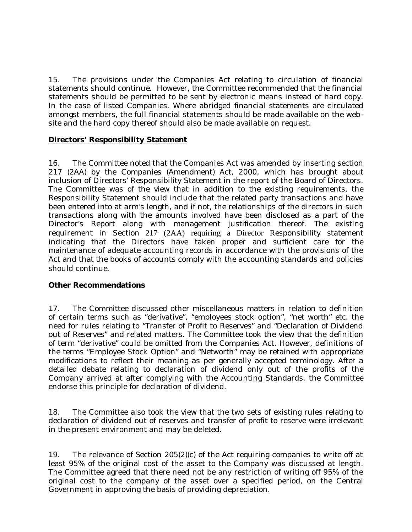15. The provisions under the Companies Act relating to circulation of financial statements should continue. However, the Committee recommended that the financial statements should be permitted to be sent by electronic means instead of hard copy. In the case of listed Companies. Where abridged financial statements are circulated amongst members, the full financial statements should be made available on the website and the hard copy thereof should also be made available on request.

## **Directors' Responsibility Statement**

16. The Committee noted that the Companies Act was amended by inserting section 217 (2AA) by the Companies (Amendment) Act, 2000, which has brought about inclusion of Directors' Responsibility Statement in the report of the Board of Directors. The Committee was of the view that in addition to the existing requirements, the Responsibility Statement should include that the related party transactions and have been entered into at arm's length, and if not, the relationships of the directors in such transactions along with the amounts involved have been disclosed as a part of the Director's Report along with management justification thereof. The existing requirement in Section 217 (2AA) requiring a Director Responsibility statement indicating that the Directors have taken proper and sufficient care for the maintenance of adequate accounting records in accordance with the provisions of the Act and that the books of accounts comply with the accounting standards and policies should continue.

# **Other Recommendations**

17. The Committee discussed other miscellaneous matters in relation to definition of certain terms such as "derivative", "employees stock option", "net worth" etc. the need for rules relating to "Transfer of Profit to Reserves" and "Declaration of Dividend out of Reserves" and related matters. The Committee took the view that the definition of term "derivative" could be omitted from the Companies Act. However, definitions of the terms "Employee Stock Option" and "Networth" may be retained with appropriate modifications to reflect their meaning as per generally accepted terminology. After a detailed debate relating to declaration of dividend only out of the profits of the Company arrived at after complying with the Accounting Standards, the Committee endorse this principle for declaration of dividend.

18. The Committee also took the view that the two sets of existing rules relating to declaration of dividend out of reserves and transfer of profit to reserve were irrelevant in the present environment and may be deleted.

19. The relevance of Section 205(2)(c) of the Act requiring companies to write off at least 95% of the original cost of the asset to the Company was discussed at length. The Committee agreed that there need not be any restriction of writing off 95% of the original cost to the company of the asset over a specified period, on the Central Government in approving the basis of providing depreciation.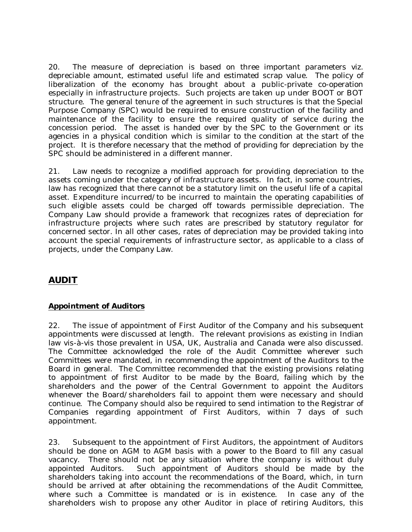20. The measure of depreciation is based on three important parameters viz. depreciable amount, estimated useful life and estimated scrap value. The policy of liberalization of the economy has brought about a public-private co-operation especially in infrastructure projects. Such projects are taken up under BOOT or BOT structure. The general tenure of the agreement in such structures is that the Special Purpose Company (SPC) would be required to ensure construction of the facility and maintenance of the facility to ensure the required quality of service during the concession period. The asset is handed over by the SPC to the Government or its agencies in a physical condition which is similar to the condition at the start of the project. It is therefore necessary that the method of providing for depreciation by the SPC should be administered in a different manner.

21. Law needs to recognize a modified approach for providing depreciation to the assets coming under the category of infrastructure assets. In fact, in some countries, law has recognized that there cannot be a statutory limit on the useful life of a capital asset. Expenditure incurred/to be incurred to maintain the operating capabilities of such eligible assets could be charged off towards permissible depreciation. The Company Law should provide a framework that recognizes rates of depreciation for infrastructure projects where such rates are prescribed by statutory regulator for concerned sector. In all other cases, rates of depreciation may be provided taking into account the special requirements of infrastructure sector, as applicable to a class of projects, under the Company Law.

# **AUDIT**

# **Appointment of Auditors**

22. The issue of appointment of First Auditor of the Company and his subsequent appointments were discussed at length. The relevant provisions as existing in Indian law vis-à-vis those prevalent in USA, UK, Australia and Canada were also discussed. The Committee acknowledged the role of the Audit Committee wherever such Committees were mandated, in recommending the appointment of the Auditors to the Board in general. The Committee recommended that the existing provisions relating to appointment of first Auditor to be made by the Board, failing which by the shareholders and the power of the Central Government to appoint the Auditors whenever the Board/shareholders fail to appoint them were necessary and should continue. The Company should also be required to send intimation to the Registrar of Companies regarding appointment of First Auditors, within 7 days of such appointment.

23. Subsequent to the appointment of First Auditors, the appointment of Auditors should be done on AGM to AGM basis with a power to the Board to fill any casual vacancy. There should not be any situation where the company is without duly appointed Auditors. Such appointment of Auditors should be made by the shareholders taking into account the recommendations of the Board, which, in turn should be arrived at after obtaining the recommendations of the Audit Committee, where such a Committee is mandated or is in existence. In case any of the shareholders wish to propose any other Auditor in place of retiring Auditors, this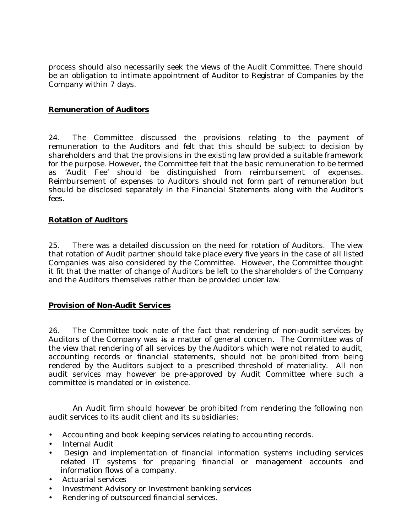process should also necessarily seek the views of the Audit Committee. There should be an obligation to intimate appointment of Auditor to Registrar of Companies by the Company within 7 days.

#### **Remuneration of Auditors**

24. The Committee discussed the provisions relating to the payment of remuneration to the Auditors and felt that this should be subject to decision by shareholders and that the provisions in the existing law provided a suitable framework for the purpose. However, the Committee felt that the basic remuneration to be termed as 'Audit Fee' should be distinguished from reimbursement of expenses. Reimbursement of expenses to Auditors should not form part of remuneration but should be disclosed separately in the Financial Statements along with the Auditor's fees.

#### **Rotation of Auditors**

25. There was a detailed discussion on the need for rotation of Auditors. The view that rotation of Audit partner should take place every five years in the case of all listed Companies was also considered by the Committee. However, the Committee thought it fit that the matter of change of Auditors be left to the shareholders of the Company and the Auditors themselves rather than be provided under law.

#### **Provision of Non-Audit Services**

26. The Committee took note of the fact that rendering of non-audit services by Auditors of the Company was is a matter of general concern. The Committee was of the view that rendering of all services by the Auditors which were not related to audit, accounting records or financial statements, should not be prohibited from being rendered by the Auditors subject to a prescribed threshold of materiality. All non audit services may however be pre-approved by Audit Committee where such a committee is mandated or in existence.

An Audit firm should however be prohibited from rendering the following non audit services to its audit client and its subsidiaries:

- Accounting and book keeping services relating to accounting records.
- Internal Audit
- Design and implementation of financial information systems including services related IT systems for preparing financial or management accounts and information flows of a company.
- Actuarial services
- Investment Advisory or Investment banking services
- Rendering of outsourced financial services.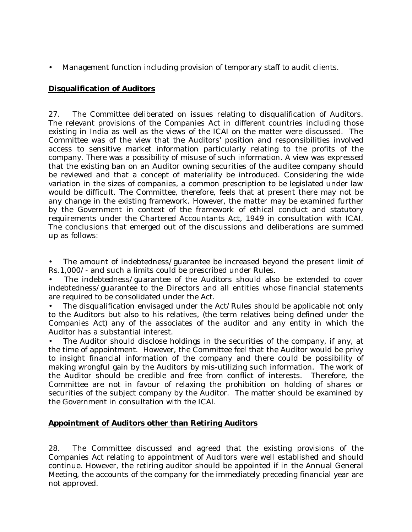• Management function including provision of temporary staff to audit clients.

# **Disqualification of Auditors**

27. The Committee deliberated on issues relating to disqualification of Auditors. The relevant provisions of the Companies Act in different countries including those existing in India as well as the views of the ICAI on the matter were discussed. The Committee was of the view that the Auditors' position and responsibilities involved access to sensitive market information particularly relating to the profits of the company. There was a possibility of misuse of such information. A view was expressed that the existing ban on an Auditor owning securities of the auditee company should be reviewed and that a concept of materiality be introduced. Considering the wide variation in the sizes of companies, a common prescription to be legislated under law would be difficult. The Committee, therefore, feels that at present there may not be any change in the existing framework. However, the matter may be examined further by the Government in context of the framework of ethical conduct and statutory requirements under the Chartered Accountants Act, 1949 in consultation with ICAI. The conclusions that emerged out of the discussions and deliberations are summed up as follows:

• The amount of indebtedness/guarantee be increased beyond the present limit of Rs.1,000/- and such a limits could be prescribed under Rules.

• The indebtedness/guarantee of the Auditors should also be extended to cover indebtedness/guarantee to the Directors and all entities whose financial statements are required to be consolidated under the Act.

The disqualification envisaged under the Act/Rules should be applicable not only to the Auditors but also to his relatives, (the term relatives being defined under the Companies Act) any of the associates of the auditor and any entity in which the Auditor has a substantial interest.

• The Auditor should disclose holdings in the securities of the company, if any, at the time of appointment. However, the Committee feel that the Auditor would be privy to insight financial information of the company and there could be possibility of making wrongful gain by the Auditors by mis-utilizing such information. The work of the Auditor should be credible and free from conflict of interests. Therefore, the Committee are not in favour of relaxing the prohibition on holding of shares or securities of the subject company by the Auditor. The matter should be examined by the Government in consultation with the ICAI.

# **Appointment of Auditors other than Retiring Auditors**

28. The Committee discussed and agreed that the existing provisions of the Companies Act relating to appointment of Auditors were well established and should continue. However, the retiring auditor should be appointed if in the Annual General Meeting, the accounts of the company for the immediately preceding financial year are not approved.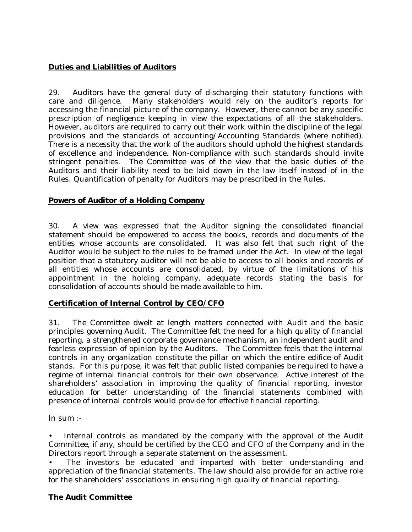## **Duties and Liabilities of Auditors**

29. Auditors have the general duty of discharging their statutory functions with care and diligence. Many stakeholders would rely on the auditor's reports for accessing the financial picture of the company. However, there cannot be any specific prescription of negligence keeping in view the expectations of all the stakeholders. However, auditors are required to carry out their work within the discipline of the legal provisions and the standards of accounting/Accounting Standards (where notified). There is a necessity that the work of the auditors should uphold the highest standards of excellence and independence. Non-compliance with such standards should invite stringent penalties. The Committee was of the view that the basic duties of the Auditors and their liability need to be laid down in the law itself instead of in the Rules. Quantification of penalty for Auditors may be prescribed in the Rules.

## **Powers of Auditor of a Holding Company**

30. A view was expressed that the Auditor signing the consolidated financial statement should be empowered to access the books, records and documents of the entities whose accounts are consolidated. It was also felt that such right of the Auditor would be subject to the rules to be framed under the Act. In view of the legal position that a statutory auditor will not be able to access to all books and records of all entities whose accounts are consolidated, by virtue of the limitations of his appointment in the holding company, adequate records stating the basis for consolidation of accounts should be made available to him.

# **Certification of Internal Control by CEO/CFO**

31. The Committee dwelt at length matters connected with Audit and the basic principles governing Audit. The Committee felt the need for a high quality of financial reporting, a strengthened corporate governance mechanism, an independent audit and fearless expression of opinion by the Auditors. The Committee feels that the internal controls in any organization constitute the pillar on which the entire edifice of Audit stands. For this purpose, it was felt that public listed companies be required to have a regime of internal financial controls for their own observance. Active interest of the shareholders' association in improving the quality of financial reporting, investor education for better understanding of the financial statements combined with presence of internal controls would provide for effective financial reporting.

In sum :-

Internal controls as mandated by the company with the approval of the Audit Committee, if any, should be certified by the CEO and CFO of the Company and in the Directors report through a separate statement on the assessment.

The investors be educated and imparted with better understanding and appreciation of the financial statements. The law should also provide for an active role for the shareholders' associations in ensuring high quality of financial reporting.

# **The Audit Committee**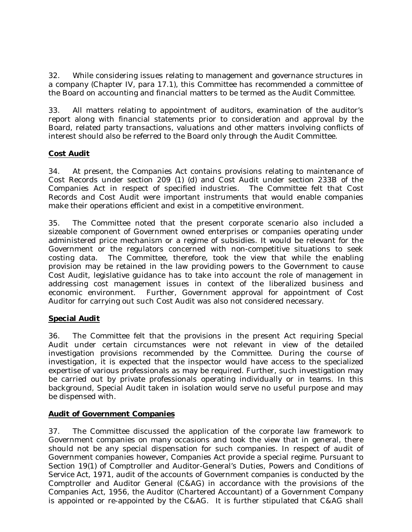32. While considering issues relating to management and governance structures in a company (Chapter IV, para 17.1), this Committee has recommended a committee of the Board on accounting and financial matters to be termed as the Audit Committee.

33. All matters relating to appointment of auditors, examination of the auditor's report along with financial statements prior to consideration and approval by the Board, related party transactions, valuations and other matters involving conflicts of interest should also be referred to the Board only through the Audit Committee.

# **Cost Audit**

34. At present, the Companies Act contains provisions relating to maintenance of Cost Records under section 209 (1) (d) and Cost Audit under section 233B of the Companies Act in respect of specified industries. The Committee felt that Cost Records and Cost Audit were important instruments that would enable companies make their operations efficient and exist in a competitive environment.

35. The Committee noted that the present corporate scenario also included a sizeable component of Government owned enterprises or companies operating under administered price mechanism or a regime of subsidies. It would be relevant for the Government or the regulators concerned with non-competitive situations to seek costing data. The Committee, therefore, took the view that while the enabling provision may be retained in the law providing powers to the Government to cause Cost Audit, legislative guidance has to take into account the role of management in addressing cost management issues in context of the liberalized business and economic environment. Further, Government approval for appointment of Cost Auditor for carrying out such Cost Audit was also not considered necessary.

# **Special Audit**

36. The Committee felt that the provisions in the present Act requiring Special Audit under certain circumstances were not relevant in view of the detailed investigation provisions recommended by the Committee. During the course of investigation, it is expected that the inspector would have access to the specialized expertise of various professionals as may be required. Further, such investigation may be carried out by private professionals operating individually or in teams. In this background, Special Audit taken in isolation would serve no useful purpose and may be dispensed with.

# **Audit of Government Companies**

37. The Committee discussed the application of the corporate law framework to Government companies on many occasions and took the view that in general, there should not be any special dispensation for such companies. In respect of audit of Government companies however, Companies Act provide a special regime. Pursuant to Section 19(1) of Comptroller and Auditor-General's Duties, Powers and Conditions of Service Act, 1971, audit of the accounts of Government companies is conducted by the Comptroller and Auditor General (C&AG) in accordance with the provisions of the Companies Act, 1956, the Auditor (Chartered Accountant) of a Government Company is appointed or re-appointed by the C&AG. It is further stipulated that C&AG shall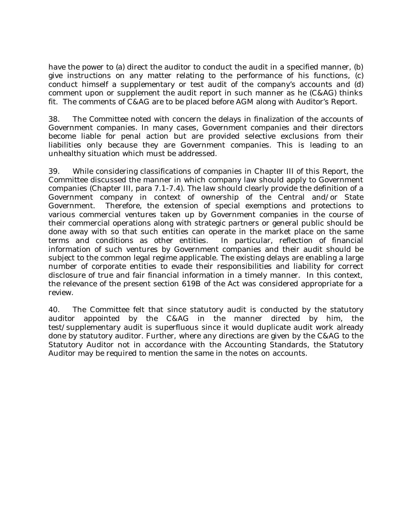have the power to (a) direct the auditor to conduct the audit in a specified manner, (b) give instructions on any matter relating to the performance of his functions, (c) conduct himself a supplementary or test audit of the company's accounts and (d) comment upon or supplement the audit report in such manner as he (C&AG) thinks fit. The comments of C&AG are to be placed before AGM along with Auditor's Report.

38. The Committee noted with concern the delays in finalization of the accounts of Government companies. In many cases, Government companies and their directors become liable for penal action but are provided selective exclusions from their liabilities only because they are Government companies. This is leading to an unhealthy situation which must be addressed.

39. While considering classifications of companies in Chapter III of this Report, the Committee discussed the manner in which company law should apply to Government companies (Chapter III, para 7.1-7.4). The law should clearly provide the definition of a Government company in context of ownership of the Central and/or State Government. Therefore, the extension of special exemptions and protections to various commercial ventures taken up by Government companies in the course of their commercial operations along with strategic partners or general public should be done away with so that such entities can operate in the market place on the same terms and conditions as other entities. In particular, reflection of financial information of such ventures by Government companies and their audit should be subject to the common legal regime applicable. The existing delays are enabling a large number of corporate entities to evade their responsibilities and liability for correct disclosure of true and fair financial information in a timely manner. In this context, the relevance of the present section 619B of the Act was considered appropriate for a review.

40. The Committee felt that since statutory audit is conducted by the statutory auditor appointed by the C&AG in the manner directed by him, the test/supplementary audit is superfluous since it would duplicate audit work already done by statutory auditor. Further, where any directions are given by the C&AG to the Statutory Auditor not in accordance with the Accounting Standards, the Statutory Auditor may be required to mention the same in the notes on accounts.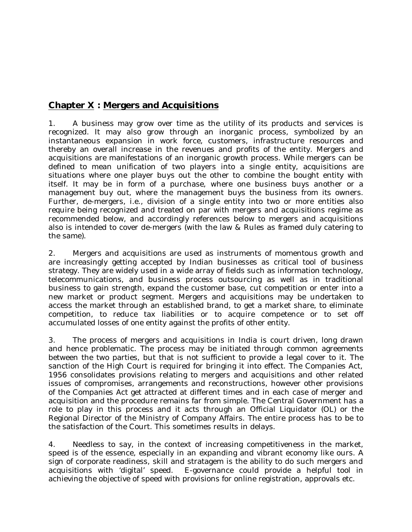# **Chapter X : Mergers and Acquisitions**

1. A business may grow over time as the utility of its products and services is recognized. It may also grow through an inorganic process, symbolized by an instantaneous expansion in work force, customers, infrastructure resources and thereby an overall increase in the revenues and profits of the entity. Mergers and acquisitions are manifestations of an inorganic growth process. While mergers can be defined to mean unification of two players into a single entity, acquisitions are situations where one player buys out the other to combine the bought entity with itself. It may be in form of a purchase, where one business buys another or a management buy out, where the management buys the business from its owners. Further, de-mergers, i.e., division of a single entity into two or more entities also require being recognized and treated on par with mergers and acquisitions regime as recommended below, and accordingly references below to mergers and acquisitions also is intended to cover de-mergers (with the law & Rules as framed duly catering to the same).

2. Mergers and acquisitions are used as instruments of momentous growth and are increasingly getting accepted by Indian businesses as critical tool of business strategy. They are widely used in a wide array of fields such as information technology, telecommunications, and business process outsourcing as well as in traditional business to gain strength, expand the customer base, cut competition or enter into a new market or product segment. Mergers and acquisitions may be undertaken to access the market through an established brand, to get a market share, to eliminate competition, to reduce tax liabilities or to acquire competence or to set off accumulated losses of one entity against the profits of other entity.

3. The process of mergers and acquisitions in India is court driven, long drawn and hence problematic. The process may be initiated through common agreements between the two parties, but that is not sufficient to provide a legal cover to it. The sanction of the High Court is required for bringing it into effect. The Companies Act, 1956 consolidates provisions relating to mergers and acquisitions and other related issues of compromises, arrangements and reconstructions, however other provisions of the Companies Act get attracted at different times and in each case of merger and acquisition and the procedure remains far from simple. The Central Government has a role to play in this process and it acts through an Official Liquidator (OL) or the Regional Director of the Ministry of Company Affairs. The entire process has to be to the satisfaction of the Court. This sometimes results in delays.

4. Needless to say, in the context of increasing competitiveness in the market, speed is of the essence, especially in an expanding and vibrant economy like ours. A sign of corporate readiness, skill and stratagem is the ability to do such mergers and acquisitions with 'digital' speed. E-governance could provide a helpful tool in achieving the objective of speed with provisions for online registration, approvals etc.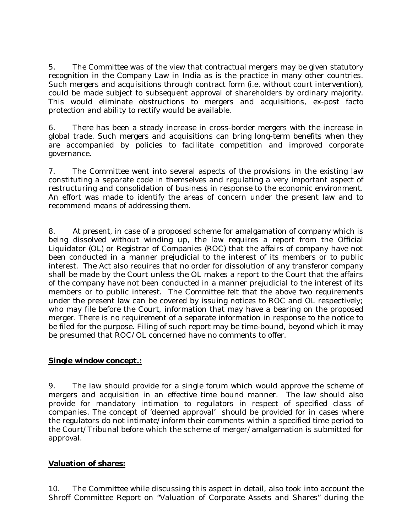5. The Committee was of the view that contractual mergers may be given statutory recognition in the Company Law in India as is the practice in many other countries. Such mergers and acquisitions through contract form (i.e. without court intervention), could be made subject to subsequent approval of shareholders by ordinary majority. This would eliminate obstructions to mergers and acquisitions, ex-post facto protection and ability to rectify would be available.

6. There has been a steady increase in cross-border mergers with the increase in global trade. Such mergers and acquisitions can bring long-term benefits when they are accompanied by policies to facilitate competition and improved corporate governance.

7. The Committee went into several aspects of the provisions in the existing law constituting a separate code in themselves and regulating a very important aspect of restructuring and consolidation of business in response to the economic environment. An effort was made to identify the areas of concern under the present law and to recommend means of addressing them.

8. At present, in case of a proposed scheme for amalgamation of company which is being dissolved without winding up, the law requires a report from the Official Liquidator (OL) or Registrar of Companies (ROC) that the affairs of company have not been conducted in a manner prejudicial to the interest of its members or to public interest. The Act also requires that no order for dissolution of any transferor company shall be made by the Court unless the OL makes a report to the Court that the affairs of the company have not been conducted in a manner prejudicial to the interest of its members or to public interest. The Committee felt that the above two requirements under the present law can be covered by issuing notices to ROC and OL respectively; who may file before the Court, information that may have a bearing on the proposed merger. There is no requirement of a separate information in response to the notice to be filed for the purpose. Filing of such report may be time-bound, beyond which it may be presumed that ROC/OL concerned have no comments to offer.

#### **Single window concept.:**

9. The law should provide for a single forum which would approve the scheme of mergers and acquisition in an effective time bound manner. The law should also provide for mandatory intimation to regulators in respect of specified class of companies. The concept of 'deemed approval' should be provided for in cases where the regulators do not intimate/inform their comments within a specified time period to the Court/Tribunal before which the scheme of merger/amalgamation is submitted for approval.

# **Valuation of shares:**

10. The Committee while discussing this aspect in detail, also took into account the Shroff Committee Report on "Valuation of Corporate Assets and Shares" during the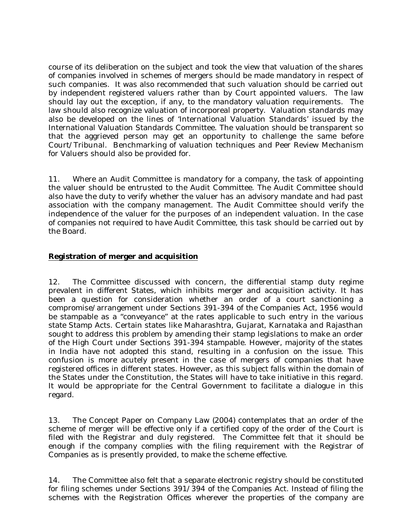course of its deliberation on the subject and took the view that valuation of the shares of companies involved in schemes of mergers should be made mandatory in respect of such companies. It was also recommended that such valuation should be carried out by independent registered valuers rather than by Court appointed valuers. The law should lay out the exception, if any, to the mandatory valuation requirements. The law should also recognize valuation of incorporeal property. Valuation standards may also be developed on the lines of 'International Valuation Standards' issued by the International Valuation Standards Committee. The valuation should be transparent so that the aggrieved person may get an opportunity to challenge the same before Court/Tribunal. Benchmarking of valuation techniques and Peer Review Mechanism for Valuers should also be provided for.

11. Where an Audit Committee is mandatory for a company, the task of appointing the valuer should be entrusted to the Audit Committee. The Audit Committee should also have the duty to verify whether the valuer has an advisory mandate and had past association with the company management. The Audit Committee should verify the independence of the valuer for the purposes of an independent valuation. In the case of companies not required to have Audit Committee, this task should be carried out by the Board.

# **Registration of merger and acquisition**

12. The Committee discussed with concern, the differential stamp duty regime prevalent in different States, which inhibits merger and acquisition activity. It has been a question for consideration whether an order of a court sanctioning a compromise/arrangement under Sections 391-394 of the Companies Act, 1956 would be stampable as a "conveyance" at the rates applicable to such entry in the various state Stamp Acts. Certain states like Maharashtra, Gujarat, Karnataka and Rajasthan sought to address this problem by amending their stamp legislations to make an order of the High Court under Sections 391-394 stampable. However, majority of the states in India have not adopted this stand, resulting in a confusion on the issue. This confusion is more acutely present in the case of mergers of companies that have registered offices in different states. However, as this subject falls within the domain of the States under the Constitution, the States will have to take initiative in this regard. It would be appropriate for the Central Government to facilitate a dialogue in this regard.

13. The Concept Paper on Company Law (2004) contemplates that an order of the scheme of merger will be effective only if a certified copy of the order of the Court is filed with the Registrar and duly registered. The Committee felt that it should be enough if the company complies with the filing requirement with the Registrar of Companies as is presently provided, to make the scheme effective.

14. The Committee also felt that a separate electronic registry should be constituted for filing schemes under Sections 391/394 of the Companies Act. Instead of filing the schemes with the Registration Offices wherever the properties of the company are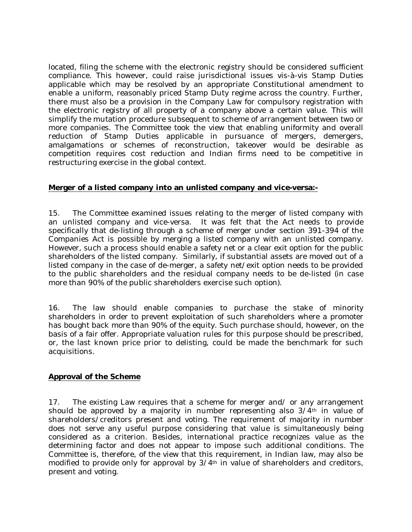located, filing the scheme with the electronic registry should be considered sufficient compliance. This however, could raise jurisdictional issues vis-à-vis Stamp Duties applicable which may be resolved by an appropriate Constitutional amendment to enable a uniform, reasonably priced Stamp Duty regime across the country. Further, there must also be a provision in the Company Law for compulsory registration with the electronic registry of all property of a company above a certain value. This will simplify the mutation procedure subsequent to scheme of arrangement between two or more companies. The Committee took the view that enabling uniformity and overall reduction of Stamp Duties applicable in pursuance of mergers, demergers, amalgamations or schemes of reconstruction, takeover would be desirable as competition requires cost reduction and Indian firms need to be competitive in restructuring exercise in the global context.

#### **Merger of a listed company into an unlisted company and vice-versa:-**

15. The Committee examined issues relating to the merger of listed company with an unlisted company and vice-versa. It was felt that the Act needs to provide specifically that de-listing through a scheme of merger under section 391-394 of the Companies Act is possible by merging a listed company with an unlisted company. However, such a process should enable a safety net or a clear exit option for the public shareholders of the listed company. Similarly, if substantial assets are moved out of a listed company in the case of de-merger, a safety net/exit option needs to be provided to the public shareholders and the residual company needs to be de-listed (in case more than 90% of the public shareholders exercise such option).

16. The law should enable companies to purchase the stake of minority shareholders in order to prevent exploitation of such shareholders where a promoter has bought back more than 90% of the equity. Such purchase should, however, on the basis of a fair offer. Appropriate valuation rules for this purpose should be prescribed, or, the last known price prior to delisting, could be made the benchmark for such acquisitions.

# **Approval of the Scheme**

17. The existing Law requires that a scheme for merger and/ or any arrangement should be approved by a majority in number representing also  $3/4$ <sup>th</sup> in value of shareholders/creditors present and voting. The requirement of majority in number does not serve any useful purpose considering that value is simultaneously being considered as a criterion. Besides, international practice recognizes value as the determining factor and does not appear to impose such additional conditions. The Committee is, therefore, of the view that this requirement, in Indian law, may also be modified to provide only for approval by 3/4th in value of shareholders and creditors, present and voting.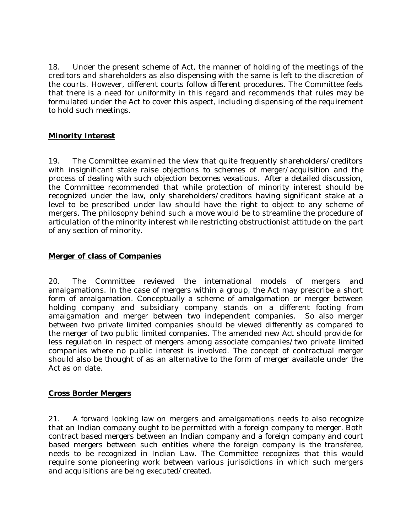18. Under the present scheme of Act, the manner of holding of the meetings of the creditors and shareholders as also dispensing with the same is left to the discretion of the courts. However, different courts follow different procedures. The Committee feels that there is a need for uniformity in this regard and recommends that rules may be formulated under the Act to cover this aspect, including dispensing of the requirement to hold such meetings.

# **Minority Interest**

19. The Committee examined the view that quite frequently shareholders/creditors with insignificant stake raise objections to schemes of merger/acquisition and the process of dealing with such objection becomes vexatious. After a detailed discussion, the Committee recommended that while protection of minority interest should be recognized under the law, only shareholders/creditors having significant stake at a level to be prescribed under law should have the right to object to any scheme of mergers. The philosophy behind such a move would be to streamline the procedure of articulation of the minority interest while restricting obstructionist attitude on the part of any section of minority.

#### **Merger of class of Companies**

20. The Committee reviewed the international models of mergers and amalgamations. In the case of mergers within a group, the Act may prescribe a short form of amalgamation. Conceptually a scheme of amalgamation or merger between holding company and subsidiary company stands on a different footing from amalgamation and merger between two independent companies. So also merger between two private limited companies should be viewed differently as compared to the merger of two public limited companies. The amended new Act should provide for less regulation in respect of mergers among associate companies/two private limited companies where no public interest is involved. The concept of contractual merger should also be thought of as an alternative to the form of merger available under the Act as on date.

#### **Cross Border Mergers**

21. A forward looking law on mergers and amalgamations needs to also recognize that an Indian company ought to be permitted with a foreign company to merger. Both contract based mergers between an Indian company and a foreign company and court based mergers between such entities where the foreign company is the transferee, needs to be recognized in Indian Law. The Committee recognizes that this would require some pioneering work between various jurisdictions in which such mergers and acquisitions are being executed/created.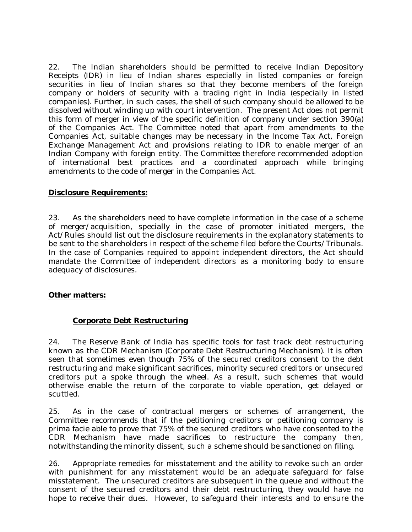22. The Indian shareholders should be permitted to receive Indian Depository Receipts (IDR) in lieu of Indian shares especially in listed companies or foreign securities in lieu of Indian shares so that they become members of the foreign company or holders of security with a trading right in India (especially in listed companies). Further, in such cases, the shell of such company should be allowed to be dissolved without winding up with court intervention. The present Act does not permit this form of merger in view of the specific definition of company under section 390(a) of the Companies Act. The Committee noted that apart from amendments to the Companies Act, suitable changes may be necessary in the Income Tax Act, Foreign Exchange Management Act and provisions relating to IDR to enable merger of an Indian Company with foreign entity. The Committee therefore recommended adoption of international best practices and a coordinated approach while bringing amendments to the code of merger in the Companies Act.

## **Disclosure Requirements:**

23. As the shareholders need to have complete information in the case of a scheme of merger/acquisition, specially in the case of promoter initiated mergers, the Act/Rules should list out the disclosure requirements in the explanatory statements to be sent to the shareholders in respect of the scheme filed before the Courts/Tribunals. In the case of Companies required to appoint independent directors, the Act should mandate the Committee of independent directors as a monitoring body to ensure adequacy of disclosures.

#### **Other matters:**

# **Corporate Debt Restructuring**

24. The Reserve Bank of India has specific tools for fast track debt restructuring known as the CDR Mechanism (Corporate Debt Restructuring Mechanism). It is often seen that sometimes even though 75% of the secured creditors consent to the debt restructuring and make significant sacrifices, minority secured creditors or unsecured creditors put a spoke through the wheel. As a result, such schemes that would otherwise enable the return of the corporate to viable operation, get delayed or scuttled.

25. As in the case of contractual mergers or schemes of arrangement, the Committee recommends that if the petitioning creditors or petitioning company is prima facie able to prove that 75% of the secured creditors who have consented to the CDR Mechanism have made sacrifices to restructure the company then, notwithstanding the minority dissent, such a scheme should be sanctioned on filing.

26. Appropriate remedies for misstatement and the ability to revoke such an order with punishment for any misstatement would be an adequate safeguard for false misstatement. The unsecured creditors are subsequent in the queue and without the consent of the secured creditors and their debt restructuring, they would have no hope to receive their dues. However, to safeguard their interests and to ensure the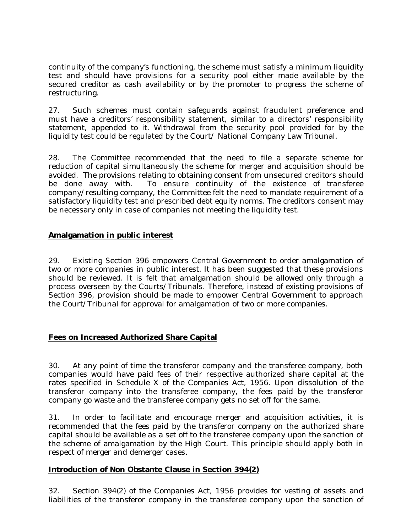continuity of the company's functioning, the scheme must satisfy a minimum liquidity test and should have provisions for a security pool either made available by the secured creditor as cash availability or by the promoter to progress the scheme of restructuring.

27. Such schemes must contain safeguards against fraudulent preference and must have a creditors' responsibility statement, similar to a directors' responsibility statement, appended to it. Withdrawal from the security pool provided for by the liquidity test could be regulated by the Court/ National Company Law Tribunal.

28. The Committee recommended that the need to file a separate scheme for reduction of capital simultaneously the scheme for merger and acquisition should be avoided. The provisions relating to obtaining consent from unsecured creditors should be done away with. To ensure continuity of the existence of transferee company/resulting company, the Committee felt the need to mandate requirement of a satisfactory liquidity test and prescribed debt equity norms. The creditors consent may be necessary only in case of companies not meeting the liquidity test.

## **Amalgamation in public interest**

29. Existing Section 396 empowers Central Government to order amalgamation of two or more companies in public interest. It has been suggested that these provisions should be reviewed. It is felt that amalgamation should be allowed only through a process overseen by the Courts/Tribunals. Therefore, instead of existing provisions of Section 396, provision should be made to empower Central Government to approach the Court/Tribunal for approval for amalgamation of two or more companies.

# **Fees on Increased Authorized Share Capital**

30. At any point of time the transferor company and the transferee company, both companies would have paid fees of their respective authorized share capital at the rates specified in Schedule X of the Companies Act, 1956. Upon dissolution of the transferor company into the transferee company, the fees paid by the transferor company go waste and the transferee company gets no set off for the same.

31. In order to facilitate and encourage merger and acquisition activities, it is recommended that the fees paid by the transferor company on the authorized share capital should be available as a set off to the transferee company upon the sanction of the scheme of amalgamation by the High Court. This principle should apply both in respect of merger and demerger cases.

#### **Introduction of Non Obstante Clause in Section 394(2)**

32. Section 394(2) of the Companies Act, 1956 provides for vesting of assets and liabilities of the transferor company in the transferee company upon the sanction of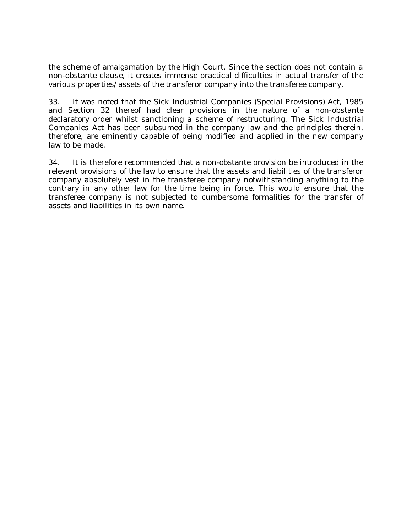the scheme of amalgamation by the High Court. Since the section does not contain a non-obstante clause, it creates immense practical difficulties in actual transfer of the various properties/assets of the transferor company into the transferee company.

33. It was noted that the Sick Industrial Companies (Special Provisions) Act, 1985 and Section 32 thereof had clear provisions in the nature of a non-obstante declaratory order whilst sanctioning a scheme of restructuring. The Sick Industrial Companies Act has been subsumed in the company law and the principles therein, therefore, are eminently capable of being modified and applied in the new company law to be made.

34. It is therefore recommended that a non-obstante provision be introduced in the relevant provisions of the law to ensure that the assets and liabilities of the transferor company absolutely vest in the transferee company notwithstanding anything to the contrary in any other law for the time being in force. This would ensure that the transferee company is not subjected to cumbersome formalities for the transfer of assets and liabilities in its own name.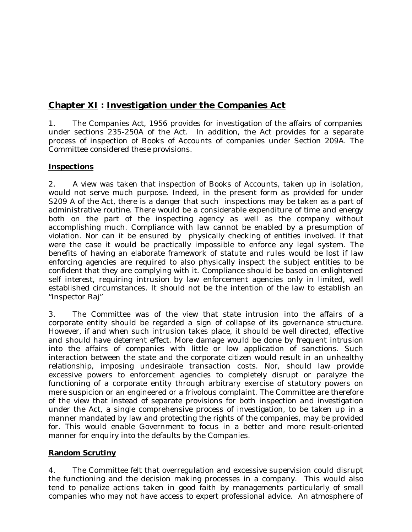# **Chapter XI : Investigation under the Companies Act**

1. The Companies Act, 1956 provides for investigation of the affairs of companies under sections 235-250A of the Act. In addition, the Act provides for a separate process of inspection of Books of Accounts of companies under Section 209A. The Committee considered these provisions.

# **Inspections**

2. A view was taken that inspection of Books of Accounts, taken up in isolation, would not serve much purpose. Indeed, in the present form as provided for under S209 A of the Act, there is a danger that such inspections may be taken as a part of administrative routine. There would be a considerable expenditure of time and energy both on the part of the inspecting agency as well as the company without accomplishing much. Compliance with law cannot be enabled by a presumption of violation. Nor can it be ensured by physically checking of entities involved. If that were the case it would be practically impossible to enforce any legal system. The benefits of having an elaborate framework of statute and rules would be lost if law enforcing agencies are required to also physically inspect the subject entities to be confident that they are complying with it. Compliance should be based on enlightened self interest, requiring intrusion by law enforcement agencies only in limited, well established circumstances. It should not be the intention of the law to establish an "Inspector Raj"

3. The Committee was of the view that state intrusion into the affairs of a corporate entity should be regarded a sign of collapse of its governance structure. However, if and when such intrusion takes place, it should be well directed, effective and should have deterrent effect. More damage would be done by frequent intrusion into the affairs of companies with little or low application of sanctions. Such interaction between the state and the corporate citizen would result in an unhealthy relationship, imposing undesirable transaction costs. Nor, should law provide excessive powers to enforcement agencies to completely disrupt or paralyze the functioning of a corporate entity through arbitrary exercise of statutory powers on mere suspicion or an engineered or a frivolous complaint. The Committee are therefore of the view that instead of separate provisions for both inspection and investigation under the Act, a single comprehensive process of investigation, to be taken up in a manner mandated by law and protecting the rights of the companies, may be provided for. This would enable Government to focus in a better and more result-oriented manner for enquiry into the defaults by the Companies.

# **Random Scrutiny**

4. The Committee felt that overregulation and excessive supervision could disrupt the functioning and the decision making processes in a company. This would also tend to penalize actions taken in good faith by managements particularly of small companies who may not have access to expert professional advice. An atmosphere of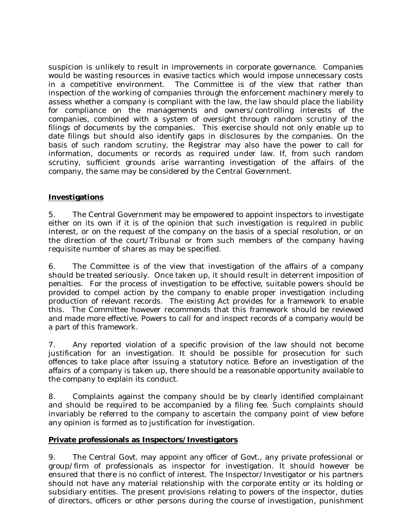suspicion is unlikely to result in improvements in corporate governance. Companies would be wasting resources in evasive tactics which would impose unnecessary costs in a competitive environment. The Committee is of the view that rather than inspection of the working of companies through the enforcement machinery merely to assess whether a company is compliant with the law, the law should place the liability for compliance on the managements and owners/controlling interests of the companies, combined with a system of oversight through random scrutiny of the filings of documents by the companies. This exercise should not only enable up to date filings but should also identify gaps in disclosures by the companies. On the basis of such random scrutiny, the Registrar may also have the power to call for information, documents or records as required under law. If, from such random scrutiny, sufficient grounds arise warranting investigation of the affairs of the company, the same may be considered by the Central Government.

# **Investigations**

5. The Central Government may be empowered to appoint inspectors to investigate either on its own if it is of the opinion that such investigation is required in public interest, or on the request of the company on the basis of a special resolution, or on the direction of the court/Tribunal or from such members of the company having requisite number of shares as may be specified.

6. The Committee is of the view that investigation of the affairs of a company should be treated seriously. Once taken up, it should result in deterrent imposition of penalties. For the process of investigation to be effective, suitable powers should be provided to compel action by the company to enable proper investigation including production of relevant records. The existing Act provides for a framework to enable this. The Committee however recommends that this framework should be reviewed and made more effective. Powers to call for and inspect records of a company would be a part of this framework.

7. Any reported violation of a specific provision of the law should not become justification for an investigation. It should be possible for prosecution for such offences to take place after issuing a statutory notice. Before an investigation of the affairs of a company is taken up, there should be a reasonable opportunity available to the company to explain its conduct.

8. Complaints against the company should be by clearly identified complainant and should be required to be accompanied by a filing fee. Such complaints should invariably be referred to the company to ascertain the company point of view before any opinion is formed as to justification for investigation.

#### **Private professionals as Inspectors/Investigators**

9. The Central Govt. may appoint any officer of Govt., any private professional or group/firm of professionals as inspector for investigation. It should however be ensured that there is no conflict of interest. The Inspector/Investigator or his partners should not have any material relationship with the corporate entity or its holding or subsidiary entities. The present provisions relating to powers of the inspector, duties of directors, officers or other persons during the course of investigation, punishment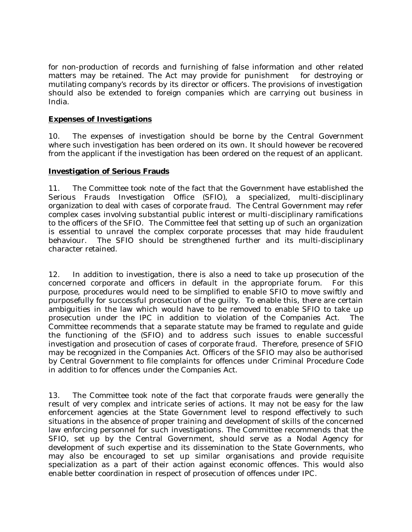for non-production of records and furnishing of false information and other related matters may be retained. The Act may provide for punishment for destroying or mutilating company's records by its director or officers. The provisions of investigation should also be extended to foreign companies which are carrying out business in India.

## **Expenses of Investigations**

10. The expenses of investigation should be borne by the Central Government where such investigation has been ordered on its own. It should however be recovered from the applicant if the investigation has been ordered on the request of an applicant.

#### **Investigation of Serious Frauds**

11. The Committee took note of the fact that the Government have established the Serious Frauds Investigation Office (SFIO), a specialized, multi-disciplinary organization to deal with cases of corporate fraud. The Central Government may refer complex cases involving substantial public interest or multi-disciplinary ramifications to the officers of the SFIO. The Committee feel that setting up of such an organization is essential to unravel the complex corporate processes that may hide fraudulent behaviour. The SFIO should be strengthened further and its multi-disciplinary character retained.

12. In addition to investigation, there is also a need to take up prosecution of the concerned corporate and officers in default in the appropriate forum. For this purpose, procedures would need to be simplified to enable SFIO to move swiftly and purposefully for successful prosecution of the guilty. To enable this, there are certain ambiguities in the law which would have to be removed to enable SFIO to take up prosecution under the IPC in addition to violation of the Companies Act. The Committee recommends that a separate statute may be framed to regulate and guide the functioning of the (SFIO) and to address such issues to enable successful investigation and prosecution of cases of corporate fraud. Therefore, presence of SFIO may be recognized in the Companies Act. Officers of the SFIO may also be authorised by Central Government to file complaints for offences under Criminal Procedure Code in addition to for offences under the Companies Act.

13. The Committee took note of the fact that corporate frauds were generally the result of very complex and intricate series of actions. It may not be easy for the law enforcement agencies at the State Government level to respond effectively to such situations in the absence of proper training and development of skills of the concerned law enforcing personnel for such investigations. The Committee recommends that the SFIO, set up by the Central Government, should serve as a Nodal Agency for development of such expertise and its dissemination to the State Governments, who may also be encouraged to set up similar organisations and provide requisite specialization as a part of their action against economic offences. This would also enable better coordination in respect of prosecution of offences under IPC.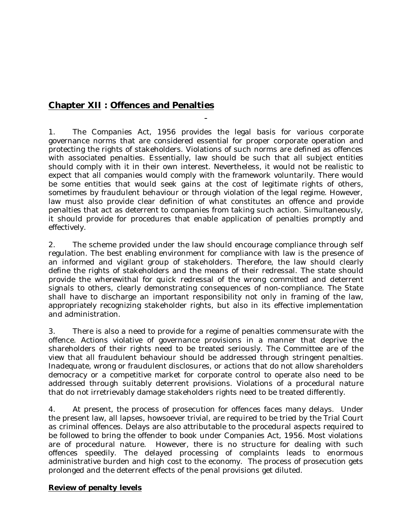# **Chapter XII : Offences and Penalties**

1. The Companies Act, 1956 provides the legal basis for various corporate governance norms that are considered essential for proper corporate operation and protecting the rights of stakeholders. Violations of such norms are defined as offences with associated penalties. Essentially, law should be such that all subject entities should comply with it in their own interest. Nevertheless, it would not be realistic to expect that all companies would comply with the framework voluntarily. There would be some entities that would seek gains at the cost of legitimate rights of others, sometimes by fraudulent behaviour or through violation of the legal regime. However, law must also provide clear definition of what constitutes an offence and provide penalties that act as deterrent to companies from taking such action. Simultaneously, it should provide for procedures that enable application of penalties promptly and effectively.

2. The scheme provided under the law should encourage compliance through self regulation. The best enabling environment for compliance with law is the presence of an informed and vigilant group of stakeholders. Therefore, the law should clearly define the rights of stakeholders and the means of their redressal. The state should provide the wherewithal for quick redressal of the wrong committed and deterrent signals to others, clearly demonstrating consequences of non-compliance. The State shall have to discharge an important responsibility not only in framing of the law, appropriately recognizing stakeholder rights, but also in its effective implementation and administration.

3. There is also a need to provide for a regime of penalties commensurate with the offence. Actions violative of governance provisions in a manner that deprive the shareholders of their rights need to be treated seriously. The Committee are of the view that all fraudulent behaviour should be addressed through stringent penalties. Inadequate, wrong or fraudulent disclosures, or actions that do not allow shareholders democracy or a competitive market for corporate control to operate also need to be addressed through suitably deterrent provisions. Violations of a procedural nature that do not irretrievably damage stakeholders rights need to be treated differently.

4. At present, the process of prosecution for offences faces many delays. Under the present law, all lapses, howsoever trivial, are required to be tried by the Trial Court as criminal offences. Delays are also attributable to the procedural aspects required to be followed to bring the offender to book under Companies Act, 1956. Most violations are of procedural nature. However, there is no structure for dealing with such offences speedily. The delayed processing of complaints leads to enormous administrative burden and high cost to the economy. The process of prosecution gets prolonged and the deterrent effects of the penal provisions get diluted.

# **Review of penalty levels**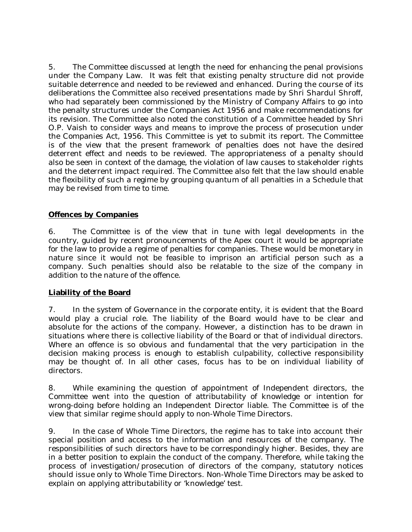5. The Committee discussed at length the need for enhancing the penal provisions under the Company Law. It was felt that existing penalty structure did not provide suitable deterrence and needed to be reviewed and enhanced. During the course of its deliberations the Committee also received presentations made by Shri Shardul Shroff, who had separately been commissioned by the Ministry of Company Affairs to go into the penalty structures under the Companies Act 1956 and make recommendations for its revision. The Committee also noted the constitution of a Committee headed by Shri O.P. Vaish to consider ways and means to improve the process of prosecution under the Companies Act, 1956. This Committee is yet to submit its report. The Committee is of the view that the present framework of penalties does not have the desired deterrent effect and needs to be reviewed. The appropriateness of a penalty should also be seen in context of the damage, the violation of law causes to stakeholder rights and the deterrent impact required. The Committee also felt that the law should enable the flexibility of such a regime by grouping quantum of all penalties in a Schedule that may be revised from time to time.

## **Offences by Companies**

6. The Committee is of the view that in tune with legal developments in the country, guided by recent pronouncements of the Apex court it would be appropriate for the law to provide a regime of penalties for companies. These would be monetary in nature since it would not be feasible to imprison an artificial person such as a company. Such penalties should also be relatable to the size of the company in addition to the nature of the offence.

#### **Liability of the Board**

7. In the system of Governance in the corporate entity, it is evident that the Board would play a crucial role. The liability of the Board would have to be clear and absolute for the actions of the company. However, a distinction has to be drawn in situations where there is collective liability of the Board or that of individual directors. Where an offence is so obvious and fundamental that the very participation in the decision making process is enough to establish culpability, collective responsibility may be thought of. In all other cases, focus has to be on individual liability of directors.

8. While examining the question of appointment of Independent directors, the Committee went into the question of attributability of knowledge or intention for wrong-doing before holding an Independent Director liable. The Committee is of the view that similar regime should apply to non-Whole Time Directors.

9. In the case of Whole Time Directors, the regime has to take into account their special position and access to the information and resources of the company. The responsibilities of such directors have to be correspondingly higher. Besides, they are in a better position to explain the conduct of the company. Therefore, while taking the process of investigation/prosecution of directors of the company, statutory notices should issue only to Whole Time Directors. Non-Whole Time Directors may be asked to explain on applying attributability or 'knowledge' test.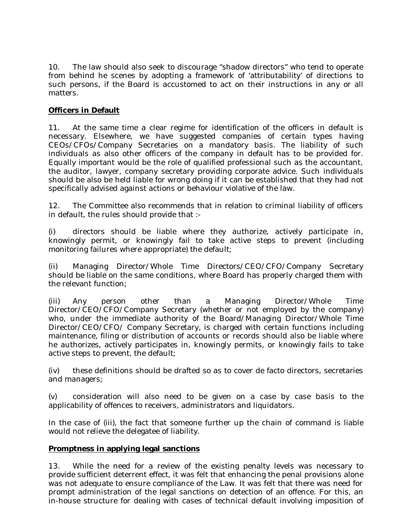10. The law should also seek to discourage "shadow directors" who tend to operate from behind he scenes by adopting a framework of 'attributability' of directions to such persons, if the Board is accustomed to act on their instructions in any or all matters.

# **Officers in Default**

11. At the same time a clear regime for identification of the officers in default is necessary. Elsewhere, we have suggested companies of certain types having CEOs/CFOs/Company Secretaries on a mandatory basis. The liability of such individuals as also other officers of the company in default has to be provided for. Equally important would be the role of qualified professional such as the accountant, the auditor, lawyer, company secretary providing corporate advice. Such individuals should be also be held liable for wrong doing if it can be established that they had not specifically advised against actions or behaviour violative of the law.

12. The Committee also recommends that in relation to criminal liability of officers in default, the rules should provide that :-

(i) directors should be liable where they authorize, actively participate in, knowingly permit, or knowingly fail to take active steps to prevent (including monitoring failures where appropriate) the default;

(ii) Managing Director/Whole Time Directors/CEO/CFO/Company Secretary should be liable on the same conditions, where Board has properly charged them with the relevant function;

(iii) Any person other than a Managing Director/Whole Time Director/CEO/CFO/Company Secretary (whether or not employed by the company) who, under the immediate authority of the Board/Managing Director/Whole Time Director/CEO/CFO/ Company Secretary, is charged with certain functions including maintenance, filing or distribution of accounts or records should also be liable where he authorizes, actively participates in, knowingly permits, or knowingly fails to take active steps to prevent, the default;

(iv) these definitions should be drafted so as to cover de facto directors, secretaries and managers;

(v) consideration will also need to be given on a case by case basis to the applicability of offences to receivers, administrators and liquidators.

In the case of (iii), the fact that someone further up the chain of command is liable would not relieve the delegatee of liability.

# **Promptness in applying legal sanctions**

13. While the need for a review of the existing penalty levels was necessary to provide sufficient deterrent effect, it was felt that enhancing the penal provisions alone was not adequate to ensure compliance of the Law. It was felt that there was need for prompt administration of the legal sanctions on detection of an offence. For this, an in-house structure for dealing with cases of technical default involving imposition of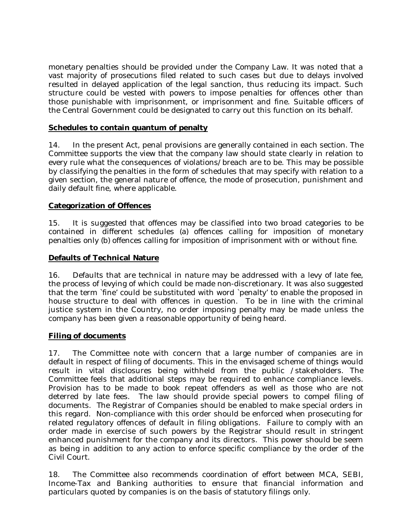monetary penalties should be provided under the Company Law. It was noted that a vast majority of prosecutions filed related to such cases but due to delays involved resulted in delayed application of the legal sanction, thus reducing its impact. Such structure could be vested with powers to impose penalties for offences other than those punishable with imprisonment, or imprisonment and fine. Suitable officers of the Central Government could be designated to carry out this function on its behalf.

## **Schedules to contain quantum of penalty**

14. In the present Act, penal provisions are generally contained in each section. The Committee supports the view that the company law should state clearly in relation to every rule what the consequences of violations/breach are to be. This may be possible by classifying the penalties in the form of schedules that may specify with relation to a given section, the general nature of offence, the mode of prosecution, punishment and daily default fine, where applicable.

#### **Categorization of Offences**

15. It is suggested that offences may be classified into two broad categories to be contained in different schedules (a) offences calling for imposition of monetary penalties only (b) offences calling for imposition of imprisonment with or without fine.

#### **Defaults of Technical Nature**

16. Defaults that are technical in nature may be addressed with a levy of late fee, the process of levying of which could be made non-discretionary. It was also suggested that the term `fine' could be substituted with word `penalty' to enable the proposed in house structure to deal with offences in question. To be in line with the criminal justice system in the Country, no order imposing penalty may be made unless the company has been given a reasonable opportunity of being heard.

# **Filing of documents**

17. The Committee note with concern that a large number of companies are in default in respect of filing of documents. This in the envisaged scheme of things would result in vital disclosures being withheld from the public /stakeholders. The Committee feels that additional steps may be required to enhance compliance levels. Provision has to be made to book repeat offenders as well as those who are not deterred by late fees. The law should provide special powers to compel filing of documents. The Registrar of Companies should be enabled to make special orders in this regard. Non-compliance with this order should be enforced when prosecuting for related regulatory offences of default in filing obligations. Failure to comply with an order made in exercise of such powers by the Registrar should result in stringent enhanced punishment for the company and its directors. This power should be seem as being in addition to any action to enforce specific compliance by the order of the Civil Court.

18. The Committee also recommends coordination of effort between MCA, SEBI, Income-Tax and Banking authorities to ensure that financial information and particulars quoted by companies is on the basis of statutory filings only.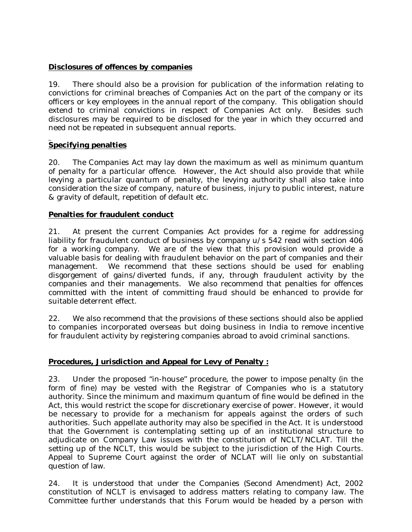## **Disclosures of offences by companies**

19. There should also be a provision for publication of the information relating to convictions for criminal breaches of Companies Act on the part of the company or its officers or key employees in the annual report of the company. This obligation should extend to criminal convictions in respect of Companies Act only. Besides such disclosures may be required to be disclosed for the year in which they occurred and need not be repeated in subsequent annual reports.

# **Specifying penalties**

20. The Companies Act may lay down the maximum as well as minimum quantum of penalty for a particular offence. However, the Act should also provide that while levying a particular quantum of penalty, the levying authority shall also take into consideration the size of company, nature of business, injury to public interest, nature & gravity of default, repetition of default etc.

# **Penalties for fraudulent conduct**

21. At present the current Companies Act provides for a regime for addressing liability for fraudulent conduct of business by company  $u/s$  542 read with section 406 for a working company. We are of the view that this provision would provide a valuable basis for dealing with fraudulent behavior on the part of companies and their management. We recommend that these sections should be used for enabling disgorgement of gains/diverted funds, if any, through fraudulent activity by the companies and their managements. We also recommend that penalties for offences committed with the intent of committing fraud should be enhanced to provide for suitable deterrent effect.

22. We also recommend that the provisions of these sections should also be applied to companies incorporated overseas but doing business in India to remove incentive for fraudulent activity by registering companies abroad to avoid criminal sanctions.

# **Procedures, Jurisdiction and Appeal for Levy of Penalty :**

23. Under the proposed "in-house" procedure, the power to impose penalty (in the form of fine) may be vested with the Registrar of Companies who is a statutory authority. Since the minimum and maximum quantum of fine would be defined in the Act, this would restrict the scope for discretionary exercise of power. However, it would be necessary to provide for a mechanism for appeals against the orders of such authorities. Such appellate authority may also be specified in the Act. It is understood that the Government is contemplating setting up of an institutional structure to adjudicate on Company Law issues with the constitution of NCLT/NCLAT. Till the setting up of the NCLT, this would be subject to the jurisdiction of the High Courts. Appeal to Supreme Court against the order of NCLAT will lie only on substantial question of law.

24. It is understood that under the Companies (Second Amendment) Act, 2002 constitution of NCLT is envisaged to address matters relating to company law. The Committee further understands that this Forum would be headed by a person with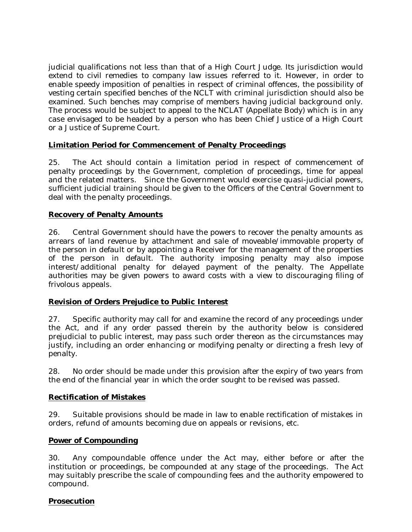judicial qualifications not less than that of a High Court Judge. Its jurisdiction would extend to civil remedies to company law issues referred to it. However, in order to enable speedy imposition of penalties in respect of criminal offences, the possibility of vesting certain specified benches of the NCLT with criminal jurisdiction should also be examined. Such benches may comprise of members having judicial background only. The process would be subject to appeal to the NCLAT (Appellate Body) which is in any case envisaged to be headed by a person who has been Chief Justice of a High Court or a Justice of Supreme Court.

## **Limitation Period for Commencement of Penalty Proceedings**

25. The Act should contain a limitation period in respect of commencement of penalty proceedings by the Government, completion of proceedings, time for appeal and the related matters. Since the Government would exercise quasi-judicial powers, sufficient judicial training should be given to the Officers of the Central Government to deal with the penalty proceedings.

## **Recovery of Penalty Amounts**

26. Central Government should have the powers to recover the penalty amounts as arrears of land revenue by attachment and sale of moveable/immovable property of the person in default or by appointing a Receiver for the management of the properties of the person in default. The authority imposing penalty may also impose interest/additional penalty for delayed payment of the penalty. The Appellate authorities may be given powers to award costs with a view to discouraging filing of frivolous appeals.

# **Revision of Orders Prejudice to Public Interest**

27. Specific authority may call for and examine the record of any proceedings under the Act, and if any order passed therein by the authority below is considered prejudicial to public interest, may pass such order thereon as the circumstances may justify, including an order enhancing or modifying penalty or directing a fresh levy of penalty.

28. No order should be made under this provision after the expiry of two years from the end of the financial year in which the order sought to be revised was passed.

#### **Rectification of Mistakes**

29. Suitable provisions should be made in law to enable rectification of mistakes in orders, refund of amounts becoming due on appeals or revisions, etc.

#### **Power of Compounding**

30. Any compoundable offence under the Act may, either before or after the institution or proceedings, be compounded at any stage of the proceedings. The Act may suitably prescribe the scale of compounding fees and the authority empowered to compound.

# **Prosecution**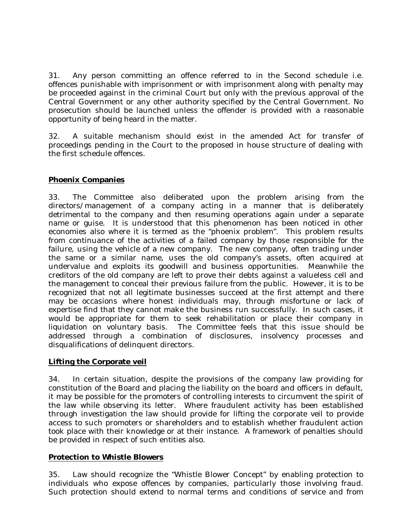31. Any person committing an offence referred to in the Second schedule i.e. offences punishable with imprisonment or with imprisonment along with penalty may be proceeded against in the criminal Court but only with the previous approval of the Central Government or any other authority specified by the Central Government. No prosecution should be launched unless the offender is provided with a reasonable opportunity of being heard in the matter.

32. A suitable mechanism should exist in the amended Act for transfer of proceedings pending in the Court to the proposed in house structure of dealing with the first schedule offences.

# **Phoenix Companies**

33. The Committee also deliberated upon the problem arising from the directors/management of a company acting in a manner that is deliberately detrimental to the company and then resuming operations again under a separate name or guise. It is understood that this phenomenon has been noticed in other economies also where it is termed as the "phoenix problem". This problem results from continuance of the activities of a failed company by those responsible for the failure, using the vehicle of a new company. The new company, often trading under the same or a similar name, uses the old company's assets, often acquired at undervalue and exploits its goodwill and business opportunities. Meanwhile the creditors of the old company are left to prove their debts against a valueless cell and the management to conceal their previous failure from the public. However, it is to be recognized that not all legitimate businesses succeed at the first attempt and there may be occasions where honest individuals may, through misfortune or lack of expertise find that they cannot make the business run successfully. In such cases, it would be appropriate for them to seek rehabilitation or place their company in liquidation on voluntary basis. The Committee feels that this issue should be addressed through a combination of disclosures, insolvency processes and disqualifications of delinquent directors.

# **Lifting the Corporate veil**

34. In certain situation, despite the provisions of the company law providing for constitution of the Board and placing the liability on the board and officers in default, it may be possible for the promoters of controlling interests to circumvent the spirit of the law while observing its letter. Where fraudulent activity has been established through investigation the law should provide for lifting the corporate veil to provide access to such promoters or shareholders and to establish whether fraudulent action took place with their knowledge or at their instance. A framework of penalties should be provided in respect of such entities also.

# **Protection to Whistle Blowers**

35. Law should recognize the "Whistle Blower Concept" by enabling protection to individuals who expose offences by companies, particularly those involving fraud. Such protection should extend to normal terms and conditions of service and from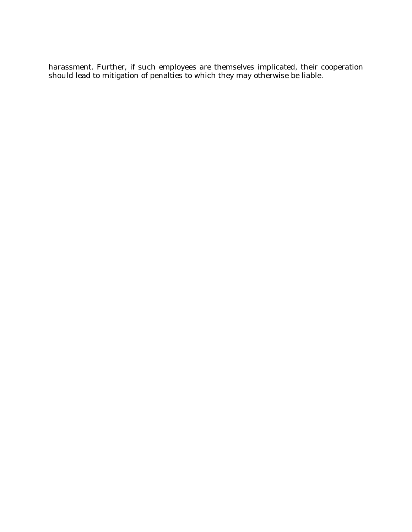harassment. Further, if such employees are themselves implicated, their cooperation should lead to mitigation of penalties to which they may otherwise be liable.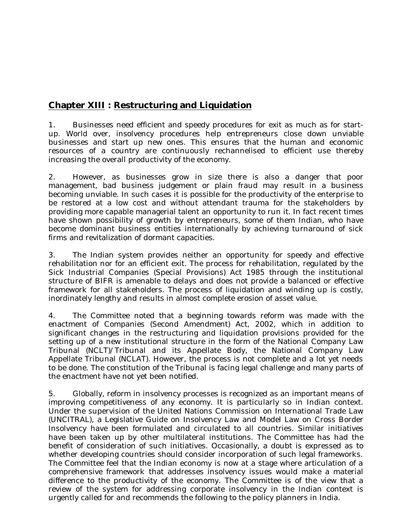# **Chapter XIII : Restructuring and Liquidation**

1. Businesses need efficient and speedy procedures for exit as much as for startup. World over, insolvency procedures help entrepreneurs close down unviable businesses and start up new ones. This ensures that the human and economic resources of a country are continuously rechannelised to efficient use thereby increasing the overall productivity of the economy.

2. However, as businesses grow in size there is also a danger that poor management, bad business judgement or plain fraud may result in a business becoming unviable. In such cases it is possible for the productivity of the enterprise to be restored at a low cost and without attendant trauma for the stakeholders by providing more capable managerial talent an opportunity to run it. In fact recent times have shown possibility of growth by entrepreneurs, some of them Indian, who have become dominant business entities internationally by achieving turnaround of sick firms and revitalization of dormant capacities.

3. The Indian system provides neither an opportunity for speedy and effective rehabilitation nor for an efficient exit. The process for rehabilitation, regulated by the Sick Industrial Companies (Special Provisions) Act 1985 through the institutional structure of BIFR is amenable to delays and does not provide a balanced or effective framework for all stakeholders. The process of liquidation and winding up is costly, inordinately lengthy and results in almost complete erosion of asset value.

4. The Committee noted that a beginning towards reform was made with the enactment of Companies (Second Amendment) Act, 2002, which in addition to significant changes in the restructuring and liquidation provisions provided for the setting up of a new institutional structure in the form of the National Company Law Tribunal (NCLT)/Tribunal and its Appellate Body, the National Company Law Appellate Tribunal (NCLAT). However, the process is not complete and a lot yet needs to be done. The constitution of the Tribunal is facing legal challenge and many parts of the enactment have not yet been notified.

5. Globally, reform in insolvency processes is recognized as an important means of improving competitiveness of any economy. It is particularly so in Indian context. Under the supervision of the United Nations Commission on International Trade Law (UNCITRAL), a Legislative Guide on Insolvency Law and Model Law on Cross Border Insolvency have been formulated and circulated to all countries. Similar initiatives have been taken up by other multilateral institutions. The Committee has had the benefit of consideration of such initiatives. Occasionally, a doubt is expressed as to whether developing countries should consider incorporation of such legal frameworks. The Committee feel that the Indian economy is now at a stage where articulation of a comprehensive framework that addresses insolvency issues would make a material difference to the productivity of the economy. The Committee is of the view that a review of the system for addressing corporate insolvency in the Indian context is urgently called for and recommends the following to the policy planners in India.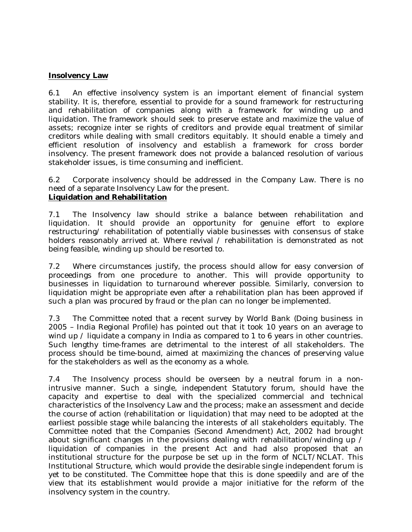# **Insolvency Law**

6.1 An effective insolvency system is an important element of financial system stability. It is, therefore, essential to provide for a sound framework for restructuring and rehabilitation of companies along with a framework for winding up and liquidation. The framework should seek to preserve estate and maximize the value of assets; recognize inter se rights of creditors and provide equal treatment of similar creditors while dealing with small creditors equitably. It should enable a timely and efficient resolution of insolvency and establish a framework for cross border insolvency. The present framework does not provide a balanced resolution of various stakeholder issues, is time consuming and inefficient.

6.2 Corporate insolvency should be addressed in the Company Law. There is no need of a separate Insolvency Law for the present.

#### **Liquidation and Rehabilitation**

7.1 The Insolvency law should strike a balance between rehabilitation and liquidation. It should provide an opportunity for genuine effort to explore restructuring/ rehabilitation of potentially viable businesses with consensus of stake holders reasonably arrived at. Where revival / rehabilitation is demonstrated as not being feasible, winding up should be resorted to.

7.2 Where circumstances justify, the process should allow for easy conversion of proceedings from one procedure to another. This will provide opportunity to businesses in liquidation to turnaround wherever possible. Similarly, conversion to liquidation might be appropriate even after a rehabilitation plan has been approved if such a plan was procured by fraud or the plan can no longer be implemented.

7.3 The Committee noted that a recent survey by World Bank (Doing business in 2005 – India Regional Profile) has pointed out that it took 10 years on an average to wind up / liquidate a company in India as compared to 1 to 6 years in other countries. Such lengthy time-frames are detrimental to the interest of all stakeholders. The process should be time-bound, aimed at maximizing the chances of preserving value for the stakeholders as well as the economy as a whole.

7.4 The Insolvency process should be overseen by a neutral forum in a nonintrusive manner. Such a single, independent Statutory forum, should have the capacity and expertise to deal with the specialized commercial and technical characteristics of the Insolvency Law and the process; make an assessment and decide the course of action (rehabilitation or liquidation) that may need to be adopted at the earliest possible stage while balancing the interests of all stakeholders equitably. The Committee noted that the Companies (Second Amendment) Act, 2002 had brought about significant changes in the provisions dealing with rehabilitation/winding up / liquidation of companies in the present Act and had also proposed that an institutional structure for the purpose be set up in the form of NCLT/NCLAT. This Institutional Structure, which would provide the desirable single independent forum is yet to be constituted. The Committee hope that this is done speedily and are of the view that its establishment would provide a major initiative for the reform of the insolvency system in the country.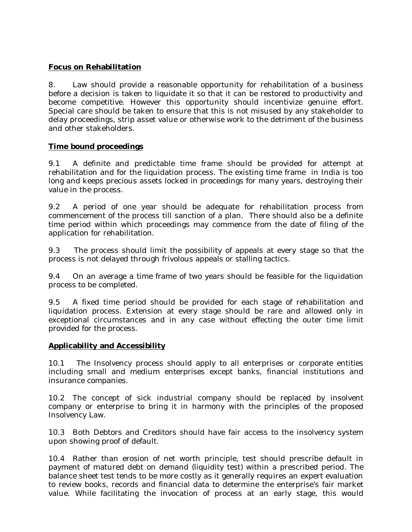### **Focus on Rehabilitation**

8. Law should provide a reasonable opportunity for rehabilitation of a business before a decision is taken to liquidate it so that it can be restored to productivity and become competitive. However this opportunity should incentivize genuine effort. Special care should be taken to ensure that this is not misused by any stakeholder to delay proceedings, strip asset value or otherwise work to the detriment of the business and other stakeholders.

#### **Time bound proceedings**

9.1 A definite and predictable time frame should be provided for attempt at rehabilitation and for the liquidation process. The existing time frame in India is too long and keeps precious assets locked in proceedings for many years, destroying their value in the process.

9.2 A period of one year should be adequate for rehabilitation process from commencement of the process till sanction of a plan. There should also be a definite time period within which proceedings may commence from the date of filing of the application for rehabilitation.

9.3 The process should limit the possibility of appeals at every stage so that the process is not delayed through frivolous appeals or stalling tactics.

9.4 On an average a time frame of two years should be feasible for the liquidation process to be completed.

9.5 A fixed time period should be provided for each stage of rehabilitation and liquidation process. Extension at every stage should be rare and allowed only in exceptional circumstances and in any case without effecting the outer time limit provided for the process.

#### **Applicability and Accessibility**

10.1 The Insolvency process should apply to all enterprises or corporate entities including small and medium enterprises except banks, financial institutions and insurance companies.

10.2 The concept of sick industrial company should be replaced by insolvent company or enterprise to bring it in harmony with the principles of the proposed Insolvency Law.

10.3 Both Debtors and Creditors should have fair access to the insolvency system upon showing proof of default.

10.4 Rather than erosion of net worth principle, test should prescribe default in payment of matured debt on demand (liquidity test) within a prescribed period. The balance sheet test tends to be more costly as it generally requires an expert evaluation to review books, records and financial data to determine the enterprise's fair market value. While facilitating the invocation of process at an early stage, this would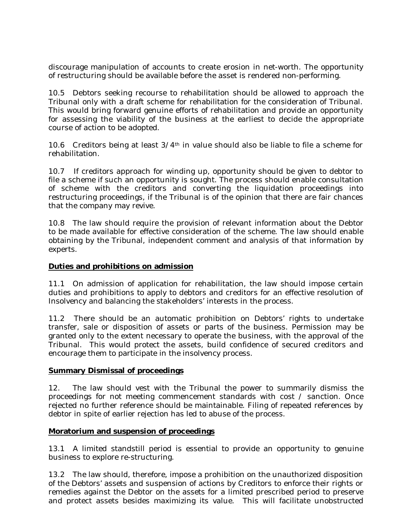discourage manipulation of accounts to create erosion in net-worth. The opportunity of restructuring should be available before the asset is rendered non-performing.

10.5 Debtors seeking recourse to rehabilitation should be allowed to approach the Tribunal only with a draft scheme for rehabilitation for the consideration of Tribunal. This would bring forward genuine efforts of rehabilitation and provide an opportunity for assessing the viability of the business at the earliest to decide the appropriate course of action to be adopted.

10.6 Creditors being at least  $3/4$ <sup>th</sup> in value should also be liable to file a scheme for rehabilitation.

10.7 If creditors approach for winding up, opportunity should be given to debtor to file a scheme if such an opportunity is sought. The process should enable consultation of scheme with the creditors and converting the liquidation proceedings into restructuring proceedings, if the Tribunal is of the opinion that there are fair chances that the company may revive.

10.8 The law should require the provision of relevant information about the Debtor to be made available for effective consideration of the scheme. The law should enable obtaining by the Tribunal, independent comment and analysis of that information by experts.

#### **Duties and prohibitions on admission**

11.1 On admission of application for rehabilitation, the law should impose certain duties and prohibitions to apply to debtors and creditors for an effective resolution of Insolvency and balancing the stakeholders' interests in the process.

11.2 There should be an automatic prohibition on Debtors' rights to undertake transfer, sale or disposition of assets or parts of the business. Permission may be granted only to the extent necessary to operate the business, with the approval of the Tribunal. This would protect the assets, build confidence of secured creditors and encourage them to participate in the insolvency process.

#### **Summary Dismissal of proceedings**

12. The law should vest with the Tribunal the power to summarily dismiss the proceedings for not meeting commencement standards with cost / sanction. Once rejected no further reference should be maintainable. Filing of repeated references by debtor in spite of earlier rejection has led to abuse of the process.

#### **Moratorium and suspension of proceedings**

13.1 A limited standstill period is essential to provide an opportunity to genuine business to explore re-structuring.

13.2 The law should, therefore, impose a prohibition on the unauthorized disposition of the Debtors' assets and suspension of actions by Creditors to enforce their rights or remedies against the Debtor on the assets for a limited prescribed period to preserve and protect assets besides maximizing its value. This will facilitate unobstructed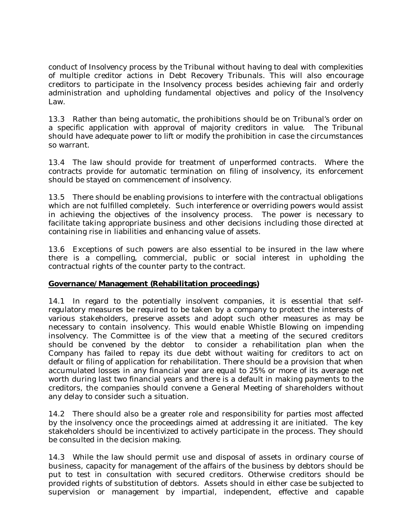conduct of Insolvency process by the Tribunal without having to deal with complexities of multiple creditor actions in Debt Recovery Tribunals. This will also encourage creditors to participate in the Insolvency process besides achieving fair and orderly administration and upholding fundamental objectives and policy of the Insolvency Law.

13.3 Rather than being automatic, the prohibitions should be on Tribunal's order on a specific application with approval of majority creditors in value. The Tribunal should have adequate power to lift or modify the prohibition in case the circumstances so warrant.

13.4 The law should provide for treatment of unperformed contracts. Where the contracts provide for automatic termination on filing of insolvency, its enforcement should be stayed on commencement of insolvency.

13.5 There should be enabling provisions to interfere with the contractual obligations which are not fulfilled completely. Such interference or overriding powers would assist in achieving the objectives of the insolvency process. The power is necessary to facilitate taking appropriate business and other decisions including those directed at containing rise in liabilities and enhancing value of assets.

13.6 Exceptions of such powers are also essential to be insured in the law where there is a compelling, commercial, public or social interest in upholding the contractual rights of the counter party to the contract.

# **Governance/Management (Rehabilitation proceedings)**

14.1 In regard to the potentially insolvent companies, it is essential that selfregulatory measures be required to be taken by a company to protect the interests of various stakeholders, preserve assets and adopt such other measures as may be necessary to contain insolvency. This would enable Whistle Blowing on impending insolvency. The Committee is of the view that a meeting of the secured creditors should be convened by the debtor to consider a rehabilitation plan when the Company has failed to repay its due debt without waiting for creditors to act on default or filing of application for rehabilitation. There should be a provision that when accumulated losses in any financial year are equal to 25% or more of its average net worth during last two financial years and there is a default in making payments to the creditors, the companies should convene a General Meeting of shareholders without any delay to consider such a situation.

14.2 There should also be a greater role and responsibility for parties most affected by the insolvency once the proceedings aimed at addressing it are initiated. The key stakeholders should be incentivized to actively participate in the process. They should be consulted in the decision making.

14.3 While the law should permit use and disposal of assets in ordinary course of business, capacity for management of the affairs of the business by debtors should be put to test in consultation with secured creditors. Otherwise creditors should be provided rights of substitution of debtors. Assets should in either case be subjected to supervision or management by impartial, independent, effective and capable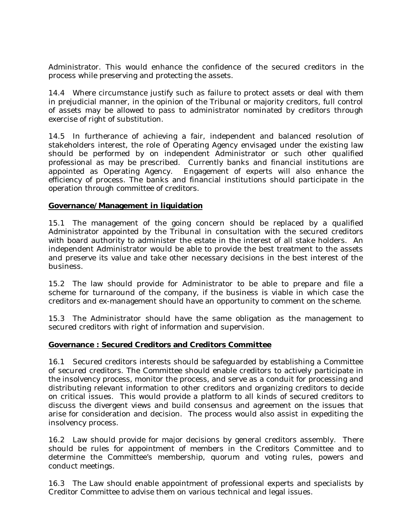Administrator. This would enhance the confidence of the secured creditors in the process while preserving and protecting the assets.

14.4 Where circumstance justify such as failure to protect assets or deal with them in prejudicial manner, in the opinion of the Tribunal or majority creditors, full control of assets may be allowed to pass to administrator nominated by creditors through exercise of right of substitution.

14.5 In furtherance of achieving a fair, independent and balanced resolution of stakeholders interest, the role of Operating Agency envisaged under the existing law should be performed by on independent Administrator or such other qualified professional as may be prescribed. Currently banks and financial institutions are appointed as Operating Agency. Engagement of experts will also enhance the efficiency of process. The banks and financial institutions should participate in the operation through committee of creditors.

#### **Governance/Management in liquidation**

15.1 The management of the going concern should be replaced by a qualified Administrator appointed by the Tribunal in consultation with the secured creditors with board authority to administer the estate in the interest of all stake holders. An independent Administrator would be able to provide the best treatment to the assets and preserve its value and take other necessary decisions in the best interest of the business.

15.2 The law should provide for Administrator to be able to prepare and file a scheme for turnaround of the company, if the business is viable in which case the creditors and ex-management should have an opportunity to comment on the scheme.

15.3 The Administrator should have the same obligation as the management to secured creditors with right of information and supervision.

#### **Governance : Secured Creditors and Creditors Committee**

16.1 Secured creditors interests should be safeguarded by establishing a Committee of secured creditors. The Committee should enable creditors to actively participate in the insolvency process, monitor the process, and serve as a conduit for processing and distributing relevant information to other creditors and organizing creditors to decide on critical issues. This would provide a platform to all kinds of secured creditors to discuss the divergent views and build consensus and agreement on the issues that arise for consideration and decision. The process would also assist in expediting the insolvency process.

16.2 Law should provide for major decisions by general creditors assembly. There should be rules for appointment of members in the Creditors Committee and to determine the Committee's membership, quorum and voting rules, powers and conduct meetings.

16.3 The Law should enable appointment of professional experts and specialists by Creditor Committee to advise them on various technical and legal issues.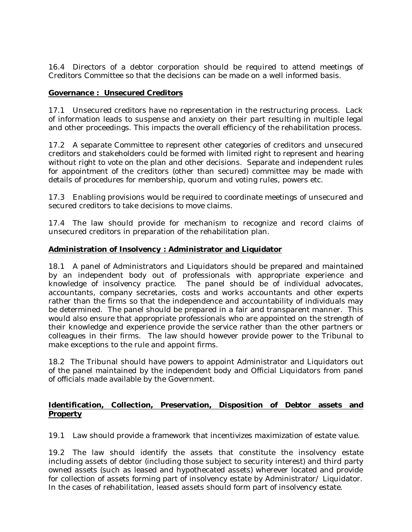16.4 Directors of a debtor corporation should be required to attend meetings of Creditors Committee so that the decisions can be made on a well informed basis.

## **Governance : Unsecured Creditors**

17.1 Unsecured creditors have no representation in the restructuring process. Lack of information leads to suspense and anxiety on their part resulting in multiple legal and other proceedings. This impacts the overall efficiency of the rehabilitation process.

17.2 A separate Committee to represent other categories of creditors and unsecured creditors and stakeholders could be formed with limited right to represent and hearing without right to vote on the plan and other decisions. Separate and independent rules for appointment of the creditors (other than secured) committee may be made with details of procedures for membership, quorum and voting rules, powers etc.

17.3 Enabling provisions would be required to coordinate meetings of unsecured and secured creditors to take decisions to move claims.

17.4 The law should provide for mechanism to recognize and record claims of unsecured creditors in preparation of the rehabilitation plan.

## **Administration of Insolvency : Administrator and Liquidator**

18.1 A panel of Administrators and Liquidators should be prepared and maintained by an independent body out of professionals with appropriate experience and knowledge of insolvency practice. The panel should be of individual advocates, accountants, company secretaries, costs and works accountants and other experts rather than the firms so that the independence and accountability of individuals may be determined. The panel should be prepared in a fair and transparent manner. This would also ensure that appropriate professionals who are appointed on the strength of their knowledge and experience provide the service rather than the other partners or colleagues in their firms. The law should however provide power to the Tribunal to make exceptions to the rule and appoint firms.

18.2 The Tribunal should have powers to appoint Administrator and Liquidators out of the panel maintained by the independent body and Official Liquidators from panel of officials made available by the Government.

## **Identification, Collection, Preservation, Disposition of Debtor assets and Property**

19.1 Law should provide a framework that incentivizes maximization of estate value.

19.2 The law should identify the assets that constitute the insolvency estate including assets of debtor (including those subject to security interest) and third party owned assets (such as leased and hypothecated assets) wherever located and provide for collection of assets forming part of insolvency estate by Administrator/ Liquidator. In the cases of rehabilitation, leased assets should form part of insolvency estate.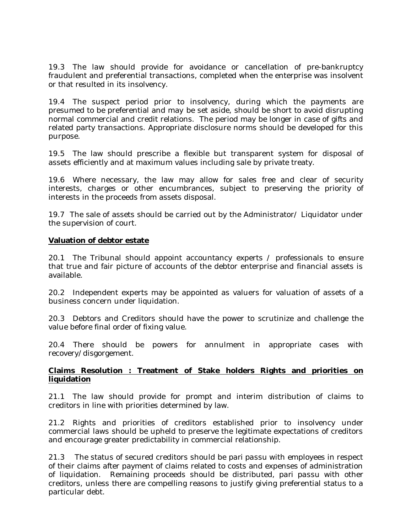19.3 The law should provide for avoidance or cancellation of pre-bankruptcy fraudulent and preferential transactions, completed when the enterprise was insolvent or that resulted in its insolvency.

19.4 The suspect period prior to insolvency, during which the payments are presumed to be preferential and may be set aside, should be short to avoid disrupting normal commercial and credit relations. The period may be longer in case of gifts and related party transactions. Appropriate disclosure norms should be developed for this purpose.

19.5 The law should prescribe a flexible but transparent system for disposal of assets efficiently and at maximum values including sale by private treaty.

19.6 Where necessary, the law may allow for sales free and clear of security interests, charges or other encumbrances, subject to preserving the priority of interests in the proceeds from assets disposal.

19.7 The sale of assets should be carried out by the Administrator/ Liquidator under the supervision of court.

#### **Valuation of debtor estate**

20.1 The Tribunal should appoint accountancy experts / professionals to ensure that true and fair picture of accounts of the debtor enterprise and financial assets is available.

20.2 Independent experts may be appointed as valuers for valuation of assets of a business concern under liquidation.

20.3 Debtors and Creditors should have the power to scrutinize and challenge the value before final order of fixing value.

20.4 There should be powers for annulment in appropriate cases with recovery/disgorgement.

#### **Claims Resolution : Treatment of Stake holders Rights and priorities on liquidation**

21.1 The law should provide for prompt and interim distribution of claims to creditors in line with priorities determined by law.

21.2 Rights and priorities of creditors established prior to insolvency under commercial laws should be upheld to preserve the legitimate expectations of creditors and encourage greater predictability in commercial relationship.

21.3 The status of secured creditors should be *pari passu* with employees in respect of their claims after payment of claims related to costs and expenses of administration of liquidation. Remaining proceeds should be distributed, *pari passu* with other creditors, unless there are compelling reasons to justify giving preferential status to a particular debt.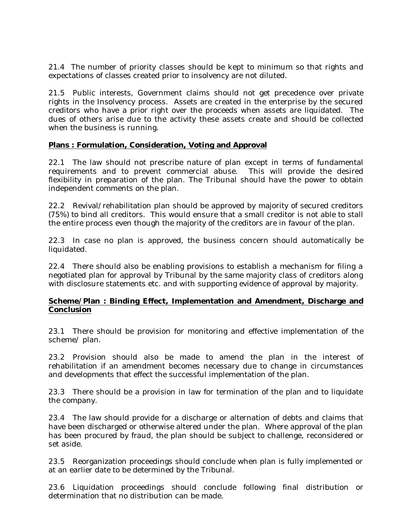21.4 The number of priority classes should be kept to minimum so that rights and expectations of classes created prior to insolvency are not diluted.

21.5 Public interests, Government claims should not get precedence over private rights in the Insolvency process. Assets are created in the enterprise by the secured creditors who have a prior right over the proceeds when assets are liquidated. The dues of others arise due to the activity these assets create and should be collected when the business is running.

#### **Plans : Formulation, Consideration, Voting and Approval**

22.1 The law should not prescribe nature of plan except in terms of fundamental requirements and to prevent commercial abuse. This will provide the desired flexibility in preparation of the plan. The Tribunal should have the power to obtain independent comments on the plan.

22.2 Revival/rehabilitation plan should be approved by majority of secured creditors (75%) to bind all creditors. This would ensure that a small creditor is not able to stall the entire process even though the majority of the creditors are in favour of the plan.

22.3 In case no plan is approved, the business concern should automatically be liquidated.

22.4 There should also be enabling provisions to establish a mechanism for filing a negotiated plan for approval by Tribunal by the same majority class of creditors along with disclosure statements etc. and with supporting evidence of approval by majority.

## **Scheme/Plan : Binding Effect, Implementation and Amendment, Discharge and Conclusion**

23.1 There should be provision for monitoring and effective implementation of the scheme/ plan.

23.2 Provision should also be made to amend the plan in the interest of rehabilitation if an amendment becomes necessary due to change in circumstances and developments that effect the successful implementation of the plan.

23.3 There should be a provision in law for termination of the plan and to liquidate the company.

23.4 The law should provide for a discharge or alternation of debts and claims that have been discharged or otherwise altered under the plan. Where approval of the plan has been procured by fraud, the plan should be subject to challenge, reconsidered or set aside.

23.5 Reorganization proceedings should conclude when plan is fully implemented or at an earlier date to be determined by the Tribunal.

23.6 Liquidation proceedings should conclude following final distribution or determination that no distribution can be made.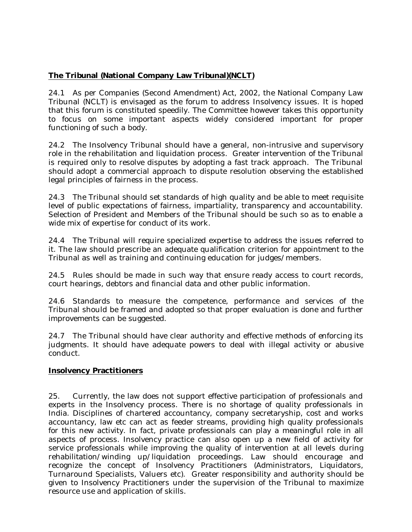# **The Tribunal (National Company Law Tribunal)(NCLT)**

24.1 As per Companies (Second Amendment) Act, 2002, the National Company Law Tribunal (NCLT) is envisaged as the forum to address Insolvency issues. It is hoped that this forum is constituted speedily. The Committee however takes this opportunity to focus on some important aspects widely considered important for proper functioning of such a body.

24.2 The Insolvency Tribunal should have a general, non-intrusive and supervisory role in the rehabilitation and liquidation process. Greater intervention of the Tribunal is required only to resolve disputes by adopting a fast track approach. The Tribunal should adopt a commercial approach to dispute resolution observing the established legal principles of fairness in the process.

24.3 The Tribunal should set standards of high quality and be able to meet requisite level of public expectations of fairness, impartiality, transparency and accountability. Selection of President and Members of the Tribunal should be such so as to enable a wide mix of expertise for conduct of its work.

24.4 The Tribunal will require specialized expertise to address the issues referred to it. The law should prescribe an adequate qualification criterion for appointment to the Tribunal as well as training and continuing education for judges/members.

24.5 Rules should be made in such way that ensure ready access to court records, court hearings, debtors and financial data and other public information.

24.6 Standards to measure the competence, performance and services of the Tribunal should be framed and adopted so that proper evaluation is done and further improvements can be suggested.

24.7 The Tribunal should have clear authority and effective methods of enforcing its judgments. It should have adequate powers to deal with illegal activity or abusive conduct.

#### **Insolvency Practitioners**

25. Currently, the law does not support effective participation of professionals and experts in the Insolvency process. There is no shortage of quality professionals in India. Disciplines of chartered accountancy, company secretaryship, cost and works accountancy, law etc can act as feeder streams, providing high quality professionals for this new activity. In fact, private professionals can play a meaningful role in all aspects of process. Insolvency practice can also open up a new field of activity for service professionals while improving the quality of intervention at all levels during rehabilitation/winding up/liquidation proceedings. Law should encourage and recognize the concept of Insolvency Practitioners (Administrators, Liquidators, Turnaround Specialists, Valuers etc). Greater responsibility and authority should be given to Insolvency Practitioners under the supervision of the Tribunal to maximize resource use and application of skills.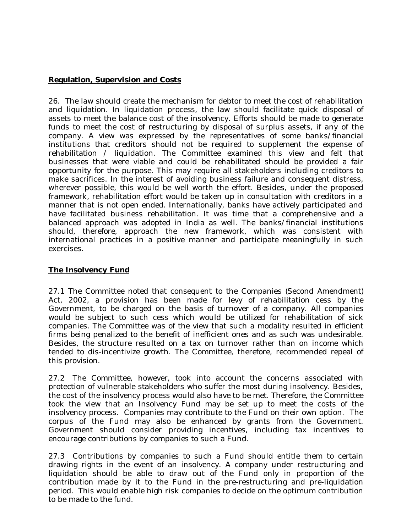## **Regulation, Supervision and Costs**

26. The law should create the mechanism for debtor to meet the cost of rehabilitation and liquidation. In liquidation process, the law should facilitate quick disposal of assets to meet the balance cost of the insolvency. Efforts should be made to generate funds to meet the cost of restructuring by disposal of surplus assets, if any of the company. A view was expressed by the representatives of some banks/financial institutions that creditors should not be required to supplement the expense of rehabilitation / liquidation. The Committee examined this view and felt that businesses that were viable and could be rehabilitated should be provided a fair opportunity for the purpose. This may require all stakeholders including creditors to make sacrifices. In the interest of avoiding business failure and consequent distress, wherever possible, this would be well worth the effort. Besides, under the proposed framework, rehabilitation effort would be taken up in consultation with creditors in a manner that is not open ended. Internationally, banks have actively participated and have facilitated business rehabilitation. It was time that a comprehensive and a balanced approach was adopted in India as well. The banks/financial institutions should, therefore, approach the new framework, which was consistent with international practices in a positive manner and participate meaningfully in such exercises.

# **The Insolvency Fund**

27.1 The Committee noted that consequent to the Companies (Second Amendment) Act, 2002, a provision has been made for levy of rehabilitation cess by the Government, to be charged on the basis of turnover of a company. All companies would be subject to such cess which would be utilized for rehabilitation of sick companies. The Committee was of the view that such a modality resulted in efficient firms being penalized to the benefit of inefficient ones and as such was undesirable. Besides, the structure resulted on a tax on turnover rather than on income which tended to dis-incentivize growth. The Committee, therefore, recommended repeal of this provision.

27.2 The Committee, however, took into account the concerns associated with protection of vulnerable stakeholders who suffer the most during insolvency. Besides, the cost of the insolvency process would also have to be met. Therefore, the Committee took the view that an Insolvency Fund may be set up to meet the costs of the insolvency process. Companies may contribute to the Fund on their own option. The corpus of the Fund may also be enhanced by grants from the Government. Government should consider providing incentives, including tax incentives to encourage contributions by companies to such a Fund.

27.3 Contributions by companies to such a Fund should entitle them to certain drawing rights in the event of an insolvency. A company under restructuring and liquidation should be able to draw out of the Fund only in proportion of the contribution made by it to the Fund in the pre-restructuring and pre-liquidation period. This would enable high risk companies to decide on the optimum contribution to be made to the fund.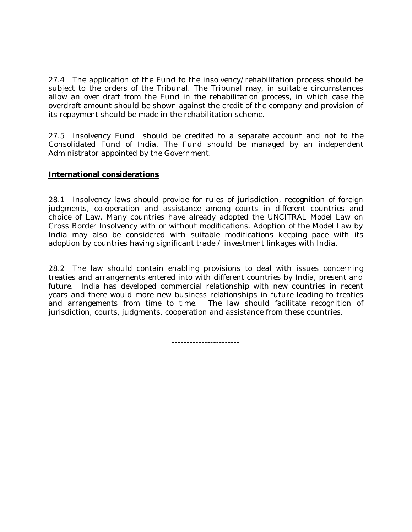27.4 The application of the Fund to the insolvency/rehabilitation process should be subject to the orders of the Tribunal. The Tribunal may, in suitable circumstances allow an over draft from the Fund in the rehabilitation process, in which case the overdraft amount should be shown against the credit of the company and provision of its repayment should be made in the rehabilitation scheme.

27.5 Insolvency Fund should be credited to a separate account and not to the Consolidated Fund of India. The Fund should be managed by an independent Administrator appointed by the Government.

## **International considerations**

28.1 Insolvency laws should provide for rules of jurisdiction, recognition of foreign judgments, co-operation and assistance among courts in different countries and choice of Law. Many countries have already adopted the UNCITRAL Model Law on Cross Border Insolvency with or without modifications. Adoption of the Model Law by India may also be considered with suitable modifications keeping pace with its adoption by countries having significant trade / investment linkages with India.

28.2 The law should contain enabling provisions to deal with issues concerning treaties and arrangements entered into with different countries by India, present and future. India has developed commercial relationship with new countries in recent years and there would more new business relationships in future leading to treaties and arrangements from time to time. The law should facilitate recognition of jurisdiction, courts, judgments, cooperation and assistance from these countries.

-----------------------